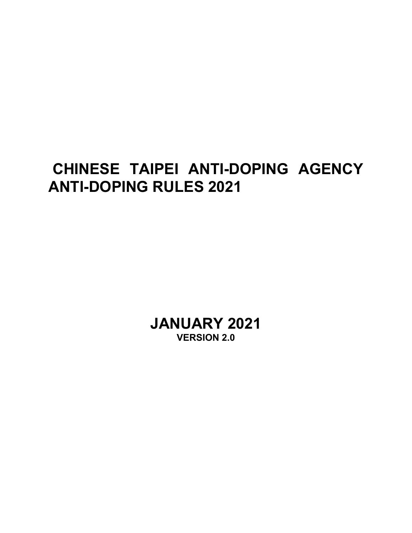# **CHINESE TAIPEI ANTI-DOPING AGENCY ANTI-DOPING RULES 2021**

**JANUARY 2021 VERSION 2.0**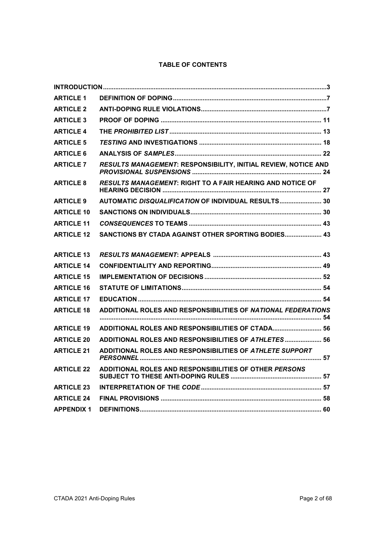# **TABLE OF CONTENTS**

| <b>ARTICLE 1</b>  |                                                                |  |
|-------------------|----------------------------------------------------------------|--|
| <b>ARTICLE 2</b>  |                                                                |  |
| <b>ARTICLE 3</b>  |                                                                |  |
| <b>ARTICLE 4</b>  |                                                                |  |
| <b>ARTICLE 5</b>  |                                                                |  |
| <b>ARTICLE 6</b>  |                                                                |  |
| <b>ARTICLE 7</b>  | RESULTS MANAGEMENT: RESPONSIBILITY, INITIAL REVIEW, NOTICE AND |  |
| <b>ARTICLE 8</b>  | RESULTS MANAGEMENT: RIGHT TO A FAIR HEARING AND NOTICE OF      |  |
| <b>ARTICLE 9</b>  | AUTOMATIC DISQUALIFICATION OF INDIVIDUAL RESULTS 30            |  |
| <b>ARTICLE 10</b> |                                                                |  |
| <b>ARTICLE 11</b> |                                                                |  |
| <b>ARTICLE 12</b> | SANCTIONS BY CTADA AGAINST OTHER SPORTING BODIES 43            |  |
| <b>ARTICLE 13</b> |                                                                |  |
| <b>ARTICLE 14</b> |                                                                |  |
| <b>ARTICLE 15</b> |                                                                |  |
| <b>ARTICLE 16</b> |                                                                |  |
| <b>ARTICLE 17</b> |                                                                |  |
| <b>ARTICLE 18</b> | ADDITIONAL ROLES AND RESPONSIBILITIES OF NATIONAL FEDERATIONS  |  |
| <b>ARTICLE 19</b> | ADDITIONAL ROLES AND RESPONSIBILITIES OF CTADA 56              |  |
| <b>ARTICLE 20</b> | ADDITIONAL ROLES AND RESPONSIBILITIES OF ATHLETES  56          |  |
| <b>ARTICLE 21</b> | ADDITIONAL ROLES AND RESPONSIBILITIES OF ATHLETE SUPPORT       |  |
| <b>ARTICLE 22</b> | ADDITIONAL ROLES AND RESPONSIBILITIES OF OTHER PERSONS         |  |
| <b>ARTICLE 23</b> |                                                                |  |
| <b>ARTICLE 24</b> |                                                                |  |
| <b>APPENDIX 1</b> |                                                                |  |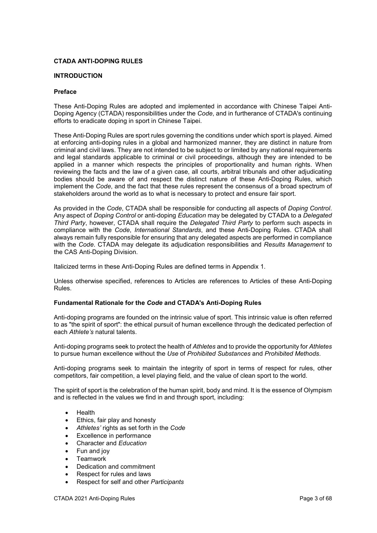## **CTADA ANTI-DOPING RULES**

## <span id="page-2-0"></span>**INTRODUCTION**

#### **Preface**

These Anti-Doping Rules are adopted and implemented in accordance with Chinese Taipei Anti-Doping Agency (CTADA) responsibilities under the *Code*, and in furtherance of CTADA's continuing efforts to eradicate doping in sport in Chinese Taipei.

These Anti-Doping Rules are sport rules governing the conditions under which sport is played. Aimed at enforcing anti-doping rules in a global and harmonized manner, they are distinct in nature from criminal and civil laws. They are not intended to be subject to or limited by any national requirements and legal standards applicable to criminal or civil proceedings, although they are intended to be applied in a manner which respects the principles of proportionality and human rights. When reviewing the facts and the law of a given case, all courts, arbitral tribunals and other adjudicating bodies should be aware of and respect the distinct nature of these Anti-Doping Rules, which implement the *Code*, and the fact that these rules represent the consensus of a broad spectrum of stakeholders around the world as to what is necessary to protect and ensure fair sport.

As provided in the *Code*, CTADA shall be responsible for conducting all aspects of *Doping Control*. Any aspect of *Doping Control* or anti-doping *Education* may be delegated by CTADA to a *Delegated Third Party*, however, CTADA shall require the *Delegated Third Party* to perform such aspects in compliance with the *Code*, *International Standards*, and these Anti-Doping Rules. CTADA shall always remain fully responsible for ensuring that any delegated aspects are performed in compliance with the *Code*. CTADA may delegate its adjudication responsibilities and *Results Management* to the CAS Anti-Doping Division.

Italicized terms in these Anti-Doping Rules are defined terms in Appendix 1.

Unless otherwise specified, references to Articles are references to Articles of these Anti-Doping Rules.

# **Fundamental Rationale for the** *Code* **and CTADA's Anti-Doping Rules**

Anti-doping programs are founded on the intrinsic value of sport. This intrinsic value is often referred to as "the spirit of sport": the ethical pursuit of human excellence through the dedicated perfection of each *Athlete's* natural talents.

Anti-doping programs seek to protect the health of *Athletes* and to provide the opportunity for *Athletes* to pursue human excellence without the *Use* of *Prohibited Substances* and *Prohibited Methods*.

Anti-doping programs seek to maintain the integrity of sport in terms of respect for rules, other competitors, fair competition, a level playing field, and the value of clean sport to the world.

The spirit of sport is the celebration of the human spirit, body and mind. It is the essence of Olympism and is reflected in the values we find in and through sport, including:

- Health
- Ethics, fair play and honesty
- *Athletes'* rights as set forth in the *Code*
- Excellence in performance
- Character and *Education*
- Fun and joy
- **Teamwork**
- Dedication and commitment
- Respect for rules and laws
- Respect for self and other *Participants*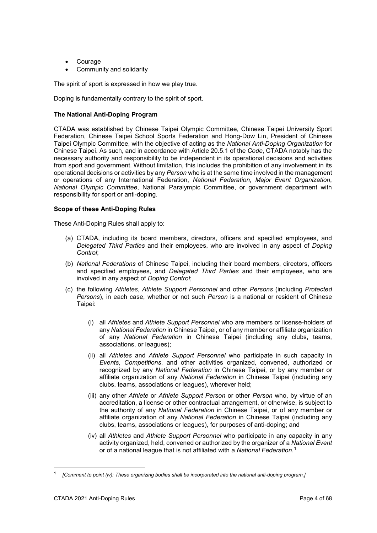- Courage
- Community and solidarity

The spirit of sport is expressed in how we play true.

Doping is fundamentally contrary to the spirit of sport.

# **The National Anti-Doping Program**

CTADA was established by Chinese Taipei Olympic Committee, Chinese Taipei University Sport Federation, Chinese Taipei School Sports Federation and Hong-Dow Lin, President of Chinese Taipei Olympic Committee, with the objective of acting as the *National Anti-Doping Organization* for Chinese Taipei. As such, and in accordance with Article 20.5.1 of the *Code*, CTADA notably has the necessary authority and responsibility to be independent in its operational decisions and activities from sport and government. Without limitation, this includes the prohibition of any involvement in its operational decisions or activities by any *Person* who is at the same time involved in the management or operations of any International Federation, *National Federation*, *Major Event Organization*, *National Olympic Committee*, National Paralympic Committee, or government department with responsibility for sport or anti-doping.

# **Scope of these Anti-Doping Rules**

These Anti-Doping Rules shall apply to:

- (a) CTADA, including its board members, directors, officers and specified employees, and *Delegated Third Parties* and their employees, who are involved in any aspect of *Doping Control*;
- (b) *National Federations* of Chinese Taipei, including their board members, directors, officers and specified employees, and *Delegated Third Parties* and their employees, who are involved in any aspect of *Doping Control*;
- (c) the following *Athletes*, *Athlete Support Personnel* and other *Persons* (including *Protected Persons*), in each case, whether or not such *Person* is a national or resident of Chinese Taipei:
	- (i) all *Athletes* and *Athlete Support Personnel* who are members or license-holders of any *National Federation* in Chinese Taipei, or of any member or affiliate organization of any *National Federation* in Chinese Taipei (including any clubs, teams, associations, or leagues);
	- (ii) all *Athletes* and *Athlete Support Personnel* who participate in such capacity in *Events*, *Competitions*, and other activities organized, convened, authorized or recognized by any *National Federation* in Chinese Taipei, or by any member or affiliate organization of any *National Federation* in Chinese Taipei (including any clubs, teams, associations or leagues), wherever held;
	- (iii) any other *Athlete* or *Athlete Support Person* or other *Person* who, by virtue of an accreditation, a license or other contractual arrangement, or otherwise, is subject to the authority of any *National Federation* in Chinese Taipei, or of any member or affiliate organization of any *National Federation* in Chinese Taipei (including any clubs, teams, associations or leagues), for purposes of anti-doping; and
	- (iv) all *Athletes* and *Athlete Support Personnel* who participate in any capacity in any activity organized, held, convened or authorized by the organizer of a *National Event* or of a national league that is not affiliated with a *National Federation*. **[1](#page-3-0)**

-

<span id="page-3-0"></span>**<sup>1</sup>** *[Comment to point (iv): These organizing bodies shall be incorporated into the national anti-doping program.]*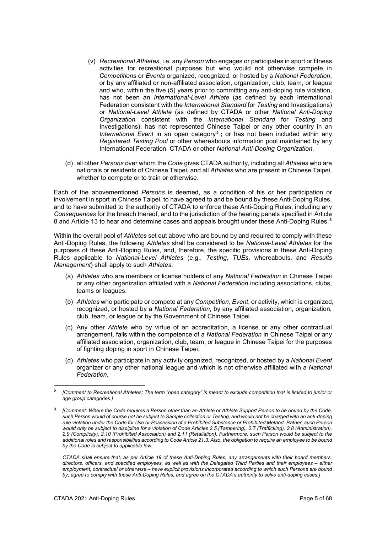- (v) *Recreational Athletes*, i.e. any *Person* who engages or participates in sport or fitness activities for recreational purposes but who would not otherwise compete in *Competitions* or *Events* organized, recognized, or hosted by a *National Federation*, or by any affiliated or non-affiliated association, organization, club, team, or league and who, within the five (5) years prior to committing any anti-doping rule violation, has not been an *International-Level Athlete* (as defined by each International Federation consistent with the *International Standard* for *Testing* and Investigations) or *National-Level Athlete* (as defined by CTADA or other *National Anti-Doping Organization* consistent with the *International Standard* for *Testing* and Investigations); has not represented Chinese Taipei or any other country in an *International Event* in an open category<sup>[2](#page-4-0)</sup>; or has not been included within any *Registered Testing Pool* or other whereabouts information pool maintained by any International Federation, CTADA or other *National Anti-Doping Organization*.
- (d) all other *Persons* over whom the *Code* gives CTADA authority, including all *Athletes* who are nationals or residents of Chinese Taipei, and all *Athletes* who are present in Chinese Taipei, whether to compete or to train or otherwise.

Each of the abovementioned *Persons* is deemed, as a condition of his or her participation or involvement in sport in Chinese Taipei, to have agreed to and be bound by these Anti-Doping Rules, and to have submitted to the authority of CTADA to enforce these Anti-Doping Rules, including any *Consequences* for the breach thereof, and to the jurisdiction of the hearing panels specified in Article 8 and Article 13 to hear and determine cases and appeals brought under these Anti-Doping Rules. **[3](#page-4-1)**

Within the overall pool of *Athletes* set out above who are bound by and required to comply with these Anti-Doping Rules, the following *Athletes* shall be considered to be *National-Level Athletes* for the purposes of these Anti-Doping Rules, and, therefore, the specific provisions in these Anti-Doping Rules applicable to *National-Level Athletes* (e.g., *Testing*, *TUEs*, whereabouts, and *Results Management*) shall apply to such *Athletes*:

- (a) *Athletes* who are members or license holders of any *National Federation* in Chinese Taipei or any other organization affiliated with a *National Federation* including associations, clubs, teams or leagues.
- (b) *Athletes* who participate or compete at any *Competition*, *Event*, or activity, which is organized, recognized, or hosted by a *National Federation*, by any affiliated association, organization, club, team, or league or by the Government of Chinese Taipei.
- (c) Any other *Athlete* who by virtue of an accreditation, a license or any other contractual arrangement, falls within the competence of a *National Federation* in Chinese Taipei or any affiliated association, organization, club, team, or league in Chinese Taipei for the purposes of fighting doping in sport in Chinese Taipei.
- (d) *Athletes* who participate in any activity organized, recognized, or hosted by a *National Event* organizer or any other national league and which is not otherwise affiliated with a *National Federation*.

*CTADA shall ensure that, as per Article 19 of these Anti-Doping Rules, any arrangements with their board members, directors, officers, and specified employees, as well as with the Delegated Third Parties and their employees – either employment, contractual or otherwise – have explicit provisions incorporated according to which such Persons are bound by, agree to comply with these Anti-Doping Rules, and agree on the CTADA's authority to solve anti-doping cases.]*

-

<span id="page-4-0"></span>**<sup>2</sup>** *[Comment to Recreational Athletes: The term "open category" is meant to exclude competition that is limited to junior or age group categories.]*

<span id="page-4-1"></span>**<sup>3</sup>** *[Comment: Where the Code requires a Person other than an Athlete or Athlete Support Person to be bound by the Code, such Person would of course not be subject to Sample collection or Testing, and would not be charged with an anti-doping rule violation under the Code for Use or Possession of a Prohibited Substance or Prohibited Method. Rather, such Person would only be subject to discipline for a violation of Code Articles 2.5 (Tampering), 2.7 (Trafficking), 2.8 (Administration), 2.9 (Complicity), 2.10 (Prohibited Association) and 2.11 (Retaliation). Furthermore, such Person would be subject to the additional roles and responsibilities according to Code Article 21.3. Also, the obligation to require an employee to be bound by the Code is subject to applicable law.*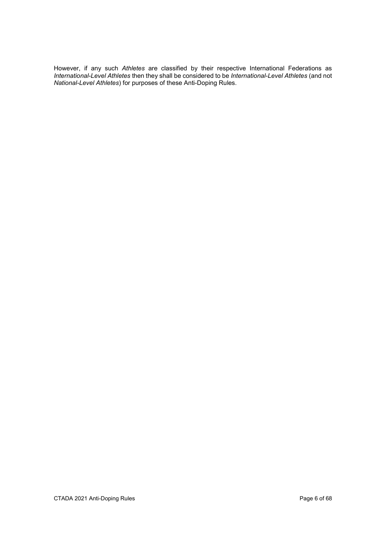However, if any such *Athletes* are classified by their respective International Federations as *International-Level Athletes* then they shall be considered to be *International-Level Athletes* (and not *National-Level Athletes*) for purposes of these Anti-Doping Rules.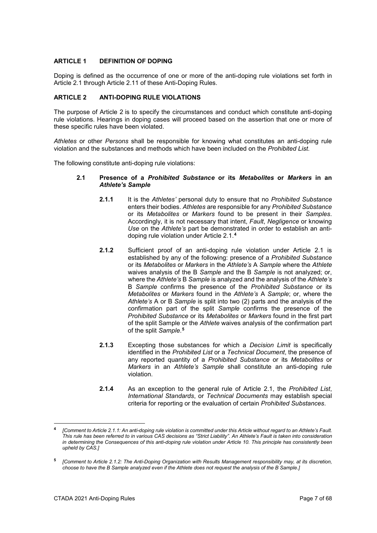# <span id="page-6-0"></span>**ARTICLE 1 DEFINITION OF DOPING**

Doping is defined as the occurrence of one or more of the anti-doping rule violations set forth in Article 2.1 through Article 2.11 of these Anti-Doping Rules.

# <span id="page-6-1"></span>**ARTICLE 2 ANTI-DOPING RULE VIOLATIONS**

The purpose of Article 2 is to specify the circumstances and conduct which constitute anti-doping rule violations. Hearings in doping cases will proceed based on the assertion that one or more of these specific rules have been violated.

*Athletes* or other *Persons* shall be responsible for knowing what constitutes an anti-doping rule violation and the substances and methods which have been included on the *Prohibited List*.

The following constitute anti-doping rule violations:

- **2.1 Presence of a** *Prohibited Substance* **or its** *Metabolites* **or** *Markers* **in an**  *Athlete's Sample*
	- **2.1.1** It is the *Athletes'* personal duty to ensure that no *Prohibited Substance* enters their bodies. *Athletes* are responsible for any *Prohibited Substance* or its *Metabolites* or *Markers* found to be present in their *Samples*. Accordingly, it is not necessary that intent, *Fault*, *Negligence* or knowing *Use* on the *Athlete's* part be demonstrated in order to establish an antidoping rule violation under Article 2.1.**[4](#page-6-2)**
	- **2.1.2** Sufficient proof of an anti-doping rule violation under Article 2.1 is established by any of the following: presence of a *Prohibited Substance* or its *Metabolites* or *Markers* in the *Athlete's* A *Sample* where the *Athlete* waives analysis of the B *Sample* and the B *Sample* is not analyzed; or, where the *Athlete's* B *Sample* is analyzed and the analysis of the *Athlete's* B *Sample* confirms the presence of the *Prohibited Substance* or its *Metabolites* or *Markers* found in the *Athlete's* A *Sample*; or, where the *Athlete's* A or B *Sample* is split into two (2) parts and the analysis of the confirmation part of the split *Sample* confirms the presence of the *Prohibited Substance* or its *Metabolites* or *Markers* found in the first part of the split Sample or the *Athlete* waives analysis of the confirmation part of the split *Sample*. **[5](#page-6-3)**
	- **2.1.3** Excepting those substances for which a *Decision Limit* is specifically identified in the *Prohibited List* or a *Technical Document*, the presence of any reported quantity of a *Prohibited Substance* or its *Metabolites* or *Markers* in an *Athlete's Sample* shall constitute an anti-doping rule violation.
	- **2.1.4** As an exception to the general rule of Article 2.1, the *Prohibited List*, *International Standards*, or *Technical Documents* may establish special criteria for reporting or the evaluation of certain *Prohibited Substances*.

<span id="page-6-2"></span><sup>&</sup>lt;u>.</u> **<sup>4</sup>** *[Comment to Article 2.1.1: An anti-doping rule violation is committed under this Article without regard to an Athlete's Fault. This rule has been referred to in various CAS decisions as "Strict Liability". An Athlete's Fault is taken into consideration in determining the Consequences of this anti-doping rule violation under Article 10. This principle has consistently been upheld by CAS.]*

<span id="page-6-3"></span>**<sup>5</sup>** *[Comment to Article 2.1.2: The Anti-Doping Organization with Results Management responsibility may, at its discretion, choose to have the B Sample analyzed even if the Athlete does not request the analysis of the B Sample.]*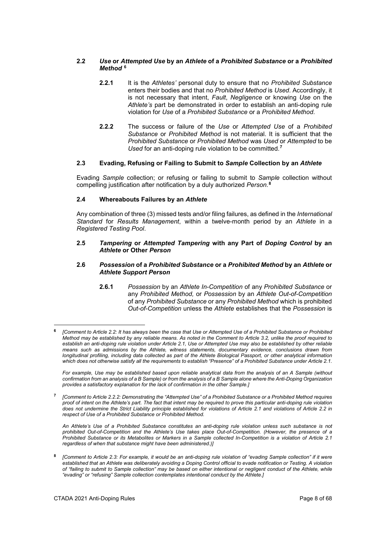# **2.2** *Use* **or** *Attempted Use* **by an** *Athlete* **of a** *Prohibited Substance* **or a** *Prohibited Method* **[6](#page-7-0)**

- **2.2.1** It is the *Athletes'* personal duty to ensure that no *Prohibited Substance* enters their bodies and that no *Prohibited Method* is *Used*. Accordingly, it is not necessary that intent, *Fault*, *Negligence* or knowing *Use* on the *Athlete's* part be demonstrated in order to establish an anti-doping rule violation for *Use* of a *Prohibited Substance* or a *Prohibited Method*.
- **2.2.2** The success or failure of the *Use* or *Attempted Use* of a *Prohibited Substance* or *Prohibited Method* is not material. It is sufficient that the *Prohibited Substance* or *Prohibited Method* was *Used* or *Attempted* to be *Used* for an anti-doping rule violation to be committed.**[7](#page-7-1)**

# **2.3 Evading, Refusing or Failing to Submit to** *Sample* **Collection by an** *Athlete*

Evading *Sample* collection; or refusing or failing to submit to *Sample* collection without compelling justification after notification by a duly authorized *Person*.**[8](#page-7-2)**

# **2.4 Whereabouts Failures by an** *Athlete*

Any combination of three (3) missed tests and/or filing failures, as defined in the *International Standard* for *Results Management*, within a twelve-month period by an *Athlete* in a *Registered Testing Pool*.

#### **2.5** *Tampering* **or** *Attempted Tampering* **with any Part of** *Doping Control* **by an**  *Athlete* **or Other** *Person*

#### **2.6** *Possession* **of a** *Prohibited Substance* **or a** *Prohibited Method* **by an** *Athlete* **or**  *Athlete Support Person*

**2.6.1** *Possession* by an *Athlete In-Competition* of any *Prohibited Substance* or any *Prohibited Method,* or *Possession* by an *Athlete Out-of-Competition* of any *Prohibited Substance* or any *Prohibited Method* which is prohibited *Out-of-Competition* unless the *Athlete* establishes that the *Possession* is

For example, Use may be established based upon reliable analytical data from the analysis of an A Sample (without *confirmation from an analysis of a B Sample) or from the analysis of a B Sample alone where the Anti-Doping Organization provides a satisfactory explanation for the lack of confirmation in the other Sample.]*

<span id="page-7-1"></span>**<sup>7</sup>** *[Comment to Article 2.2.2: Demonstrating the "Attempted Use" of a Prohibited Substance or a Prohibited Method requires proof of intent on the Athlete's part. The fact that intent may be required to prove this particular anti-doping rule violation does not undermine the Strict Liability principle established for violations of Article 2.1 and violations of Article 2.2 in respect of Use of a Prohibited Substance or Prohibited Method.*

*An Athlete's Use of a Prohibited Substance constitutes an anti-doping rule violation unless such substance is not prohibited Out-of-Competition and the Athlete's Use takes place Out-of-Competition. (However, the presence of a Prohibited Substance or its Metabolites or Markers in a Sample collected In-Competition is a violation of Article 2.1 regardless of when that substance might have been administered.)]*

<span id="page-7-2"></span>**<sup>8</sup>** *[Comment to Article 2.3: For example, it would be an anti-doping rule violation of "evading Sample collection" if it were established that an Athlete was deliberately avoiding a Doping Control official to evade notification or Testing. A violation of "failing to submit to Sample collection" may be based on either intentional or negligent conduct of the Athlete, while "evading" or "refusing" Sample collection contemplates intentional conduct by the Athlete.]*

<span id="page-7-0"></span>**<sup>6</sup>** *[Comment to Article 2.2: It has always been the case that Use or Attempted Use of a Prohibited Substance or Prohibited Method may be established by any reliable means. As noted in the Comment to Article 3.2, unlike the proof required to establish an anti-doping rule violation under Article 2.1, Use or Attempted Use may also be established by other reliable means such as admissions by the Athlete, witness statements, documentary evidence, conclusions drawn from longitudinal profiling, including data collected as part of the Athlete Biological Passport, or other analytical information which does not otherwise satisfy all the requirements to establish "Presence" of a Prohibited Substance under Article 2.1.*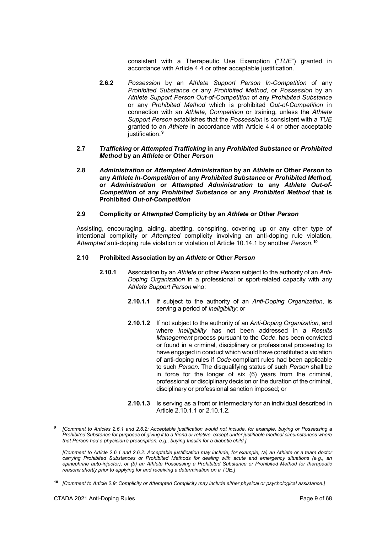consistent with a Therapeutic Use Exemption ("*TUE*") granted in accordance with Article 4.4 or other acceptable justification.

- **2.6.2** *Possession* by an *Athlete Support Person In-Competition* of any *Prohibited Substance* or any *Prohibited Method,* or *Possession* by an *Athlete Support Person Out-of-Competition* of any *Prohibited Substance*  or any *Prohibited Method* which is prohibited *Out-of-Competition* in connection with an *Athlete*, *Competition* or training, unless the *Athlete Support Person* establishes that the *Possession* is consistent with a *TUE* granted to an *Athlete* in accordance with Article 4.4 or other acceptable justification.**[9](#page-8-0)**
- **2.7** *Trafficking* **or** *Attempted Trafficking* **in any** *Prohibited Substance* **or** *Prohibited Method* **by an** *Athlete* **or Other** *Person*
- **2.8** *Administration* **or** *Attempted Administration* **by an** *Athlete* **or Other** *Person* **to any** *Athlete In-Competition* **of any** *Prohibited Substance* **or** *Prohibited Method,*  **or** *Administration* **or** *Attempted Administration* **to any** *Athlete Out-of-Competition* **of any** *Prohibited Substance* **or any** *Prohibited Method* **that is Prohibited** *Out-of-Competition*

## **2.9 Complicity or** *Attempted* **Complicity by an** *Athlete* **or Other** *Person*

Assisting, encouraging, aiding, abetting, conspiring, covering up or any other type of intentional complicity or *Attempted* complicity involving an anti-doping rule violation, *Attempted* anti-doping rule violation or violation of Article 10.14.1 by another *Person*. **[10](#page-8-1)**

#### **2.10 Prohibited Association by an** *Athlete* **or Other** *Person*

- **2.10.1** Association by an *Athlete* or other *Person* subject to the authority of an *Anti-Doping Organization* in a professional or sport-related capacity with any *Athlete Support Person* who:
	- **2.10.1.1** If subject to the authority of an *Anti-Doping Organization*, is serving a period of *Ineligibility*; or
	- **2.10.1.2** If not subject to the authority of an *Anti-Doping Organization*, and where *Ineligibility* has not been addressed in a *Results Management* process pursuant to the *Code*, has been convicted or found in a criminal, disciplinary or professional proceeding to have engaged in conduct which would have constituted a violation of anti-doping rules if *Code*-compliant rules had been applicable to such *Person.* The disqualifying status of such *Person* shall be in force for the longer of six (6) years from the criminal, professional or disciplinary decision or the duration of the criminal, disciplinary or professional sanction imposed; or
	- **2.10.1.3** Is serving as a front or intermediary for an individual described in Article 2.10.1.1 or 2.10.1.2.

<span id="page-8-0"></span>**<sup>9</sup>** *[Comment to Articles 2.6.1 and 2.6.2: Acceptable justification would not include, for example, buying or Possessing a Prohibited Substance for purposes of giving it to a friend or relative, except under justifiable medical circumstances where that Person had a physician's prescription, e.g., buying Insulin for a diabetic child.]*

*<sup>[</sup>Comment to Article 2.6.1 and 2.6.2: Acceptable justification may include, for example, (a) an Athlete or a team doctor carrying Prohibited Substances or Prohibited Methods for dealing with acute and emergency situations (e.g., an epinephrine auto-injector), or (b) an Athlete Possessing a Prohibited Substance or Prohibited Method for therapeutic reasons shortly prior to applying for and receiving a determination on a TUE.]*

<span id="page-8-1"></span>**<sup>10</sup>** *[Comment to Article 2.9: Complicity or Attempted Complicity may include either physical or psychological assistance.]*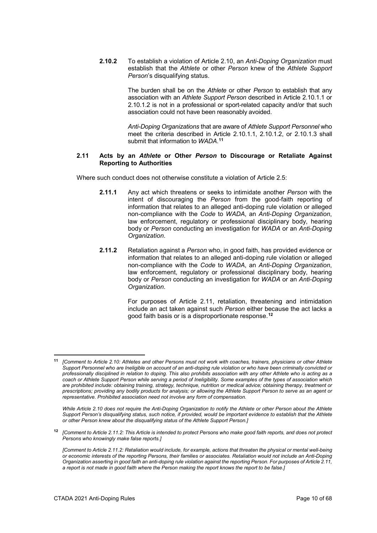**2.10.2** To establish a violation of Article 2.10, an *Anti-Doping Organization* must establish that the *Athlete* or other *Person* knew of the *Athlete Support Person*'s disqualifying status.

> The burden shall be on the *Athlete* or other *Person* to establish that any association with an *Athlete Support Person* described in Article 2.10.1.1 or 2.10.1.2 is not in a professional or sport-related capacity and/or that such association could not have been reasonably avoided.

> *Anti-Doping Organizations* that are aware of *Athlete Support Personnel* who meet the criteria described in Article 2.10.1.1, 2.10.1.2, or 2.10.1.3 shall submit that information to *WADA*. **[11](#page-9-0)**

#### **2.11 Acts by an** *Athlete* **or Other** *Person* **to Discourage or Retaliate Against Reporting to Authorities**

Where such conduct does not otherwise constitute a violation of Article 2.5:

- **2.11.1** Any act which threatens or seeks to intimidate another *Person* with the intent of discouraging the *Person* from the good-faith reporting of information that relates to an alleged anti-doping rule violation or alleged non-compliance with the *Code* to *WADA*, an *Anti-Doping Organization*, law enforcement, regulatory or professional disciplinary body, hearing body or *Person* conducting an investigation for *WADA* or an *Anti-Doping Organization*.
- **2.11.2** Retaliation against a *Person* who, in good faith, has provided evidence or information that relates to an alleged anti-doping rule violation or alleged non-compliance with the *Code* to *WADA*, an *Anti-Doping Organization*, law enforcement, regulatory or professional disciplinary body, hearing body or *Person* conducting an investigation for *WADA* or an *Anti-Doping Organization*.

For purposes of Article 2.11, retaliation, threatening and intimidation include an act taken against such *Person* either because the act lacks a good faith basis or is a disproportionate response.**[12](#page-9-1)**

*While Article 2.10 does not require the Anti-Doping Organization to notify the Athlete or other Person about the Athlete*  Support Person's disqualifying status, such notice, if provided, would be important evidence to establish that the Athlete *or other Person knew about the disqualifying status of the Athlete Support Person.]*

<span id="page-9-1"></span>**<sup>12</sup>** *[Comment to Article 2.11.2: This Article is intended to protect Persons who make good faith reports, and does not protect Persons who knowingly make false reports.]*

<span id="page-9-0"></span><sup>&</sup>lt;u>.</u> **<sup>11</sup>** *[Comment to Article 2.10: Athletes and other Persons must not work with coaches, trainers, physicians or other Athlete Support Personnel who are Ineligible on account of an anti-doping rule violation or who have been criminally convicted or professionally disciplined in relation to doping. This also prohibits association with any other Athlete who is acting as a coach or Athlete Support Person while serving a period of Ineligibility. Some examples of the types of association which are prohibited include: obtaining training, strategy, technique, nutrition or medical advice; obtaining therapy, treatment or prescriptions; providing any bodily products for analysis; or allowing the Athlete Support Person to serve as an agent or representative. Prohibited association need not involve any form of compensation.*

*<sup>[</sup>Comment to Article 2.11.2: Retaliation would include, for example, actions that threaten the physical or mental well-being or economic interests of the reporting Persons, their families or associates. Retaliation would not include an Anti-Doping Organization asserting in good faith an anti-doping rule violation against the reporting Person. For purposes of Article 2.11, a report is not made in good faith where the Person making the report knows the report to be false.]*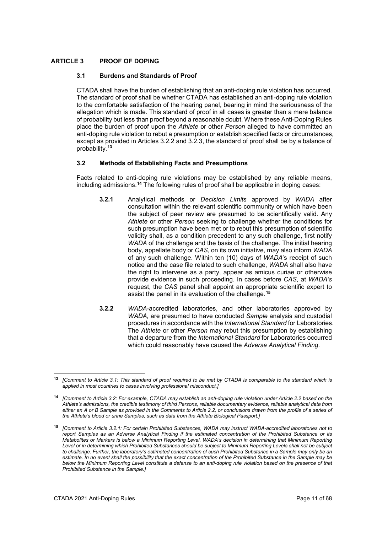# <span id="page-10-0"></span>**ARTICLE 3 PROOF OF DOPING**

# **3.1 Burdens and Standards of Proof**

CTADA shall have the burden of establishing that an anti-doping rule violation has occurred. The standard of proof shall be whether CTADA has established an anti-doping rule violation to the comfortable satisfaction of the hearing panel, bearing in mind the seriousness of the allegation which is made. This standard of proof in all cases is greater than a mere balance of probability but less than proof beyond a reasonable doubt. Where these Anti-Doping Rules place the burden of proof upon the *Athlete* or other *Person* alleged to have committed an anti-doping rule violation to rebut a presumption or establish specified facts or circumstances, except as provided in Articles 3.2.2 and 3.2.3, the standard of proof shall be by a balance of probability.**[13](#page-10-1)**

# **3.2 Methods of Establishing Facts and Presumptions**

Facts related to anti-doping rule violations may be established by any reliable means, including admissions.**[14](#page-10-2)** The following rules of proof shall be applicable in doping cases:

- **3.2.1** Analytical methods or *Decision Limits* approved by *WADA* after consultation within the relevant scientific community or which have been the subject of peer review are presumed to be scientifically valid. Any *Athlete* or other *Person* seeking to challenge whether the conditions for such presumption have been met or to rebut this presumption of scientific validity shall, as a condition precedent to any such challenge, first notify *WADA* of the challenge and the basis of the challenge. The initial hearing body, appellate body or *CAS*, on its own initiative, may also inform *WADA* of any such challenge. Within ten (10) days of *WADA*'s receipt of such notice and the case file related to such challenge, *WADA* shall also have the right to intervene as a party, appear as amicus curiae or otherwise provide evidence in such proceeding. In cases before *CAS*, at *WADA's* request, the *CAS* panel shall appoint an appropriate scientific expert to assist the panel in its evaluation of the challenge.**[15](#page-10-3)**
- **3.2.2** *WADA*-accredited laboratories, and other laboratories approved by *WADA*, are presumed to have conducted *Sample* analysis and custodial procedures in accordance with the *International Standard* for Laboratories. The *Athlete* or other *Person* may rebut this presumption by establishing that a departure from the *International Standard* for Laboratories occurred which could reasonably have caused the *Adverse Analytical Finding*.

<span id="page-10-1"></span><sup>-</sup>**<sup>13</sup>** *[Comment to Article 3.1: This standard of proof required to be met by CTADA is comparable to the standard which is applied in most countries to cases involving professional misconduct.]*

<span id="page-10-2"></span>**<sup>14</sup>** *[Comment to Article 3.2: For example, CTADA may establish an anti-doping rule violation under Article 2.2 based on the Athlete's admissions, the credible testimony of third Persons, reliable documentary evidence, reliable analytical data from either an A or B Sample as provided in the Comments to Article 2.2, or conclusions drawn from the profile of a series of the Athlete's blood or urine Samples, such as data from the Athlete Biological Passport.]*

<span id="page-10-3"></span>**<sup>15</sup>** *[Comment to Article 3.2.1: For certain Prohibited Substances, WADA may instruct WADA-accredited laboratories not to report Samples as an Adverse Analytical Finding if the estimated concentration of the Prohibited Substance or its Metabolites or Markers is below a Minimum Reporting Level. WADA's decision in determining that Minimum Reporting Level or in determining which Prohibited Substances should be subject to Minimum Reporting Levels shall not be subject to challenge. Further, the laboratory's estimated concentration of such Prohibited Substance in a Sample may only be an estimate. In no event shall the possibility that the exact concentration of the Prohibited Substance in the Sample may be below the Minimum Reporting Level constitute a defense to an anti-doping rule violation based on the presence of that Prohibited Substance in the Sample.]*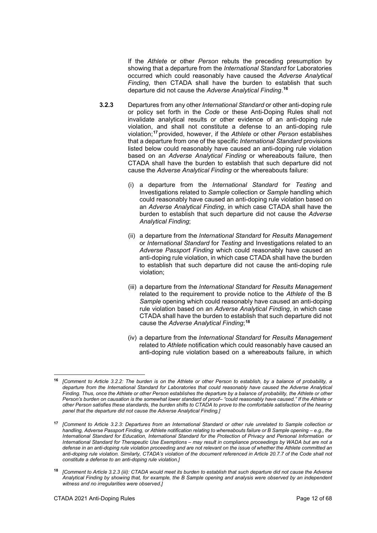If the *Athlete* or other *Person* rebuts the preceding presumption by showing that a departure from the *International Standard* for Laboratories occurred which could reasonably have caused the *Adverse Analytical Finding*, then CTADA shall have the burden to establish that such departure did not cause the *Adverse Analytical Finding*. **[16](#page-11-0)**

- **3.2.3** Departures from any other *International Standard* or other anti-doping rule or policy set forth in the *Code* or these Anti-Doping Rules shall not invalidate analytical results or other evidence of an anti-doping rule violation, and shall not constitute a defense to an anti-doping rule violation;**[17](#page-11-1)** provided, however, if the *Athlete* or other *Person* establishes that a departure from one of the specific *International Standard* provisions listed below could reasonably have caused an anti-doping rule violation based on an *Adverse Analytical Finding* or whereabouts failure, then CTADA shall have the burden to establish that such departure did not cause the *Adverse Analytical Finding* or the whereabouts failure:
	- (i) a departure from the *International Standard* for *Testing* and Investigations related to *Sample* collection or *Sample* handling which could reasonably have caused an anti-doping rule violation based on an *Adverse Analytical Finding*, in which case CTADA shall have the burden to establish that such departure did not cause the *Adverse Analytical Finding*;
	- (ii) a departure from the *International Standard* for *Results Management* or *International Standard* for *Testing* and Investigations related to an *Adverse Passport Finding* which could reasonably have caused an anti-doping rule violation, in which case CTADA shall have the burden to establish that such departure did not cause the anti-doping rule violation;
	- (iii) a departure from the *International Standard* for *Results Management* related to the requirement to provide notice to the *Athlete* of the B *Sample* opening which could reasonably have caused an anti-doping rule violation based on an *Adverse Analytical Finding*, in which case CTADA shall have the burden to establish that such departure did not cause the *Adverse Analytical Finding*; **[18](#page-11-2)**
	- (iv) a departure from the *International Standard* for *Results Management* related to *Athlete* notification which could reasonably have caused an anti-doping rule violation based on a whereabouts failure, in which

-

<span id="page-11-0"></span>**<sup>16</sup>** *[Comment to Article 3.2.2: The burden is on the Athlete or other Person to establish, by a balance of probability, a departure from the International Standard for Laboratories that could reasonably have caused the Adverse Analytical Finding. Thus, once the Athlete or other Person establishes the departure by a balance of probability, the Athlete or other Person's burden on causation is the somewhat lower standard of proof– "could reasonably have caused." If the Athlete or other Person satisfies these standards, the burden shifts to CTADA to prove to the comfortable satisfaction of the hearing panel that the departure did not cause the Adverse Analytical Finding.]*

<span id="page-11-1"></span>**<sup>17</sup>** *[Comment to Article 3.2.3: Departures from an International Standard or other rule unrelated to Sample collection or handling, Adverse Passport Finding, or Athlete notification relating to whereabouts failure or B Sample opening – e.g., the International Standard for Education, International Standard for the Protection of Privacy and Personal Information or International Standard for Therapeutic Use Exemptions – may result in compliance proceedings by WADA but are not a defense in an anti-doping rule violation proceeding and are not relevant on the issue of whether the Athlete committed an anti-doping rule violation. Similarly, CTADA's violation of the document referenced in Article 20.7.7 of the Code shall not constitute a defense to an anti-doping rule violation.]*

<span id="page-11-2"></span>**<sup>18</sup>** *[Comment to Article 3.2.3 (iii): CTADA would meet its burden to establish that such departure did not cause the Adverse Analytical Finding by showing that, for example, the B Sample opening and analysis were observed by an independent witness and no irregularities were observed.]*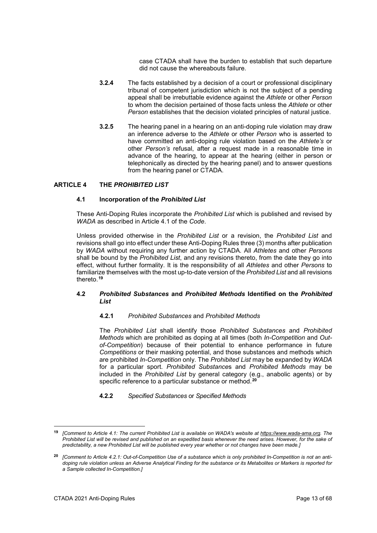case CTADA shall have the burden to establish that such departure did not cause the whereabouts failure.

- **3.2.4** The facts established by a decision of a court or professional disciplinary tribunal of competent jurisdiction which is not the subject of a pending appeal shall be irrebuttable evidence against the *Athlete* or other *Person* to whom the decision pertained of those facts unless the *Athlete* or other *Person* establishes that the decision violated principles of natural justice.
- **3.2.5** The hearing panel in a hearing on an anti-doping rule violation may draw an inference adverse to the *Athlete* or other *Person* who is asserted to have committed an anti-doping rule violation based on the *Athlete's* or other *Person's* refusal, after a request made in a reasonable time in advance of the hearing, to appear at the hearing (either in person or telephonically as directed by the hearing panel) and to answer questions from the hearing panel or CTADA.

# <span id="page-12-0"></span>**ARTICLE 4 THE** *PROHIBITED LIST*

#### **4.1 Incorporation of the** *Prohibited List*

These Anti-Doping Rules incorporate the *Prohibited List* which is published and revised by *WADA* as described in Article 4.1 of the *Code*.

Unless provided otherwise in the *Prohibited List* or a revision, the *Prohibited List* and revisions shall go into effect under these Anti-Doping Rules three (3) months after publication by *WADA* without requiring any further action by CTADA*.* All *Athletes* and other *Persons* shall be bound by the *Prohibited List*, and any revisions thereto, from the date they go into effect, without further formality. It is the responsibility of all *Athletes* and other *Persons* to familiarize themselves with the most up-to-date version of the *Prohibited List* and all revisions thereto.**[19](#page-12-1)**

# **4.2** *Prohibited Substances* **and** *Prohibited Methods* **Identified on the** *Prohibited List*

# **4.2.1** *Prohibited Substances* and *Prohibited Methods*

The *Prohibited List* shall identify those *Prohibited Substances* and *Prohibited Methods* which are prohibited as doping at all times (both *In-Competition* and *Outof-Competition*) because of their potential to enhance performance in future *Competitions* or their masking potential, and those substances and methods which are prohibited *In-Competition* only. The *Prohibited List* may be expanded by *WADA*  for a particular sport. *Prohibited Substance*s and *Prohibited Methods* may be included in the *Prohibited List* by general category (e.g., anabolic agents) or by specific reference to a particular substance or method.**[20](#page-12-2)**

#### **4.2.2** *Specified Substances* or *Specified Methods*

<span id="page-12-1"></span><sup>19</sup> **<sup>19</sup>** *[Comment to Article 4.1: The current Prohibited List is available on WADA's website at [https://www.wada-ama.org.](https://www.wada-ama.org/) The Prohibited List will be revised and published on an expedited basis whenever the need arises. However, for the sake of predictability, a new Prohibited List will be published every year whether or not changes have been made.]*

<span id="page-12-2"></span>**<sup>20</sup>** *[Comment to Article 4.2.1: Out-of-Competition Use of a substance which is only prohibited In-Competition is not an antidoping rule violation unless an Adverse Analytical Finding for the substance or its Metabolites or Markers is reported for a Sample collected In-Competition.]*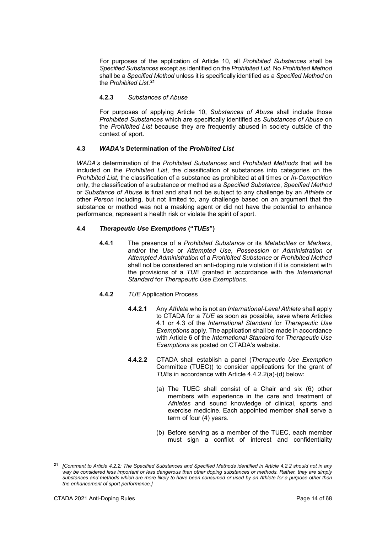For purposes of the application of Article 10, all *Prohibited Substances* shall be *Specified Substances* except as identified on the *Prohibited List*. No *Prohibited Method* shall be a *Specified Method* unless it is specifically identified as a *Specified Method* on the *Prohibited List*. **[21](#page-13-0)**

# **4.2.3** *Substances of Abuse*

For purposes of applying Article 10, *Substances of Abuse* shall include those *Prohibited Substances* which are specifically identified as *Substances of Abuse* on the *Prohibited List* because they are frequently abused in society outside of the context of sport.

# **4.3** *WADA's* **Determination of the** *Prohibited List*

*WADA's* determination of the *Prohibited Substances* and *Prohibited Methods* that will be included on the *Prohibited List*, the classification of substances into categories on the *Prohibited List*, the classification of a substance as prohibited at all times or *In-Competition* only, the classification of a substance or method as a *Specified Substance*, *Specified Method* or *Substance of Abuse* is final and shall not be subject to any challenge by an *Athlete* or other *Person* including, but not limited to, any challenge based on an argument that the substance or method was not a masking agent or did not have the potential to enhance performance, represent a health risk or violate the spirit of sport.

# **4.4** *Therapeutic Use Exemptions* **("***TUEs***")**

**4.4.1** The presence of a *Prohibited Substance* or its *Metabolites* or *Markers*, and/or the *Use* or *Attempted Use*, *Possession* or *Administration* or *Attempted Administration* of a *Prohibited Substance* or *Prohibited Method* shall not be considered an anti-doping rule violation if it is consistent with the provisions of a *TUE* granted in accordance with the *International Standard* for *Therapeutic Use Exemptions*.

# **4.4.2** *TUE* Application Process

- **4.4.2.1** Any *Athlete* who is not an *International-Level Athlete* shall apply to CTADA for a *TUE* as soon as possible, save where Articles 4.1 or 4.3 of the *International Standard* for *Therapeutic Use Exemptions* apply. The application shall be made in accordance with Article 6 of the *International Standard* for *Therapeutic Use Exemptions* as posted on CTADA's website.
- **4.4.2.2** CTADA shall establish a panel (*Therapeutic Use Exemption* Committee (TUEC)) to consider applications for the grant of *TUE*s in accordance with Article 4.4.2.2(a)-(d) below:
	- (a) The TUEC shall consist of a Chair and six (6) other members with experience in the care and treatment of *Athletes* and sound knowledge of clinical, sports and exercise medicine. Each appointed member shall serve a term of four (4) years.
	- (b) Before serving as a member of the TUEC, each member must sign a conflict of interest and confidentiality

-

<span id="page-13-0"></span>**<sup>21</sup>** *[Comment to Article 4.2.2: The Specified Substances and Specified Methods identified in Article 4.2.2 should not in any way be considered less important or less dangerous than other doping substances or methods. Rather, they are simply substances and methods which are more likely to have been consumed or used by an Athlete for a purpose other than the enhancement of sport performance.]*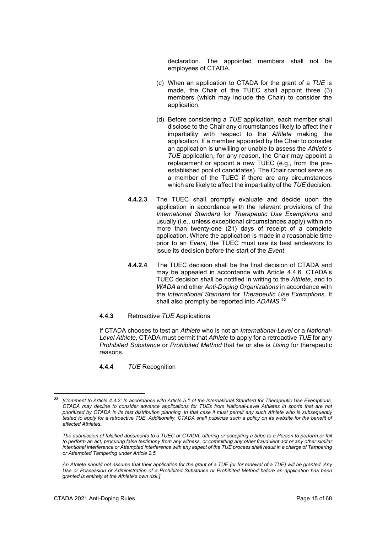declaration. The appointed members shall not be employees of CTADA.

- (c) When an application to CTADA for the grant of a *TUE* is made, the Chair of the TUEC shall appoint three (3) members (which may include the Chair) to consider the application.
- (d) Before considering a *TUE* application, each member shall disclose to the Chair any circumstances likely to affect their impartiality with respect to the *Athlete* making the application. If a member appointed by the Chair to consider an application is unwilling or unable to assess the *Athlete*'s *TUE* application, for any reason, the Chair may appoint a replacement or appoint a new TUEC (e.g., from the preestablished pool of candidates). The Chair cannot serve as a member of the TUEC if there are any circumstances which are likely to affect the impartiality of the *TUE* decision.
- **4.4.2.3** The TUEC shall promptly evaluate and decide upon the application in accordance with the relevant provisions of the *International Standard* for *Therapeutic Use Exemptions* and usually (i.e., unless exceptional circumstances apply) within no more than twenty-one (21) days of receipt of a complete application. Where the application is made in a reasonable time prior to an *Event*, the TUEC must use its best endeavors to issue its decision before the start of the *Event*.
- **4.4.2.4** The TUEC decision shall be the final decision of CTADA and may be appealed in accordance with Article 4.4.6. CTADA's TUEC decision shall be notified in writing to the *Athlete*, and to *WADA* and other *Anti-Doping Organizations* in accordance with the *International Standard* for *Therapeutic Use Exemptions*. It shall also promptly be reported into *ADAMS*. **[22](#page-14-0)**
- **4.4.3** Retroactive *TUE* Applications

If CTADA chooses to test an *Athlete* who is not an *International-Level* or a *National-Level Athlete*, CTADA must permit that *Athlete* to apply for a retroactive *TUE* for any *Prohibited Substance* or *Prohibited Method* that he or she is *Using* for therapeutic reasons.

**4.4.4** *TUE* Recognition

<span id="page-14-0"></span><sup>22</sup> **<sup>22</sup>** *[Comment to Article 4.4.2: In accordance with Article 5.1 of the International Standard for Therapeutic Use Exemptions, CTADA may decline to consider advance applications for TUEs from National-Level Athletes in sports that are not prioritized by CTADA in its test distribution planning. In that case it must permit any such Athlete who is subsequently tested to apply for a retroactive TUE. Additionally, CTADA shall publicize such a policy on its website for the benefit of affected Athletes.*

*The submission of falsified documents to a TUEC or CTADA, offering or accepting a bribe to a Person to perform or fail to perform an act, procuring false testimony from any witness, or committing any other fraudulent act or any other similar intentional interference or Attempted interference with any aspect of the TUE process shall result in a charge of Tampering or Attempted Tampering under Article 2.5.*

*An Athlete should not assume that their application for the grant of a TUE (or for renewal of a TUE) will be granted. Any Use or Possession or Administration of a Prohibited Substance or Prohibited Method before an application has been granted is entirely at the Athlete's own risk.]*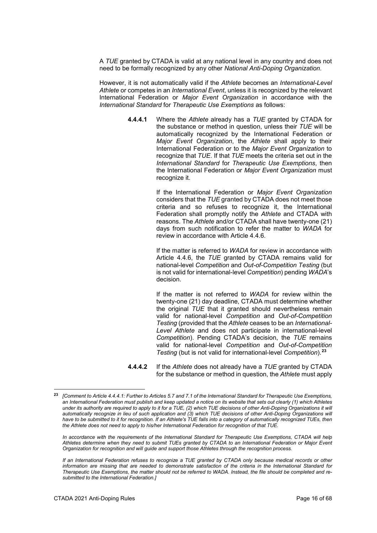A *TUE* granted by CTADA is valid at any national level in any country and does not need to be formally recognized by any other *National Anti-Doping Organization*.

However, it is not automatically valid if the *Athlete* becomes an *International-Level Athlete* or competes in an *International Event*, unless it is recognized by the relevant International Federation or *Major Event Organization* in accordance with the *International Standard* for *Therapeutic Use Exemptions* as follows:

> **4.4.4.1** Where the *Athlete* already has a *TUE* granted by CTADA for the substance or method in question, unless their *TUE* will be automatically recognized by the International Federation or *Major Event Organization*, the *Athlete* shall apply to their International Federation or to the *Major Event Organization* to recognize that *TUE*. If that *TUE* meets the criteria set out in the *International Standard* for *Therapeutic Use Exemptions*, then the International Federation or *Major Event Organization* must recognize it.

> > If the International Federation or *Major Event Organization* considers that the *TUE* granted by CTADA does not meet those criteria and so refuses to recognize it, the International Federation shall promptly notify the *Athlete* and CTADA with reasons. The *Athlete* and/or CTADA shall have twenty-one (21) days from such notification to refer the matter to *WADA* for review in accordance with Article 4.4.6.

> > If the matter is referred to *WADA* for review in accordance with Article 4.4.6, the *TUE* granted by CTADA remains valid for national-level *Competition* and *Out-of-Competition Testing* (but is not valid for international-level *Competition*) pending *WADA*'s decision.

> > If the matter is not referred to *WADA* for review within the twenty-one (21) day deadline, CTADA must determine whether the original *TUE* that it granted should nevertheless remain valid for national-level *Competition* and *Out-of-Competition Testing* (provided that the *Athlete* ceases to be an *International-Level Athlete* and does not participate in international-level *Competition*). Pending CTADA's decision, the *TUE* remains valid for national-level *Competition* and *Out-of-Competition Testing* (but is not valid for international-level *Competition*).**[23](#page-15-0)**

**4.4.4.2** If the *Athlete* does not already have a *TUE* granted by CTADA for the substance or method in question, the *Athlete* must apply

*In accordance with the requirements of the International Standard for Therapeutic Use Exemptions, CTADA will help Athletes determine when they need to submit TUEs granted by CTADA to an International Federation or Major Event Organization for recognition and will guide and support those Athletes through the recognition process.*

<span id="page-15-0"></span>**<sup>23</sup>** *[Comment to Article 4.4.4.1: Further to Articles 5.7 and 7.1 of the International Standard for Therapeutic Use Exemptions, an International Federation must publish and keep updated a notice on its website that sets out clearly (1) which Athletes under its authority are required to apply to it for a TUE, (2) which TUE decisions of other Anti-Doping Organizations it will*  automatically recognize in lieu of such application and (3) which TUE decisions of other Anti-Doping Organizations will *have to be submitted to it for recognition. If an Athlete's TUE falls into a category of automatically recognized TUEs, then the Athlete does not need to apply to his/her International Federation for recognition of that TUE.*

*If an International Federation refuses to recognize a TUE granted by CTADA only because medical records or other information are missing that are needed to demonstrate satisfaction of the criteria in the International Standard for Therapeutic Use Exemptions, the matter should not be referred to WADA. Instead, the file should be completed and resubmitted to the International Federation.]*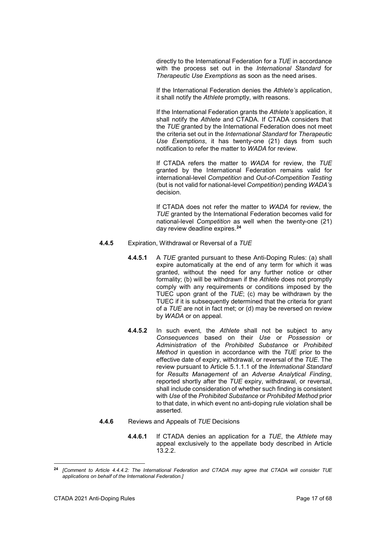directly to the International Federation for a *TUE* in accordance with the process set out in the *International Standard* for *Therapeutic Use Exemptions* as soon as the need arises.

If the International Federation denies the *Athlete's* application, it shall notify the *Athlete* promptly, with reasons.

If the International Federation grants the *Athlete's* application, it shall notify the *Athlete* and CTADA. If CTADA considers that the *TUE* granted by the International Federation does not meet the criteria set out in the *International Standard* for *Therapeutic Use Exemptions*, it has twenty-one (21) days from such notification to refer the matter to *WADA* for review.

If CTADA refers the matter to *WADA* for review, the *TUE* granted by the International Federation remains valid for international-level *Competition* and *Out-of-Competition Testing* (but is not valid for national-level *Competition*) pending *WADA's* decision.

If CTADA does not refer the matter to *WADA* for review, the *TUE* granted by the International Federation becomes valid for national-level *Competition* as well when the twenty-one (21) day review deadline expires.**[24](#page-16-0)**

- **4.4.5** Expiration, Withdrawal or Reversal of a *TUE*
	- **4.4.5.1** A *TUE* granted pursuant to these Anti-Doping Rules: (a) shall expire automatically at the end of any term for which it was granted, without the need for any further notice or other formality; (b) will be withdrawn if the *Athlete* does not promptly comply with any requirements or conditions imposed by the TUEC upon grant of the *TUE*; (c) may be withdrawn by the TUEC if it is subsequently determined that the criteria for grant of a *TUE* are not in fact met; or (d) may be reversed on review by *WADA* or on appeal.
	- **4.4.5.2** In such event, the *Athlete* shall not be subject to any *Consequences* based on their *Use* or *Possession* or *Administration* of the *Prohibited Substance* or *Prohibited Method* in question in accordance with the *TUE* prior to the effective date of expiry, withdrawal, or reversal of the *TUE*. The review pursuant to Article 5.1.1.1 of the *International Standard* for *Results Management* of an *Adverse Analytical Finding*, reported shortly after the *TUE* expiry, withdrawal, or reversal, shall include consideration of whether such finding is consistent with *Use* of the *Prohibited Substance* or *Prohibited Method* prior to that date, in which event no anti-doping rule violation shall be asserted.
- **4.4.6** Reviews and Appeals of *TUE* Decisions
	- **4.4.6.1** If CTADA denies an application for a *TUE*, the *Athlete* may appeal exclusively to the appellate body described in Article 13.2.2.

<span id="page-16-0"></span>**<sup>24</sup>** *[Comment to Article 4.4.4.2: The International Federation and CTADA may agree that CTADA will consider TUE applications on behalf of the International Federation.]*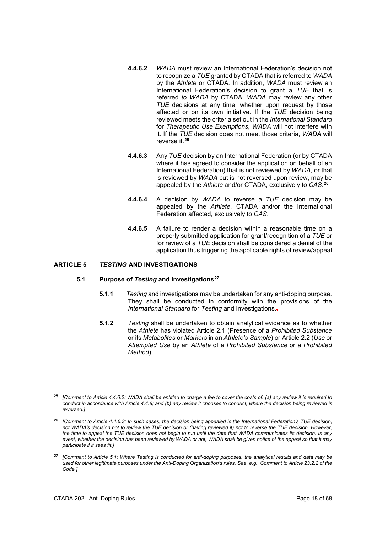- **4.4.6.2** *WADA* must review an International Federation's decision not to recognize a *TUE* granted by CTADA that is referred to *WADA* by the *Athlete* or CTADA*.* In addition, *WADA* must review an International Federation's decision to grant a *TUE* that is referred *to WADA* by CTADA. *WADA* may review any other *TUE* decisions at any time, whether upon request by those affected or on its own initiative. If the *TUE* decision being reviewed meets the criteria set out in the *International Standard*  for *Therapeutic Use Exemptions*, *WADA* will not interfere with it. If the *TUE* decision does not meet those criteria, *WADA* will reverse it.**[25](#page-17-1)**
- **4.4.6.3** Any *TUE* decision by an International Federation (or by CTADA where it has agreed to consider the application on behalf of an International Federation) that is not reviewed by *WADA*, or that is reviewed by *WADA* but is not reversed upon review, may be appealed by the *Athlete* and/or CTADA, exclusively to *CAS*. **[26](#page-17-2)**
- **4.4.6.4** A decision by *WADA* to reverse a *TUE* decision may be appealed by the *Athlete*, CTADA and/or the International Federation affected, exclusively to *CAS*.
- **4.4.6.5** A failure to render a decision within a reasonable time on a properly submitted application for grant/recognition of a *TUE* or for review of a *TUE* decision shall be considered a denial of the application thus triggering the applicable rights of review/appeal.

# <span id="page-17-0"></span>**ARTICLE 5** *TESTING* **AND INVESTIGATIONS**

#### **5.1 Purpose of** *Testing* **and Investigations[27](#page-17-3)**

- **5.1.1** *Testing* and investigations may be undertaken for any anti-doping purpose. They shall be conducted in conformity with the provisions of the *International Standard* for *Testing* and Investigations..
- **5.1.2** *Testing* shall be undertaken to obtain analytical evidence as to whether the *Athlete* has violated Article 2.1 (Presence of a *Prohibited Substance* or its *Metabolites* or *Markers* in an *Athlete's Sample*) or Article 2.2 (*Use* or *Attempted Use* by an *Athlete* of a *Prohibited Substance* or a *Prohibited Method*).

<span id="page-17-1"></span><sup>&</sup>lt;u>.</u> **<sup>25</sup>** *[Comment to Article 4.4.6.2: WADA shall be entitled to charge a fee to cover the costs of: (a) any review it is required to conduct in accordance with Article 4.4.8; and (b) any review it chooses to conduct, where the decision being reviewed is reversed.]*

<span id="page-17-2"></span>**<sup>26</sup>** *[Comment to Article 4.4.6.3: In such cases, the decision being appealed is the International Federation's TUE decision, not WADA's decision not to review the TUE decision or (having reviewed it) not to reverse the TUE decision. However, the time to appeal the TUE decision does not begin to run until the date that WADA communicates its decision. In any event, whether the decision has been reviewed by WADA or not, WADA shall be given notice of the appeal so that it may participate if it sees fit.]*

<span id="page-17-3"></span>**<sup>27</sup>** *[Comment to Article 5.1: Where Testing is conducted for anti-doping purposes, the analytical results and data may be used for other legitimate purposes under the Anti-Doping Organization's rules. See, e.g., Comment to Article 23.2.2 of the Code.]*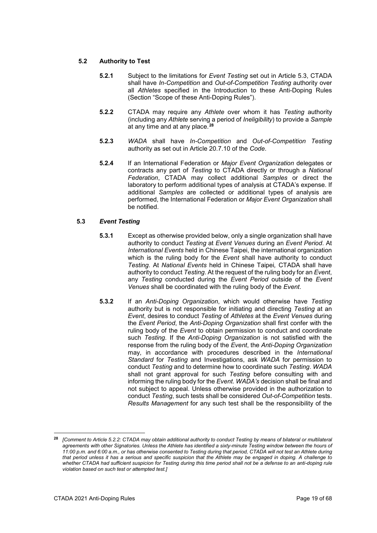# **5.2 Authority to Test**

- **5.2.1** Subject to the limitations for *Event Testing* set out in Article 5.3, CTADA shall have *In-Competition* and *Out-of-Competition Testing* authority over all *Athletes* specified in the Introduction to these Anti-Doping Rules (Section "Scope of these Anti-Doping Rules").
- **5.2.2** CTADA may require any *Athlete* over whom it has *Testing* authority (including any *Athlete* serving a period of *Ineligibility*) to provide a *Sample*  at any time and at any place.**[28](#page-18-0)**
- **5.2.3** *WADA* shall have *In-Competition* and *Out-of-Competition Testing* authority as set out in Article 20.7.10 of the *Code*.
- **5.2.4** If an International Federation or *Major Event Organization* delegates or contracts any part of *Testing* to CTADA directly or through a *National Federation*, CTADA may collect additional *Samples* or direct the laboratory to perform additional types of analysis at CTADA's expense. If additional *Samples* are collected or additional types of analysis are performed, the International Federation or *Major Event Organization* shall be notified.

# **5.3** *Event Testing*

- **5.3.1** Except as otherwise provided below, only a single organization shall have authority to conduct *Testing* at *Event Venues* during an *Event Period*. At *International Events* held in Chinese Taipei, the international organization which is the ruling body for the *Event* shall have authority to conduct *Testing*. At *National Events* held in Chinese Taipei*,* CTADA shall have authority to conduct *Testing*. At the request of the ruling body for an *Event*, any *Testing* conducted during the *Event Period* outside of the *Event Venues* shall be coordinated with the ruling body of the *Event*.
- **5.3.2** If an *Anti-Doping Organization*, which would otherwise have *Testing* authority but is not responsible for initiating and directing *Testing* at an *Event*, desires to conduct *Testing* of *Athletes* at the *Event Venues* during the *Event Period*, the *Anti-Doping Organization* shall first confer with the ruling body of the *Event* to obtain permission to conduct and coordinate such *Testing*. If the *Anti-Doping Organization* is not satisfied with the response from the ruling body of the *Event*, the *Anti-Doping Organization* may, in accordance with procedures described in the *International Standard* for *Testing* and Investigations, ask *WADA* for permission to conduct *Testing* and to determine how to coordinate such *Testing*. *WADA* shall not grant approval for such *Testing* before consulting with and informing the ruling body for the *Event*. *WADA's* decision shall be final and not subject to appeal. Unless otherwise provided in the authorization to conduct *Testing*, such tests shall be considered *Out-of-Competition* tests. *Results Management* for any such test shall be the responsibility of the

<span id="page-18-0"></span>**<sup>28</sup>** *[Comment to Article 5.2.2: CTADA may obtain additional authority to conduct Testing by means of bilateral or multilateral agreements with other Signatories. Unless the Athlete has identified a sixty-minute Testing window between the hours of 11:00 p.m. and 6:00 a.m., or has otherwise consented to Testing during that period, CTADA will not test an Athlete during that period unless it has a serious and specific suspicion that the Athlete may be engaged in doping. A challenge to*  whether CTADA had sufficient suspicion for Testing during this time period shall not be a defense to an anti-doping rule *violation based on such test or attempted test.]*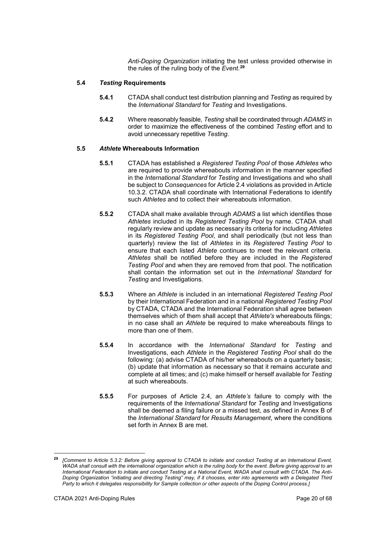*Anti-Doping Organization* initiating the test unless provided otherwise in the rules of the ruling body of the *Event*. **[29](#page-19-0)**

# **5.4** *Testing* **Requirements**

- **5.4.1** CTADA shall conduct test distribution planning and *Testing* as required by the *International Standard* for *Testing* and Investigations.
- **5.4.2** Where reasonably feasible, *Testing* shall be coordinated through *ADAMS* in order to maximize the effectiveness of the combined *Testing* effort and to avoid unnecessary repetitive *Testing*.

# **5.5** *Athlete* **Whereabouts Information**

- **5.5.1** CTADA has established a *Registered Testing Pool* of those *Athletes* who are required to provide whereabouts information in the manner specified in the *International Standard* for *Testing* and Investigations and who shall be subject to *Consequences* for Article 2.4 violations as provided in Article 10.3.2. CTADA shall coordinate with International Federations to identify such *Athletes* and to collect their whereabouts information.
- **5.5.2** CTADA shall make available through *ADAMS* a list which identifies those *Athletes* included in its *Registered Testing Pool* by name. CTADA shall regularly review and update as necessary its criteria for including *Athletes* in its *Registered Testing Pool*, and shall periodically (but not less than quarterly) review the list of *Athletes* in its *Registered Testing Pool* to ensure that each listed *Athlete* continues to meet the relevant criteria. *Athletes* shall be notified before they are included in the *Registered Testing Pool* and when they are removed from that pool. The notification shall contain the information set out in the *International Standard* for *Testing* and Investigations.
- **5.5.3** Where an *Athlete* is included in an international *Registered Testing Pool*  by their International Federation and in a national *Registered Testing Pool*  by CTADA, CTADA and the International Federation shall agree between themselves which of them shall accept that *Athlete's* whereabouts filings; in no case shall an *Athlete* be required to make whereabouts filings to more than one of them.
- **5.5.4** In accordance with the *International Standard* for *Testing* and Investigations, each *Athlete* in the *Registered Testing Pool* shall do the following: (a) advise CTADA of his/her whereabouts on a quarterly basis; (b) update that information as necessary so that it remains accurate and complete at all times; and (c) make himself or herself available for *Testing* at such whereabouts.
- **5.5.5** For purposes of Article 2.4, an *Athlete's* failure to comply with the requirements of the *International Standard* for *Testing* and Investigations shall be deemed a filing failure or a missed test, as defined in Annex B of the *International Standard* for *Results Management*, where the conditions set forth in Annex B are met.

<span id="page-19-0"></span>**<sup>29</sup>** *[Comment to Article 5.3.2: Before giving approval to CTADA to initiate and conduct Testing at an International Event, WADA shall consult with the international organization which is the ruling body for the event. Before giving approval to an International Federation to initiate and conduct Testing at a National Event, WADA shall consult with CTADA. The Anti-Doping Organization "initiating and directing Testing" may, if it chooses, enter into agreements with a Delegated Third Party to which it delegates responsibility for Sample collection or other aspects of the Doping Control process.]*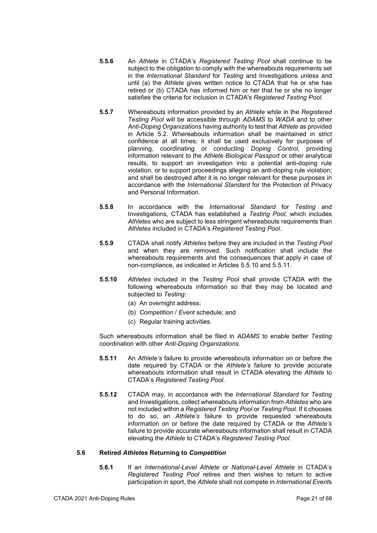- **5.5.6** An *Athlete* in CTADA's *Registered Testing Pool* shall continue to be subject to the obligation to comply with the whereabouts requirements set in the *International Standard* for *Testing* and Investigations unless and until (a) the *Athlete* gives written notice to CTADA that he or she has retired or (b) CTADA has informed him or her that he or she no longer satisfies the criteria for inclusion in CTADA's *Registered Testing Pool*.
- **5.5.7** Whereabouts information provided by an *Athlete* while in the *Registered Testing Pool* will be accessible through *ADAMS* to *WADA* and to other *Anti-Doping Organizations* having authority to test that *Athlete* as provided in Article 5.2. Whereabouts information shall be maintained in strict confidence at all times; it shall be used exclusively for purposes of planning, coordinating or conducting *Doping Control*, providing information relevant to the *Athlete Biological Passport* or other analytical results, to support an investigation into a potential anti-doping rule violation, or to support proceedings alleging an anti-doping rule violation; and shall be destroyed after it is no longer relevant for these purposes in accordance with the *International Standard* for the Protection of Privacy and Personal Information.
- **5.5.8** In accordance with the *International Standard* for *Testing* and Investigations, CTADA has established a *Testing Pool*, which includes *Athletes* who are subject to less stringent whereabouts requirements than *Athletes* included in CTADA's *Registered Testing Pool*.
- **5.5.9** CTADA shall notify *Athletes* before they are included in the *Testing Pool* and when they are removed. Such notification shall include the whereabouts requirements and the consequences that apply in case of non-compliance, as indicated in Articles 5.5.10 and 5.5.11.
- **5.5.10** *Athletes* included in the *Testing Pool* shall provide CTADA with the following whereabouts information so that they may be located and subjected to *Testing:* 
	- (a) An overnight address;
	- (b) *Competition* / *Event* schedule; and
	- (c) Regular training activities.

Such whereabouts information shall be filed in *ADAMS* to enable better *Testing* coordination with other *Anti-Doping Organizations*.

- **5.5.11** An *Athlete's* failure to provide whereabouts information on or before the date required by CTADA or the *Athlete's* failure to provide accurate whereabouts information shall result in CTADA elevating the *Athlete* to CTADA's *Registered Testing Pool*.
- **5.5.12** CTADA may, in accordance with the *International Standard* for *Testing*  and Investigations, collect whereabouts information from *Athletes* who are not included within a *Registered Testing Pool* or *Testing Pool*. If it chooses to do so, an *Athlete's* failure to provide requested whereabouts information on or before the date required by CTADA or the *Athlete's* failure to provide accurate whereabouts information shall result in CTADA elevating the *Athlete* to CTADA's *Registered Testing Pool*.

# **5.6 Retired** *Athletes* **Returning to** *Competition*

**5.6.1** If an *International-Level Athlete* or *National-Level Athlete* in CTADA's *Registered Testing Pool* retires and then wishes to return to active participation in sport, the *Athlete* shall not compete in *International Event*s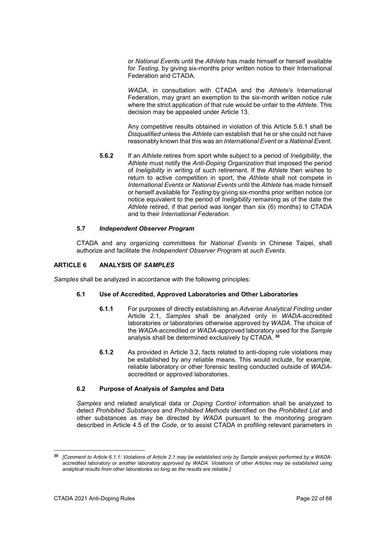or *National Event*s until the *Athlete* has made himself or herself available for *Testing*, by giving six-months prior written notice to their International Federation and CTADA.

*WADA*, in consultation with CTADA and the *Athlete's* International Federation, may grant an exemption to the six-month written notice rule where the strict application of that rule would be unfair to the *Athlete*. This decision may be appealed under Article 13.

Any competitive results obtained in violation of this Article 5.6.1 shall be *Disqualified* unless the *Athlete* can establish that he or she could not have reasonably known that this was an *International Event* or a *National Event*.

**5.6.2** If an *Athlete* retires from sport while subject to a period of *Ineligibility*, the *Athlete* must notify the *Anti-Doping Organization* that imposed the period of *Ineligibility* in writing of such retirement. If the *Athlete* then wishes to return to active competition in sport, the *Athlete* shall not compete in *International Events* or *National Events* until the *Athlete* has made himself or herself available for *Testing* by giving six-months prior written notice (or notice equivalent to the period of *Ineligibility* remaining as of the date the *Athlete* retired, if that period was longer than six (6) months) to CTADA and to their *International Federation*.

# **5.7** *Independent Observer Program*

CTADA and any organizing committees for *National Events* in Chinese Taipei*,* shall authorize and facilitate the *Independent Observer Program* at *such Events*.

# <span id="page-21-0"></span>**ARTICLE 6 ANALYSIS OF** *SAMPLES*

*Samples* shall be analyzed in accordance with the following principles:

## **6.1 Use of Accredited, Approved Laboratories and Other Laboratories**

- **6.1.1** For purposes of directly establishing an *Adverse Analytical Finding* under Article 2.1, *Samples* shall be analyzed only in *WADA*-accredited laboratories or laboratories otherwise approved by *WADA*. The choice of the *WADA*-accredited or *WADA*-approved laboratory used for the *Sample* analysis shall be determined exclusively by CTADA. **[30](#page-21-1)**
- **6.1.2** As provided in Article 3.2, facts related to anti-doping rule violations may be established by any reliable means. This would include, for example, reliable laboratory or other forensic testing conducted outside of *WADA*accredited or approved laboratories.

#### **6.2 Purpose of Analysis of** *Samples* **and Data**

*Samples* and related analytical data or *Doping Control* information shall be analyzed to detect *Prohibited Substances* and *Prohibited Methods* identified on the *Prohibited List* and other substances as may be directed by *WADA* pursuant to the monitoring program described in Article 4.5 of the *Code*, or to assist CTADA in profiling relevant parameters in

<span id="page-21-1"></span>**<sup>30</sup>** *[Comment to Article 6.1.1: Violations of Article 2.1 may be established only by Sample analysis performed by a WADAaccredited laboratory or another laboratory approved by WADA. Violations of other Articles may be established using analytical results from other laboratories so long as the results are reliable.]*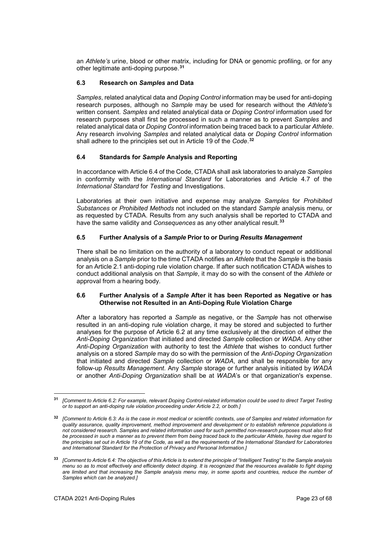an *Athlete's* urine, blood or other matrix, including for DNA or genomic profiling, or for any other legitimate anti-doping purpose.**[31](#page-22-0)**

# **6.3 Research on** *Samples* **and Data**

*Samples*, related analytical data and *Doping Control* information may be used for anti-doping research purposes, although no *Sample* may be used for research without the *Athlete's* written consent. *Samples* and related analytical data or *Doping Control* information used for research purposes shall first be processed in such a manner as to prevent *Samples* and related analytical data or *Doping Control* information being traced back to a particular *Athlete*. Any research involving *Samples* and related analytical data or *Doping Control* information shall adhere to the principles set out in Article 19 of the *Code*. **[32](#page-22-1)**

# **6.4 Standards for** *Sample* **Analysis and Reporting**

In accordance with Article 6.4 of the Code, CTADA shall ask laboratories to analyze *Samples* in conformity with the *International Standard* for Laboratories and Article 4.7 of the *International Standard* for *Testing* and Investigations.

Laboratories at their own initiative and expense may analyze *Samples* for *Prohibited Substances* or *Prohibited Methods* not included on the standard *Sample* analysis menu, or as requested by CTADA. Results from any such analysis shall be reported to CTADA and have the same validity and *Consequences* as any other analytical result.**[33](#page-22-2)**

# **6.5 Further Analysis of a** *Sample* **Prior to or During** *Results Management*

There shall be no limitation on the authority of a laboratory to conduct repeat or additional analysis on a *Sample* prior to the time CTADA notifies an *Athlete* that the *Sample* is the basis for an Article 2.1 anti-doping rule violation charge. If after such notification CTADA wishes to conduct additional analysis on that *Sample*, it may do so with the consent of the *Athlete* or approval from a hearing body.

# **6.6 Further Analysis of a** *Sample* **After it has been Reported as Negative or has Otherwise not Resulted in an Anti-Doping Rule Violation Charge**

After a laboratory has reported a *Sample* as negative, or the *Sample* has not otherwise resulted in an anti-doping rule violation charge, it may be stored and subjected to further analyses for the purpose of Article 6.2 at any time exclusively at the direction of either the *Anti-Doping Organization* that initiated and directed *Sample* collection or *WADA*. Any other *Anti-Doping Organization* with authority to test the *Athlete* that wishes to conduct further analysis on a stored *Sample* may do so with the permission of the *Anti-Doping Organization* that initiated and directed *Sample* collection or *WADA*, and shall be responsible for any follow-up *Results Management*. Any *Sample* storage or further analysis initiated by *WADA* or another *Anti-Doping Organization* shall be at *WADA*'s or that organization's expense.

-

<span id="page-22-0"></span>**<sup>31</sup>** *[Comment to Article 6.2: For example, relevant Doping Control-related information could be used to direct Target Testing or to support an anti-doping rule violation proceeding under Article 2.2, or both.]*

<span id="page-22-1"></span>**<sup>32</sup>** *[Comment to Article 6.3: As is the case in most medical or scientific contexts, use of Samples and related information for quality assurance, quality improvement, method improvement and development or to establish reference populations is not considered research. Samples and related information used for such permitted non-research purposes must also first be processed in such a manner as to prevent them from being traced back to the particular Athlete, having due regard to the principles set out in Article 19 of the Code, as well as the requirements of the International Standard for Laboratories and International Standard for the Protection of Privacy and Personal Information.]*

<span id="page-22-2"></span>**<sup>33</sup>** *[Comment to Article 6.4: The objective of this Article is to extend the principle of "Intelligent Testing" to the Sample analysis menu so as to most effectively and efficiently detect doping. It is recognized that the resources available to fight doping are limited and that increasing the Sample analysis menu may, in some sports and countries, reduce the number of Samples which can be analyzed.]*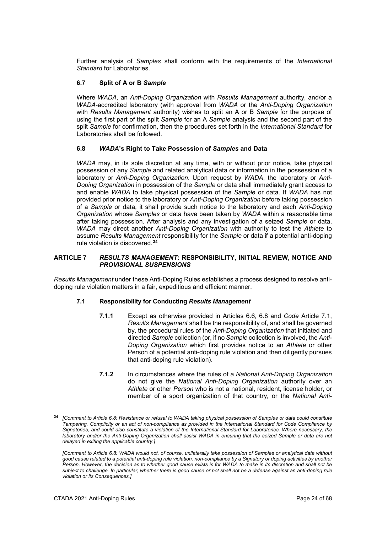Further analysis of *Samples* shall conform with the requirements of the *International Standard* for Laboratories.

# **6.7 Split of A or B** *Sample*

Where *WADA*, an *Anti-Doping Organization* with *Results Management* authority, and/or a *WADA*-accredited laboratory (with approval from *WADA* or the *Anti-Doping Organization* with *Results Management* authority) wishes to split an A or B *Sample* for the purpose of using the first part of the split *Sample* for an A *Sample* analysis and the second part of the split *Sample* for confirmation, then the procedures set forth in the *International Standard* for Laboratories shall be followed.

# **6.8** *WADA***'s Right to Take Possession of** *Samples* **and Data**

*WADA* may, in its sole discretion at any time, with or without prior notice, take physical possession of any *Sample* and related analytical data or information in the possession of a laboratory or *Anti-Doping Organization*. Upon request by *WADA*, the laboratory or *Anti-Doping Organization* in possession of the *Sample* or data shall immediately grant access to and enable *WADA* to take physical possession of the *Sample* or data. If *WADA* has not provided prior notice to the laboratory or *Anti-Doping Organization* before taking possession of a *Sample* or data, it shall provide such notice to the laboratory and each *Anti-Doping Organization* whose *Samples* or data have been taken by *WADA* within a reasonable time after taking possession. After analysis and any investigation of a seized *Sample* or data, *WADA* may direct another *Anti-Doping Organization* with authority to test the *Athlete* to assume *Results Management* responsibility for the *Sample* or data if a potential anti-doping rule violation is discovered.**[34](#page-23-1)**

#### <span id="page-23-0"></span>**ARTICLE 7** *RESULTS MANAGEMENT***: RESPONSIBILITY, INITIAL REVIEW, NOTICE AND**  *PROVISIONAL SUSPENSIONS*

*Results Management* under these Anti-Doping Rules establishes a process designed to resolve antidoping rule violation matters in a fair, expeditious and efficient manner.

## **7.1 Responsibility for Conducting** *Results Management*

- **7.1.1** Except as otherwise provided in Articles 6.6, 6.8 and *Code* Article 7.1, *Results Management* shall be the responsibility of, and shall be governed by, the procedural rules of the *Anti-Doping Organization* that initiated and directed *Sample* collection (or, if no *Sample* collection is involved, the *Anti-Doping Organization* which first provides notice to an *Athlete* or other Person of a potential anti-doping rule violation and then diligently pursues that anti-doping rule violation).
- **7.1.2** In circumstances where the rules of a *National Anti-Doping Organization* do not give the *National Anti-Doping Organization* authority over an *Athlete* or other *Person* who is not a national, resident, license holder, or member of a sport organization of that country, or the *National Anti-*

<span id="page-23-1"></span>**<sup>34</sup>** *[Comment to Article 6.8: Resistance or refusal to WADA taking physical possession of Samples or data could constitute Tampering, Complicity or an act of non-compliance as provided in the International Standard for Code Compliance by Signatories, and could also constitute a violation of the International Standard for Laboratories. Where necessary, the laboratory and/or the Anti-Doping Organization shall assist WADA in ensuring that the seized Sample or data are not delayed in exiting the applicable country.]*

*<sup>[</sup>Comment to Article 6.8: WADA would not, of course, unilaterally take possession of Samples or analytical data without good cause related to a potential anti-doping rule violation, non-compliance by a Signatory or doping activities by another Person. However, the decision as to whether good cause exists is for WADA to make in its discretion and shall not be subject to challenge. In particular, whether there is good cause or not shall not be a defense against an anti-doping rule violation or its Consequences.]*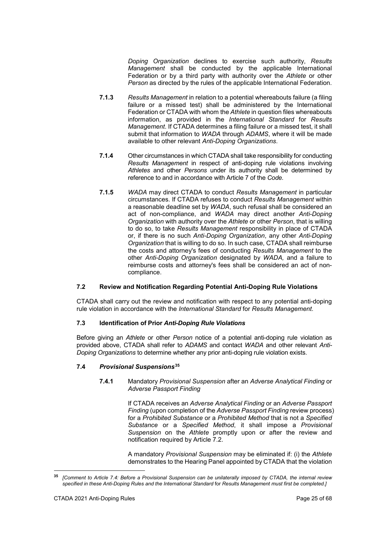*Doping Organization* declines to exercise such authority, *Results Management* shall be conducted by the applicable International Federation or by a third party with authority over the *Athlete* or other *Person* as directed by the rules of the applicable International Federation.

- **7.1.3** *Results Management* in relation to a potential whereabouts failure (a filing failure or a missed test) shall be administered by the International Federation or CTADA with whom the *Athlete* in question files whereabouts information, as provided in the *International Standard* for *Results Management*. If CTADA determines a filing failure or a missed test, it shall submit that information to *WADA* through *ADAMS*, where it will be made available to other relevant *Anti-Doping Organizations*.
- **7.1.4** Other circumstances in which CTADA shall take responsibility for conducting *Results Management* in respect of anti-doping rule violations involving *Athletes* and other *Persons* under its authority shall be determined by reference to and in accordance with Article 7 of the *Code.*
- **7.1.5** *WADA* may direct CTADA to conduct *Results Management* in particular circumstances. If CTADA refuses to conduct *Results Management* within a reasonable deadline set by *WADA*, such refusal shall be considered an act of non-compliance, and *WADA* may direct another *Anti-Doping Organization* with authority over the *Athlete* or other *Person*, that is willing to do so, to take *Results Management* responsibility in place of CTADA or, if there is no such *Anti-Doping Organization*, any other *Anti-Doping Organization* that is willing to do so. In such case, CTADA shall reimburse the costs and attorney's fees of conducting *Results Management* to the other *Anti-Doping Organization* designated by *WADA,* and a failure to reimburse costs and attorney's fees shall be considered an act of noncompliance.

# **7.2 Review and Notification Regarding Potential Anti-Doping Rule Violations**

CTADA shall carry out the review and notification with respect to any potential anti-doping rule violation in accordance with the *International Standard* for *Results Management*.

# **7.3 Identification of Prior** *Anti-Doping Rule Violations*

Before giving an *Athlete* or other *Person* notice of a potential anti-doping rule violation as provided above, CTADA shall refer to *ADAMS* and contact *WADA* and other relevant *Anti-Doping Organizations* to determine whether any prior anti-doping rule violation exists.

# **7.4** *Provisional Suspensions***[35](#page-24-0)**

**7.4.1** Mandatory *Provisional Suspension* after an *Adverse Analytical Finding* or *Adverse Passport Finding*

> If CTADA receives an *Adverse Analytical Finding* or an *Adverse Passport Finding* (upon completion of the *Adverse Passport Finding* review process) for a *Prohibited Substance* or a *Prohibited Method* that is not a *Specified Substance* or a *Specified Method*, it shall impose a *Provisional Suspension* on the *Athlete* promptly upon or after the review and notification required by Article 7.2.

> A mandatory *Provisional Suspension* may be eliminated if: (i) the *Athlete*  demonstrates to the Hearing Panel appointed by CTADA that the violation

<span id="page-24-0"></span><sup>-</sup>**<sup>35</sup>** *[Comment to Article 7.4: Before a Provisional Suspension can be unilaterally imposed by CTADA, the internal review specified in these Anti-Doping Rules and the International Standard* for *Results Management must first be completed.]*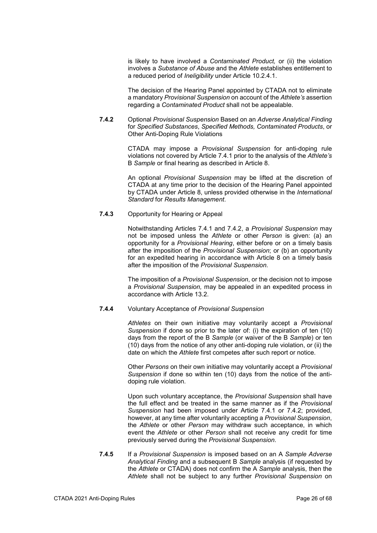is likely to have involved a *Contaminated Product,* or (ii) the violation involves a *Substance of Abuse* and the *Athlete* establishes entitlement to a reduced period of *Ineligibility* under Article 10.2.4.1.

The decision of the Hearing Panel appointed by CTADA not to eliminate a mandatory *Provisional Suspension* on account of the *Athlete's* assertion regarding a *Contaminated Product* shall not be appealable.

**7.4.2** Optional *Provisional Suspension* Based on an *Adverse Analytical Finding*  for *Specified Substances*, *Specified Methods, Contaminated Products*, or Other Anti-Doping Rule Violations

> CTADA may impose a *Provisional Suspension* for anti-doping rule violations not covered by Article 7.4.1 prior to the analysis of the *Athlete's* B *Sample* or final hearing as described in Article 8.

> An optional *Provisional Suspension* may be lifted at the discretion of CTADA at any time prior to the decision of the Hearing Panel appointed by CTADA under Article 8, unless provided otherwise in the *International Standard* for *Results Management*.

# **7.4.3** Opportunity for Hearing or Appeal

Notwithstanding Articles 7.4.1 and 7.4.2, a *Provisional Suspension* may not be imposed unless the *Athlete* or other *Person* is given: (a) an opportunity for a *Provisional Hearing*, either before or on a timely basis after the imposition of the *Provisional Suspension*; or (b) an opportunity for an expedited hearing in accordance with Article 8 on a timely basis after the imposition of the *Provisional Suspension.*

The imposition of a *Provisional Suspension*, or the decision not to impose a *Provisional Suspension,* may be appealed in an expedited process in accordance with Article 13.2.

# **7.4.4** Voluntary Acceptance of *Provisional Suspension*

*Athletes* on their own initiative may voluntarily accept a *Provisional Suspension* if done so prior to the later of: (i) the expiration of ten (10) days from the report of the B *Sample* (or waiver of the B *Sample*) or ten (10) days from the notice of any other anti-doping rule violation, or (ii) the date on which the *Athlete* first competes after such report or notice.

Other *Persons* on their own initiative may voluntarily accept a *Provisional Suspension* if done so within ten (10) days from the notice of the antidoping rule violation.

Upon such voluntary acceptance, the *Provisional Suspension* shall have the full effect and be treated in the same manner as if the *Provisional Suspension* had been imposed under Article 7.4.1 or 7.4.2; provided, however, at any time after voluntarily accepting a *Provisional Suspension*, the *Athlete* or other *Person* may withdraw such acceptance, in which event the *Athlete* or other *Person* shall not receive any credit for time previously served during the *Provisional Suspension*.

**7.4.5** If a *Provisional Suspension* is imposed based on an A *Sample Adverse Analytical Finding* and a subsequent B *Sample* analysis (if requested by the *Athlete* or CTADA) does not confirm the A *Sample* analysis, then the *Athlete* shall not be subject to any further *Provisional Suspension* on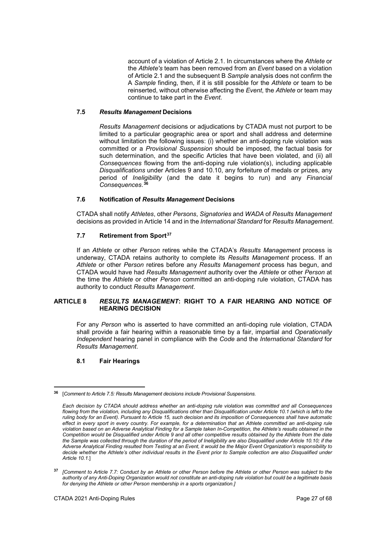account of a violation of Article 2.1. In circumstances where the *Athlete* or the *Athlete's* team has been removed from an *Event* based on a violation of Article 2.1 and the subsequent B *Sample* analysis does not confirm the A *Sample* finding, then, if it is still possible for the *Athlete* or team to be reinserted, without otherwise affecting the *Event*, the *Athlete* or team may continue to take part in the *Event*.

# **7.5** *Results Management* **Decisions**

*Results Management* decisions or adjudications by CTADA must not purport to be limited to a particular geographic area or sport and shall address and determine without limitation the following issues: (i) whether an anti-doping rule violation was committed or a *Provisional Suspension* should be imposed, the factual basis for such determination, and the specific Articles that have been violated, and (ii) all *Consequences* flowing from the anti-doping rule violation(s), including applicable *Disqualifications* under Articles 9 and 10.10, any forfeiture of medals or prizes, any period of *Ineligibility* (and the date it begins to run) and any *Financial Consequences*. **[36](#page-26-1)**

# **7.6 Notification of** *Results Management* **Decisions**

CTADA shall notify *Athletes*, other *Persons*, *Signatories* and *WADA* of *Results Management* decisions as provided in Article 14 and in the *International Standard* for *Results Management*.

# **7.7 Retirement from Sport[37](#page-26-2)**

If an *Athlete* or other *Person* retires while the CTADA's *Results Management* process is underway, CTADA retains authority to complete its *Results Management* process. If an *Athlete* or other *Person* retires before any *Results Management* process has begun, and CTADA would have had *Results Management* authority over the *Athlete* or other *Person* at the time the *Athlete* or other *Person* committed an anti-doping rule violation, CTADA has authority to conduct *Results Management*.

# <span id="page-26-0"></span>**ARTICLE 8** *RESULTS MANAGEMENT***: RIGHT TO A FAIR HEARING AND NOTICE OF HEARING DECISION**

For any *Person* who is asserted to have committed an anti-doping rule violation, CTADA shall provide a fair hearing within a reasonable time by a fair, impartial and *Operationally Independent* hearing panel in compliance with the *Code* and the *International Standard* for *Results Management*.

# **8.1 Fair Hearings**

<span id="page-26-1"></span><sup>&</sup>lt;u>.</u> **<sup>36</sup>** [*Comment to Article 7.5: Results Management decisions include Provisional Suspensions.*

*Each decision by CTADA should address whether an anti-doping rule violation was committed and all Consequences*  flowing from the violation, including any Disqualifications other than Disqualification under Article 10.1 (which is left to the *ruling body for an Event). Pursuant to Article 15, such decision and its imposition of Consequences shall have automatic effect in every sport in every country. For example, for a determination that an Athlete committed an anti-doping rule violation based on an Adverse Analytical Finding for a Sample taken In-Competition, the Athlete's results obtained in the Competition would be Disqualified under Article 9 and all other competitive results obtained by the Athlete from the date the Sample was collected through the duration of the period of Ineligibility are also Disqualified under Article 10.10; if the Adverse Analytical Finding resulted from Testing at an Event, it would be the Major Event Organization's responsibility to*  decide whether the Athlete's other individual results in the Event prior to Sample collection are also Disqualified under *Article 10.1.*]

<span id="page-26-2"></span>**<sup>37</sup>** *[Comment to Article 7.7: Conduct by an Athlete or other Person before the Athlete or other Person was subject to the authority of any Anti-Doping Organization would not constitute an anti-doping rule violation but could be a legitimate basis for denying the Athlete or other Person membership in a sports organization.]*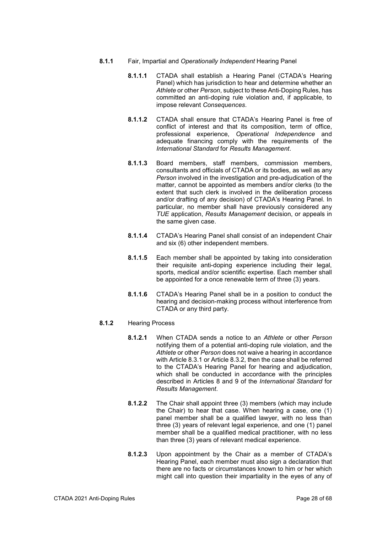- **8.1.1** Fair, Impartial and *Operationally Independent* Hearing Panel
	- **8.1.1.1** CTADA shall establish a Hearing Panel (CTADA's Hearing Panel) which has jurisdiction to hear and determine whether an *Athlete* or other *Person*, subject to these Anti-Doping Rules, has committed an anti-doping rule violation and, if applicable, to impose relevant *Consequences*.
	- **8.1.1.2** CTADA shall ensure that CTADA's Hearing Panel is free of conflict of interest and that its composition, term of office, professional experience, *Operational Independence* and adequate financing comply with the requirements of the *International Standard* for *Results Management*.
	- **8.1.1.3** Board members, staff members, commission members, consultants and officials of CTADA or its bodies, as well as any *Person* involved in the investigation and pre-adjudication of the matter, cannot be appointed as members and/or clerks (to the extent that such clerk is involved in the deliberation process and/or drafting of any decision) of CTADA's Hearing Panel. In particular, no member shall have previously considered any *TUE* application, *Results Management* decision, or appeals in the same given case.
	- **8.1.1.4** CTADA's Hearing Panel shall consist of an independent Chair and six (6) other independent members.
	- **8.1.1.5** Each member shall be appointed by taking into consideration their requisite anti-doping experience including their legal, sports, medical and/or scientific expertise. Each member shall be appointed for a once renewable term of three (3) years.
	- **8.1.1.6** CTADA's Hearing Panel shall be in a position to conduct the hearing and decision-making process without interference from CTADA or any third party.

# **8.1.2** Hearing Process

- **8.1.2.1** When CTADA sends a notice to an *Athlete* or other *Person*  notifying them of a potential anti-doping rule violation, and the *Athlete* or other *Person* does not waive a hearing in accordance with Article 8.3.1 or Article 8.3.2, then the case shall be referred to the CTADA's Hearing Panel for hearing and adjudication, which shall be conducted in accordance with the principles described in Articles 8 and 9 of the *International Standard* for *Results Management*.
- **8.1.2.2** The Chair shall appoint three (3) members (which may include the Chair) to hear that case. When hearing a case, one (1) panel member shall be a qualified lawyer, with no less than three (3) years of relevant legal experience, and one (1) panel member shall be a qualified medical practitioner, with no less than three (3) years of relevant medical experience.
- **8.1.2.3** Upon appointment by the Chair as a member of CTADA's Hearing Panel, each member must also sign a declaration that there are no facts or circumstances known to him or her which might call into question their impartiality in the eyes of any of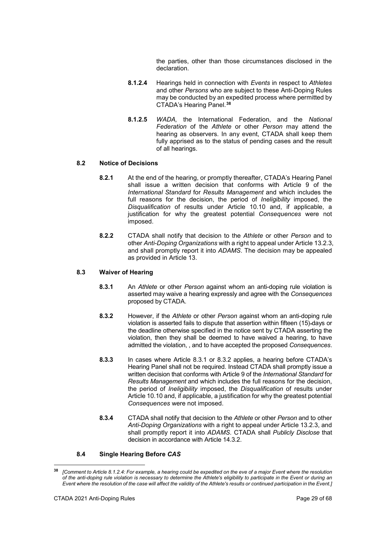the parties, other than those circumstances disclosed in the declaration.

- **8.1.2.4** Hearings held in connection with *Events* in respect to *Athletes*  and other *Persons* who are subject to these Anti-Doping Rules may be conducted by an expedited process where permitted by CTADA's Hearing Panel. **[38](#page-28-0)**
- **8.1.2.5** *WADA,* the International Federation, and the *National Federation* of the *Athlete* or other *Person* may attend the hearing as observers. In any event, CTADA shall keep them fully apprised as to the status of pending cases and the result of all hearings.

# **8.2 Notice of Decisions**

- **8.2.1** At the end of the hearing, or promptly thereafter, CTADA's Hearing Panel shall issue a written decision that conforms with Article 9 of the *International Standard* for *Results Management* and which includes the full reasons for the decision, the period of *Ineligibility* imposed, the *Disqualification* of results under Article 10.10 and, if applicable, a justification for why the greatest potential *Consequences* were not imposed.
- **8.2.2** CTADA shall notify that decision to the *Athlete* or other *Person* and to other *Anti-Doping Organizations* with a right to appeal under Article 13.2.3, and shall promptly report it into *ADAMS*. The decision may be appealed as provided in Article 13.

# **8.3 Waiver of Hearing**

- **8.3.1** An *Athlete* or other *Person* against whom an anti-doping rule violation is asserted may waive a hearing expressly and agree with the *Consequences* proposed by CTADA.
- **8.3.2** However, if the *Athlete* or other *Person* against whom an anti-doping rule violation is asserted fails to dispute that assertion within fifteen (15) days or the deadline otherwise specified in the notice sent by CTADA asserting the violation, then they shall be deemed to have waived a hearing, to have admitted the violation, , and to have accepted the proposed *Consequences*.
- **8.3.3** In cases where Article 8.3.1 or 8.3.2 applies, a hearing before CTADA's Hearing Panel shall not be required. Instead CTADA shall promptly issue a written decision that conforms with Article 9 of the *International Standard* for *Results Management* and which includes the full reasons for the decision, the period of *Ineligibility* imposed, the *Disqualification* of results under Article 10.10 and, if applicable, a justification for why the greatest potential *Consequences* were not imposed.
- **8.3.4** CTADA shall notify that decision to the *Athlete* or other *Person* and to other *Anti-Doping Organizations* with a right to appeal under Article 13.2.3, and shall promptly report it into *ADAMS*. CTADA shall *Publicly Disclose* that decision in accordance with Article 14.3.2.

# **8.4 Single Hearing Before** *CAS*

<span id="page-28-0"></span><sup>&</sup>lt;u>.</u> **<sup>38</sup>** *[Comment to Article 8.1.2.4: For example, a hearing could be expedited on the eve of a major Event where the resolution of the anti-doping rule violation is necessary to determine the Athlete's eligibility to participate in the Event or during an Event where the resolution of the case will affect the validity of the Athlete's results or continued participation in the Event.]*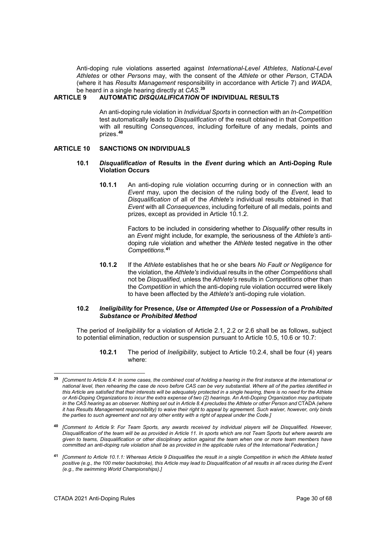Anti-doping rule violations asserted against *International-Level Athletes*, *National-Level Athletes* or other *Persons* may, with the consent of the *Athlete* or other *Person*, CTADA (where it has *Results Management* responsibility in accordance with Article 7) and *WADA*, be heard in a single hearing directly at *CAS*. **[39](#page-29-2)**

## <span id="page-29-0"></span>**ARTICLE 9 AUTOMATIC** *DISQUALIFICATION* **OF INDIVIDUAL RESULTS**

An anti-doping rule violation in *Individual Sports* in connection with an *In-Competition* test automatically leads to *Disqualification* of the result obtained in that *Competition* with all resulting *Consequences*, including forfeiture of any medals, points and prizes.**[40](#page-29-3)**

# <span id="page-29-1"></span>**ARTICLE 10 SANCTIONS ON INDIVIDUALS**

## **10.1** *Disqualification* **of Results in the** *Event* **during which an Anti-Doping Rule Violation Occurs**

**10.1.1** An anti-doping rule violation occurring during or in connection with an *Event* may, upon the decision of the ruling body of the *Event*, lead to *Disqualification* of all of the *Athlete's* individual results obtained in that *Event* with all *Consequences*, including forfeiture of all medals, points and prizes, except as provided in Article 10.1.2.

> Factors to be included in considering whether to *Disqualify* other results in an *Event* might include, for example, the seriousness of the *Athlete's* antidoping rule violation and whether the *Athlete* tested negative in the other *Competitions*. **[41](#page-29-4)**

**10.1.2** If the *Athlete* establishes that he or she bears *No Fault or Negligence* for the violation, the *Athlete's* individual results in the other *Competitions* shall not be *Disqualified,* unless the *Athlete's* results in *Competitions* other than the *Competition* in which the anti-doping rule violation occurred were likely to have been affected by the *Athlete's* anti-doping rule violation.

#### **10.2** *Ineligibility* **for Presence,** *Use* **or** *Attempted Use* **or** *Possession* **of a** *Prohibited Substance* **or** *Prohibited Method*

The period of *Ineligibility* for a violation of Article 2.1, 2.2 or 2.6 shall be as follows, subject to potential elimination, reduction or suspension pursuant to Article 10.5, 10.6 or 10.7:

**10.2.1** The period of *Ineligibility*, subject to Article 10.2.4, shall be four (4) years where:

-

<span id="page-29-2"></span>**<sup>39</sup>** *[Comment to Article 8.4: In some cases, the combined cost of holding a hearing in the first instance at the international or national level, then rehearing the case de novo before CAS can be very substantial. Where all of the parties identified in this Article are satisfied that their interests will be adequately protected in a single hearing, there is no need for the Athlete or Anti-Doping Organizations to incur the extra expense of two (2) hearings. An Anti-Doping Organization may participate in the CAS hearing as an observer. Nothing set out in Article 8.4 precludes the Athlete or other Person and* CTADA *(where it has Results Management responsibility) to waive their right to appeal by agreement. Such waiver, however, only binds the parties to such agreement and not any other entity with a right of appeal under the Code.]*

<span id="page-29-3"></span>**<sup>40</sup>** *[Comment to Article 9: For Team Sports, any awards received by individual players will be Disqualified. However, Disqualification of the team will be as provided in Article 11. In sports which are not Team Sports but where awards are given to teams, Disqualification or other disciplinary action against the team when one or more team members have committed an anti-doping rule violation shall be as provided in the applicable rules of the International Federation.]*

<span id="page-29-4"></span>**<sup>41</sup>** *[Comment to Article 10.1.1: Whereas Article 9 Disqualifies the result in a single Competition in which the Athlete tested*  positive (e.g., the 100 meter backstroke), this Article may lead to Disqualification of all results in all races during the Event *(e.g., the swimming World Championships).]*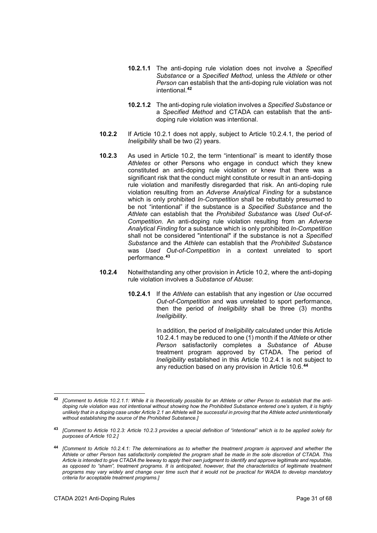- **10.2.1.1** The anti-doping rule violation does not involve a *Specified Substance* or a *Specified Method,* unless the *Athlete* or other *Person* can establish that the anti-doping rule violation was not intentional.**[42](#page-30-0)**
- **10.2.1.2** The anti-doping rule violation involves a *Specified Substance* or a *Specified Method* and CTADA can establish that the antidoping rule violation was intentional.
- **10.2.2** If Article 10.2.1 does not apply, subject to Article 10.2.4.1, the period of *Ineligibility* shall be two (2) years.
- **10.2.3** As used in Article 10.2, the term "intentional" is meant to identify those *Athletes* or other Persons who engage in conduct which they knew constituted an anti-doping rule violation or knew that there was a significant risk that the conduct might constitute or result in an anti-doping rule violation and manifestly disregarded that risk. An anti-doping rule violation resulting from an *Adverse Analytical Finding* for a substance which is only prohibited *In-Competition* shall be rebuttably presumed to be not "intentional" if the substance is a *Specified Substance* and the *Athlete* can establish that the *Prohibited Substance* was *Used Out-of-Competition*. An anti-doping rule violation resulting from an *Adverse Analytical Finding* for a substance which is only prohibited *In-Competition* shall not be considered "intentional" if the substance is not a *Specified Substance* and the *Athlete* can establish that the *Prohibited Substance* was *Used Out-of-Competition* in a context unrelated to sport performance.**[43](#page-30-1)**
- **10.2.4** Notwithstanding any other provision in Article 10.2, where the anti-doping rule violation involves a *Substance of Abuse*:
	- **10.2.4.1** If the *Athlete* can establish that any ingestion or *Use* occurred *Out-of-Competition* and was unrelated to sport performance, then the period of *Ineligibility* shall be three (3) months *Ineligibility*.

In addition, the period of *Ineligibility* calculated under this Article 10.2.4.1 may be reduced to one (1) month if the *Athlete* or other *Person* satisfactorily completes a *Substance of Abuse* treatment program approved by CTADA. The period of *Ineligibility* established in this Article 10.2.4.1 is not subject to any reduction based on any provision in Article 10.6.**[44](#page-30-2)**

<span id="page-30-0"></span><sup>42</sup> **<sup>42</sup>** *[Comment to Article 10.2.1.1: While it is theoretically possible for an Athlete or other Person to establish that the antidoping rule violation was not intentional without showing how the Prohibited Substance entered one's system, it is highly unlikely that in a doping case under Article 2.1 an Athlete will be successful in proving that the Athlete acted unintentionally without establishing the source of the Prohibited Substance.]*

<span id="page-30-1"></span>**<sup>43</sup>** *[Comment to Article 10.2.3: Article 10.2.3 provides a special definition of "intentional" which is to be applied solely for purposes of Article 10.2.]*

<span id="page-30-2"></span>**<sup>44</sup>** *[Comment to Article 10.2.4.1: The determinations as to whether the treatment program is approved and whether the Athlete or other Person has satisfactorily completed the program shall be made in the sole discretion of CTADA. This Article is intended to give CTADA the leeway to apply their own judgment to identify and approve legitimate and reputable,*  as opposed to "sham", treatment programs. It is anticipated, however, that the characteristics of legitimate treatment *programs may vary widely and change over time such that it would not be practical for WADA to develop mandatory criteria for acceptable treatment programs.]*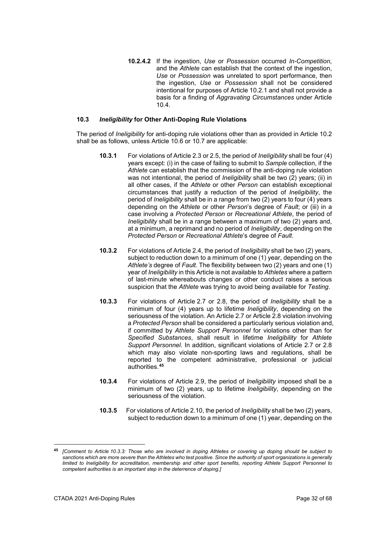**10.2.4.2** If the ingestion, *Use* or *Possession* occurred *In-Competition*, and the *Athlete* can establish that the context of the ingestion, *Use* or *Possession* was unrelated to sport performance, then the ingestion, *Use* or *Possession* shall not be considered intentional for purposes of Article 10.2.1 and shall not provide a basis for a finding of *Aggravating Circumstances* under Article 10.4.

# **10.3** *Ineligibility* **for Other Anti-Doping Rule Violations**

The period of *Ineligibility* for anti-doping rule violations other than as provided in Article 10.2 shall be as follows, unless Article 10.6 or 10.7 are applicable:

- **10.3.1** For violations of Article 2.3 or 2.5, the period of *Ineligibility* shall be four (4) years except: (i) in the case of failing to submit to *Sample* collection, if the *Athlete* can establish that the commission of the anti-doping rule violation was not intentional, the period of *Ineligibility* shall be two (2) years; (ii) in all other cases, if the *Athlete* or other *Person* can establish exceptional circumstances that justify a reduction of the period of *Ineligibility*, the period of *Ineligibility* shall be in a range from two (2) years to four (4) years depending on the *Athlete* or other *Person*'s degree of *Fault*; or (iii) in a case involving a *Protected Person* or *Recreational Athlete*, the period of *Ineligibility* shall be in a range between a maximum of two (2) years and, at a minimum, a reprimand and no period of *Ineligibility*, depending on the *Protected Person* or *Recreational Athlete*'s degree of *Fault*.
- **10.3.2** For violations of Article 2.4, the period of *Ineligibility* shall be two (2) years, subject to reduction down to a minimum of one (1) year, depending on the *Athlete's* degree of *Fault*. The flexibility between two (2) years and one (1) year of *Ineligibility* in this Article is not available to *Athletes* where a pattern of last-minute whereabouts changes or other conduct raises a serious suspicion that the *Athlete* was trying to avoid being available for *Testing*.
- **10.3.3** For violations of Article 2.7 or 2.8, the period of *Ineligibility* shall be a minimum of four (4) years up to lifetime *Ineligibility*, depending on the seriousness of the violation. An Article 2.7 or Article 2.8 violation involving a *Protected Person* shall be considered a particularly serious violation and, if committed by *Athlete Support Personnel* for violations other than for *Specified Substances*, shall result in lifetime *Ineligibility* for *Athlete Support Personnel*. In addition, significant violations of Article 2.7 or 2.8 which may also violate non-sporting laws and regulations, shall be reported to the competent administrative, professional or judicial authorities.**[45](#page-31-0)**
- **10.3.4** For violations of Article 2.9, the period of *Ineligibility* imposed shall be a minimum of two (2) years, up to lifetime *Ineligibility*, depending on the seriousness of the violation.
- **10.3.5** For violations of Article 2.10, the period of *Ineligibility* shall be two (2) years, subject to reduction down to a minimum of one (1) year, depending on the

<span id="page-31-0"></span>**<sup>45</sup>** *[Comment to Article 10.3.3: Those who are involved in doping Athletes or covering up doping should be subject to sanctions which are more severe than the Athletes who test positive. Since the authority of sport organizations is generally limited to Ineligibility for accreditation, membership and other sport benefits, reporting Athlete Support Personnel to competent authorities is an important step in the deterrence of doping.]*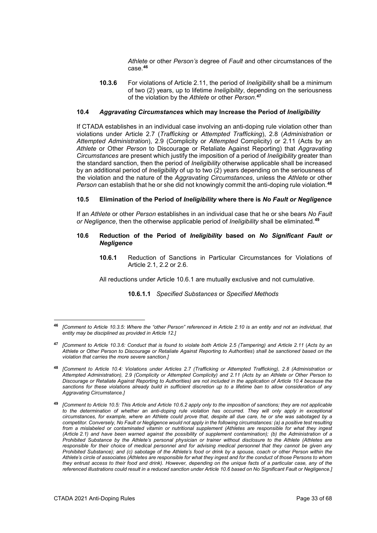*Athlete* or other *Person's* degree of *Fault* and other circumstances of the case.**[46](#page-32-0)**

**10.3.6** For violations of Article 2.11, the period of *Ineligibility* shall be a minimum of two (2) years, up to lifetime *Ineligibility*, depending on the seriousness of the violation by the *Athlete* or other *Person*. **[47](#page-32-1)**

# **10.4** *Aggravating Circumstances* **which may Increase the Period of** *Ineligibility*

If CTADA establishes in an individual case involving an anti-doping rule violation other than violations under Article 2.7 (*Trafficking* or *Attempted Trafficking*), 2.8 (*Administration* or *Attempted Administration*), 2.9 (Complicity or *Attempted* Complicity) or 2.11 (Acts by an *Athlete* or Other *Person* to Discourage or Retaliate Against Reporting) that *Aggravating Circumstances* are present which justify the imposition of a period of *Ineligibility* greater than the standard sanction, then the period of *Ineligibility* otherwise applicable shall be increased by an additional period of *Ineligibility* of up to two (2) years depending on the seriousness of the violation and the nature of the *Aggravating Circumstances*, unless the *Athlete* or other *Person* can establish that he or she did not knowingly commit the anti-doping rule violation. **[48](#page-32-2)**

#### **10.5 Elimination of the Period of** *Ineligibility* **where there is** *No Fault or Negligence*

If an *Athlete* or other *Person* establishes in an individual case that he or she bears *No Fault or Negligence*, then the otherwise applicable period of *Ineligibility* shall be eliminated.**[49](#page-32-3)**

#### **10.6 Reduction of the Period of** *Ineligibility* **based on** *No Significant Fault or Negligence*

**10.6.1** Reduction of Sanctions in Particular Circumstances for Violations of Article 2.1, 2.2 or 2.6.

All reductions under Article 10.6.1 are mutually exclusive and not cumulative.

#### **10.6.1.1** *Specified Substances* or *Specified Methods*

<span id="page-32-0"></span><sup>46</sup> **<sup>46</sup>** *[Comment to Article 10.3.5: Where the "other Person" referenced in Article 2.10 is an entity and not an individual, that entity may be disciplined as provided in Article 12.]*

<span id="page-32-1"></span>**<sup>47</sup>** *[Comment to Article 10.3.6: Conduct that is found to violate both Article 2.5 (Tampering) and Article 2.11* (*Acts by an Athlete or Other Person to Discourage or Retaliate Against Reporting to Authorities*) *shall be sanctioned based on the violation that carries the more severe sanction.]*

<span id="page-32-2"></span>**<sup>48</sup>** *[Comment to Article 10.4: Violations under Articles 2.7 (Trafficking or Attempted Trafficking), 2.8 (Administration or Attempted Administration), 2.9 (Complicity or Attempted Complicity) and 2.11 (Acts by an Athlete or Other Person to Discourage or Retaliate Against Reporting to Authorities) are not included in the application of Article 10.4 because the sanctions for these violations already build in sufficient discretion up to a lifetime ban to allow consideration of any Aggravating Circumstance.]*

<span id="page-32-3"></span>**<sup>49</sup>** *[Comment to Article 10.5: This Article and Article 10.6.2 apply only to the imposition of sanctions; they are not applicable to the determination of whether an anti-doping rule violation has occurred. They will only apply in exceptional circumstances, for example, where an Athlete could prove that, despite all due care, he or she was sabotaged by a competitor. Conversely, No Fault or Negligence would not apply in the following circumstances: (a) a positive test resulting from a mislabeled or contaminated vitamin or nutritional supplement (Athletes are responsible for what they ingest (Article 2.1) and have been warned against the possibility of supplement contamination); (b) the Administration of a Prohibited Substance by the Athlete's personal physician or trainer without disclosure to the Athlete (Athletes are*  responsible for their choice of medical personnel and for advising medical personnel that they cannot be given any *Prohibited Substance); and (c) sabotage of the Athlete's food or drink by a spouse, coach or other Person within the Athlete's circle of associates (Athletes are responsible for what they ingest and for the conduct of those Persons to whom they entrust access to their food and drink). However, depending on the unique facts of a particular case, any of the referenced illustrations could result in a reduced sanction under Article 10.6 based on No Significant Fault or Negligence.]*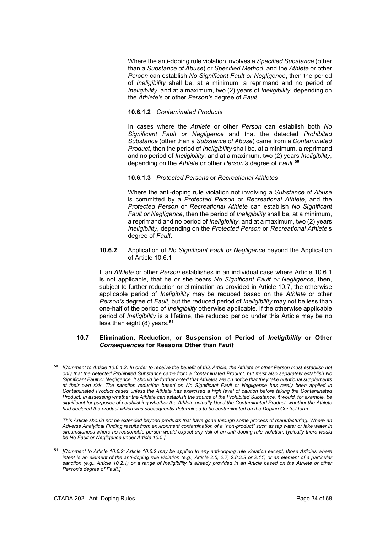Where the anti-doping rule violation involves a *Specified Substance* (other than a *Substance of Abuse*) or *Specified Method*, and the *Athlete* or other *Person* can establish *No Significant Fault or Negligence*, then the period of *Ineligibility* shall be, at a minimum, a reprimand and no period of *Ineligibility*, and at a maximum, two (2) years of *Ineligibility*, depending on the *Athlete's* or other *Person's* degree of *Fault*.

# **10.6.1.2** *Contaminated Products*

In cases where the *Athlete* or other *Person* can establish both *No Significant Fault or Negligence* and that the detected *Prohibited Substance* (other than a *Substance of Abuse*) came from a *Contaminated Product*, then the period of *Ineligibility* shall be, at a minimum, a reprimand and no period of *Ineligibility*, and at a maximum, two (2) years *Ineligibility*, depending on the *Athlete* or other *Person's* degree of *Fault*. **[50](#page-33-0)**

#### **10.6.1.3** *Protected Persons* or *Recreational Athletes*

Where the anti-doping rule violation not involving a *Substance of Abuse* is committed by a *Protected Person* or *Recreational Athlete*, and the *Protected Person* or *Recreational Athlete* can establish *No Significant Fault or Negligence*, then the period of *Ineligibility* shall be, at a minimum, a reprimand and no period of *Ineligibility*, and at a maximum, two (2) years *Ineligibility*, depending on the *Protected Person* or *Recreational Athlete*'s degree of *Fault*.

**10.6.2** Application of *No Significant Fault or Negligence* beyond the Application of Article 10.6.1

If an *Athlete* or other *Person* establishes in an individual case where Article 10.6.1 is not applicable, that he or she bears *No Significant Fault or Negligence*, then, subject to further reduction or elimination as provided in Article 10.7, the otherwise applicable period of *Ineligibility* may be reduced based on the *Athlete* or other *Person's* degree of *Fault*, but the reduced period of *Ineligibility* may not be less than one-half of the period of *Ineligibility* otherwise applicable. If the otherwise applicable period of *Ineligibility* is a lifetime, the reduced period under this Article may be no less than eight (8) years.**[51](#page-33-1)**

# **10.7 Elimination, Reduction, or Suspension of Period of** *Ineligibility* **or Other** *Consequences* **for Reasons Other than** *Fault*

*This Article should not be extended beyond products that have gone through some process of manufacturing. Where an Adverse Analytical Finding results from environment contamination of a "non-product" such as tap water or lake water in circumstances where no reasonable person would expect any risk of an anti-doping rule violation, typically there would be No Fault or Negligence under Article 10.5.]*

1

<span id="page-33-0"></span>**<sup>50</sup>** *[Comment to Article 10.6.1.2: In order to receive the benefit of this Article, the Athlete or other Person must establish not only that the detected Prohibited Substance came from a Contaminated Product, but must also separately establish No Significant Fault or Negligence. It should be further noted that Athletes are on notice that they take nutritional supplements at their own risk. The sanction reduction based on No Significant Fault or Negligence has rarely been applied in Contaminated Product cases unless the Athlete has exercised a high level of caution before taking the Contaminated Product. In assessing whether the Athlete can establish the source of the Prohibited Substance, it would, for example, be significant for purposes of establishing whether the Athlete actually Used the Contaminated Product, whether the Athlete had declared the product which was subsequently determined to be contaminated on the Doping Control form.*

<span id="page-33-1"></span>**<sup>51</sup>** *[Comment to Article 10.6.2: Article 10.6.2 may be applied to any anti-doping rule violation except, those Articles where intent is an element of the anti-doping rule violation (e.g., Article 2.5, 2.7, 2.8,2.9 or 2.11) or an element of a particular sanction (e.g., Article 10.2.1) or a range of Ineligibility is already provided in an Article based on the Athlete or other Person's degree of Fault.]*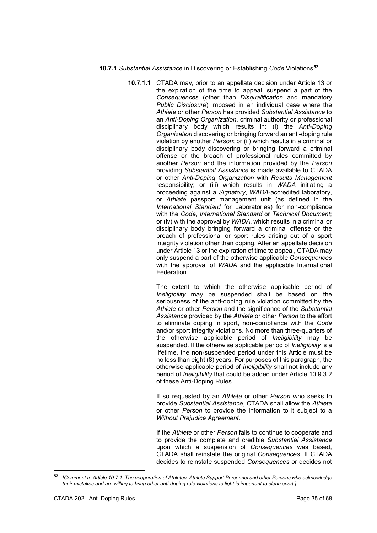# **10.7.1** *Substantial Assistance* in Discovering or Establishing *Code* Violations**[52](#page-34-0)**

**10.7.1.1** CTADA may, prior to an appellate decision under Article 13 or the expiration of the time to appeal, suspend a part of the *Consequences* (other than *Disqualification* and mandatory *Public Disclosure*) imposed in an individual case where the *Athlete* or other *Person* has provided *Substantial Assistance* to an *Anti-Doping Organization*, criminal authority or professional disciplinary body which results in: (i) the *Anti-Doping Organization* discovering or bringing forward an anti-doping rule violation by another *Person*; or (ii) which results in a criminal or disciplinary body discovering or bringing forward a criminal offense or the breach of professional rules committed by another *Person* and the information provided by the *Person* providing *Substantial Assistance* is made available to CTADA or other *Anti-Doping Organization* with *Results Management* responsibility; or (iii) which results in *WADA* initiating a proceeding against a *Signatory*, *WADA*-accredited laboratory, or *Athlete* passport management unit (as defined in the *International Standard* for Laboratories) for non-compliance with the *Code*, *International Standard* or *Technical Document*; or (iv) with the approval by *WADA*, which results in a criminal or disciplinary body bringing forward a criminal offense or the breach of professional or sport rules arising out of a sport integrity violation other than doping. After an appellate decision under Article 13 or the expiration of time to appeal, CTADA may only suspend a part of the otherwise applicable *Consequences* with the approval of *WADA* and the applicable International Federation.

> The extent to which the otherwise applicable period of *Ineligibility* may be suspended shall be based on the seriousness of the anti-doping rule violation committed by the *Athlete* or other *Person* and the significance of the *Substantial Assistance* provided by the *Athlete* or other *Person* to the effort to eliminate doping in sport, non-compliance with the *Code* and/or sport integrity violations. No more than three-quarters of the otherwise applicable period of *Ineligibility* may be suspended. If the otherwise applicable period of *Ineligibility* is a lifetime, the non-suspended period under this Article must be no less than eight (8) years. For purposes of this paragraph, the otherwise applicable period of *Ineligibility* shall not include any period of *Ineligibility* that could be added under Article 10.9.3.2 of these Anti-Doping Rules.

> If so requested by an *Athlete* or other *Person* who seeks to provide *Substantial Assistance*, CTADA shall allow the *Athlete* or other *Person* to provide the information to it subject to a *Without Prejudice Agreement*.

> If the *Athlete* or other *Person* fails to continue to cooperate and to provide the complete and credible *Substantial Assistance* upon which a suspension of *Consequences* was based, CTADA shall reinstate the original *Consequences*. If CTADA decides to reinstate suspended *Consequences* or decides not

<span id="page-34-0"></span><sup>-</sup>**<sup>52</sup>** *[Comment to Article 10.7.1: The cooperation of Athletes, Athlete Support Personnel and other Persons who acknowledge their mistakes and are willing to bring other anti-doping rule violations to light is important to clean sport.]*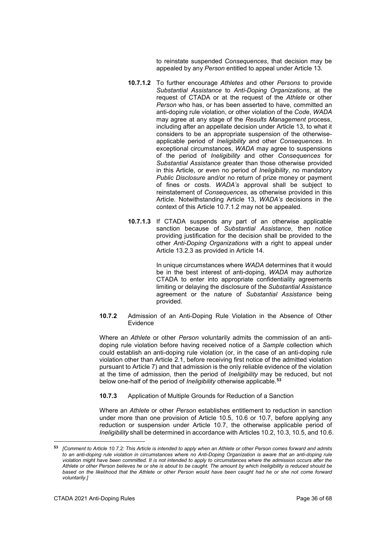to reinstate suspended *Consequences*, that decision may be appealed by any *Person* entitled to appeal under Article 13.

- **10.7.1.2** To further encourage *Athletes* and other *Persons* to provide *Substantial Assistance* to *Anti-Doping Organizations*, at the request of CTADA or at the request of the *Athlete* or other *Person* who has, or has been asserted to have, committed an anti-doping rule violation, or other violation of the *Code*, *WADA* may agree at any stage of the *Results Management* process, including after an appellate decision under Article 13, to what it considers to be an appropriate suspension of the otherwiseapplicable period of *Ineligibility* and other *Consequences*. In exceptional circumstances, *WADA* may agree to suspensions of the period of *Ineligibility* and other *Consequences* for *Substantial Assistance* greater than those otherwise provided in this Article, or even no period of *Ineligibility*, no mandatory *Public Disclosure* and/or no return of prize money or payment of fines or costs. *WADA's* approval shall be subject to reinstatement of *Consequences*, as otherwise provided in this Article. Notwithstanding Article 13, *WADA's* decisions in the context of this Article 10.7.1.2 may not be appealed.
- **10.7.1.3** If CTADA suspends any part of an otherwise applicable sanction because of *Substantial Assistance*, then notice providing justification for the decision shall be provided to the other *Anti-Doping Organizations* with a right to appeal under Article 13.2.3 as provided in Article 14.

In unique circumstances where *WADA* determines that it would be in the best interest of anti-doping, *WADA* may authorize CTADA to enter into appropriate confidentiality agreements limiting or delaying the disclosure of the *Substantial Assistance* agreement or the nature of *Substantial Assistance* being provided.

**10.7.2** Admission of an Anti-Doping Rule Violation in the Absence of Other Evidence

Where an *Athlete* or other *Person* voluntarily admits the commission of an antidoping rule violation before having received notice of a *Sample* collection which could establish an anti-doping rule violation (or, in the case of an anti-doping rule violation other than Article 2.1, before receiving first notice of the admitted violation pursuant to Article 7) and that admission is the only reliable evidence of the violation at the time of admission, then the period of *Ineligibility* may be reduced, but not below one-half of the period of *Ineligibility* otherwise applicable.**[53](#page-35-0)**

**10.7.3** Application of Multiple Grounds for Reduction of a Sanction

Where an *Athlete* or other *Person* establishes entitlement to reduction in sanction under more than one provision of Article 10.5, 10.6 or 10.7, before applying any reduction or suspension under Article 10.7, the otherwise applicable period of *Ineligibility* shall be determined in accordance with Articles 10.2, 10.3, 10.5, and 10.6.

<span id="page-35-0"></span><sup>53</sup> **<sup>53</sup>** *[Comment to Article 10.7.2: This Article is intended to apply when an Athlete or other Person comes forward and admits to an anti-doping rule violation in circumstances where no Anti-Doping Organization is aware that an anti-doping rule*  violation might have been committed. It is not intended to apply to circumstances where the admission occurs after the *Athlete or other Person believes he or she is about to be caught. The amount by which Ineligibility is reduced should be based on the likelihood that the Athlete or other Person would have been caught had he or she not come forward voluntarily.]*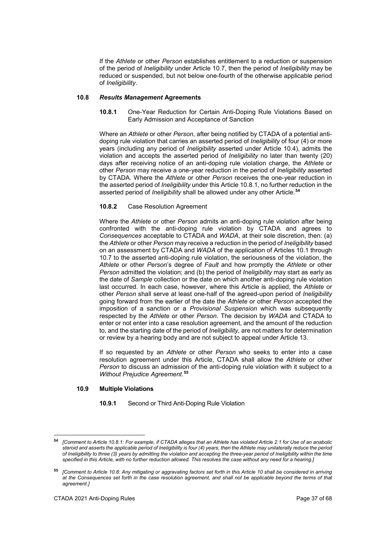If the *Athlete* or other *Person* establishes entitlement to a reduction or suspension of the period of *Ineligibility* under Article 10.7, then the period of *Ineligibility* may be reduced or suspended, but not below one-fourth of the otherwise applicable period of *Ineligibility*.

# **10.8** *Results Management* **Agreements**

**10.8.1** One-Year Reduction for Certain Anti-Doping Rule Violations Based on Early Admission and Acceptance of Sanction

Where an *Athlete* or other *Person*, after being notified by CTADA of a potential antidoping rule violation that carries an asserted period of *Ineligibility* of four (4) or more years (including any period of *Ineligibility* asserted under Article 10.4), admits the violation and accepts the asserted period of *Ineligibility* no later than twenty (20) days after receiving notice of an anti-doping rule violation charge, the *Athlete* or other *Person* may receive a one-year reduction in the period of *Ineligibility* asserted by CTADA. Where the *Athlete* or other *Person* receives the one-year reduction in the asserted period of *Ineligibility* under this Article 10.8.1, no further reduction in the asserted period of *Ineligibility* shall be allowed under any other Article.**[54](#page-36-0)**

# **10.8.2** Case Resolution Agreement

Where the *Athlete* or other *Person* admits an anti-doping rule violation after being confronted with the anti-doping rule violation by CTADA and agrees to *Consequences* acceptable to CTADA and *WADA*, at their sole discretion, then: (a) the *Athlete* or other *Person* may receive a reduction in the period of *Ineligibility* based on an assessment by CTADA and *WADA* of the application of Articles 10.1 through 10.7 to the asserted anti-doping rule violation, the seriousness of the violation, the *Athlete* or other *Person*'s degree of *Fault* and how promptly the *Athlete* or other *Person* admitted the violation; and (b) the period of *Ineligibility* may start as early as the date of *Sample* collection or the date on which another anti-doping rule violation last occurred. In each case, however, where this Article is applied, the *Athlete* or other *Person* shall serve at least one-half of the agreed-upon period of *Ineligibility* going forward from the earlier of the date the *Athlete* or other *Person* accepted the imposition of a sanction or a *Provisional Suspension* which was subsequently respected by the *Athlete* or other *Person*. The decision by *WADA* and CTADA to enter or not enter into a case resolution agreement, and the amount of the reduction to, and the starting date of the period of *Ineligibility,* are not matters for determination or review by a hearing body and are not subject to appeal under Article 13.

If so requested by an *Athlete* or other *Person* who seeks to enter into a case resolution agreement under this Article, CTADA shall allow the *Athlete* or other *Person* to discuss an admission of the anti-doping rule violation with it subject to a *Without Prejudice Agreement*. **[55](#page-36-1)**

#### **10.9 Multiple Violations**

**10.9.1** Second or Third Anti-Doping Rule Violation

-

<span id="page-36-0"></span>**<sup>54</sup>** *[Comment to Article 10.8.1: For example, if CTADA alleges that an Athlete has violated Article 2.1 for Use of an anabolic steroid and asserts the applicable period of Ineligibility is four (4) years, then the Athlete may unilaterally reduce the period of Ineligibility to three (3) years by admitting the violation and accepting the three-year period of Ineligibility within the time specified in this Article, with no further reduction allowed. This resolves the case without any need for a hearing.]*

<span id="page-36-1"></span>**<sup>55</sup>** *[Comment to Article 10.8: Any mitigating or aggravating factors set forth in this Article 10 shall be considered in arriving at the Consequences set forth in the case resolution agreement, and shall not be applicable beyond the terms of that agreement.]*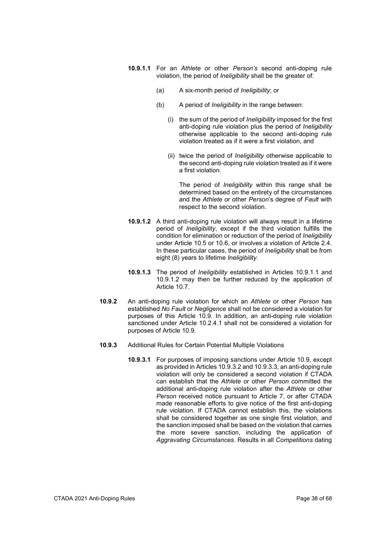- **10.9.1.1** For an *Athlete* or other *Person's* second anti-doping rule violation, the period of *Ineligibility* shall be the greater of:
	- (a) A six-month period of *Ineligibility*; or
	- (b) A period of *Ineligibility* in the range between:
		- (i) the sum of the period of *Ineligibility* imposed for the first anti-doping rule violation plus the period of *Ineligibility* otherwise applicable to the second anti-doping rule violation treated as if it were a first violation, and
		- (ii) twice the period of *Ineligibility* otherwise applicable to the second anti-doping rule violation treated as if it were a first violation.

The period of *Ineligibility* within this range shall be determined based on the entirety of the circumstances and the *Athlete* or other *Person*'s degree of *Fault* with respect to the second violation.

- **10.9.1.2** A third anti-doping rule violation will always result in a lifetime period of *Ineligibility*, except if the third violation fulfills the condition for elimination or reduction of the period of *Ineligibility* under Article 10.5 or 10.6, or involves a violation of Article 2.4. In these particular cases, the period of *Ineligibility* shall be from eight (8) years to lifetime *Ineligibility*.
- **10.9.1.3** The period of *Ineligibility* established in Articles 10.9.1.1 and 10.9.1.2 may then be further reduced by the application of Article 10.7.
- **10.9.2** An anti-doping rule violation for which an *Athlete* or other *Person* has established *No Fault* or *Negligence* shall not be considered a violation for purposes of this Article 10.9. In addition, an anti-doping rule violation sanctioned under Article 10.2.4.1 shall not be considered a violation for purposes of Article 10.9.
- **10.9.3** Additional Rules for Certain Potential Multiple Violations
	- **10.9.3.1** For purposes of imposing sanctions under Article 10.9, except as provided in Articles 10.9.3.2 and 10.9.3.3, an anti-doping rule violation will only be considered a second violation if CTADA can establish that the *Athlete* or other *Person* committed the additional anti-doping rule violation after the *Athlete* or other *Person* received notice pursuant to Article 7, or after CTADA made reasonable efforts to give notice of the first anti-doping rule violation. If CTADA cannot establish this, the violations shall be considered together as one single first violation, and the sanction imposed shall be based on the violation that carries the more severe sanction, including the application of *Aggravating Circumstances*. Results in all *Competitions* dating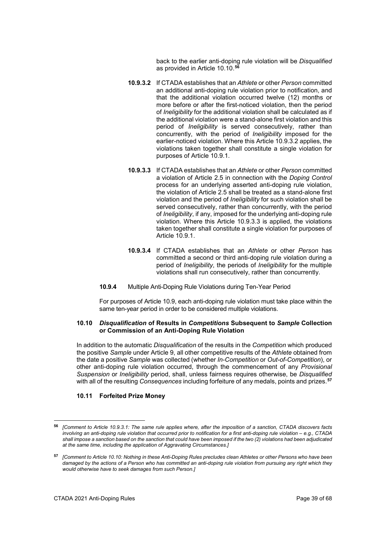back to the earlier anti-doping rule violation will be *Disqualified* as provided in Article 10.10.**[56](#page-38-0)**

- **10.9.3.2** If CTADA establishes that an *Athlete* or other *Person* committed an additional anti-doping rule violation prior to notification, and that the additional violation occurred twelve (12) months or more before or after the first-noticed violation, then the period of *Ineligibility* for the additional violation shall be calculated as if the additional violation were a stand-alone first violation and this period of *Ineligibility* is served consecutively, rather than concurrently, with the period of *Ineligibility* imposed for the earlier-noticed violation. Where this Article 10.9.3.2 applies, the violations taken together shall constitute a single violation for purposes of Article 10.9.1.
- **10.9.3.3** If CTADA establishes that an *Athlete* or other *Person* committed a violation of Article 2.5 in connection with the *Doping Control* process for an underlying asserted anti-doping rule violation, the violation of Article 2.5 shall be treated as a stand-alone first violation and the period of *Ineligibility* for such violation shall be served consecutively, rather than concurrently, with the period of *Ineligibility*, if any, imposed for the underlying anti-doping rule violation. Where this Article 10.9.3.3 is applied, the violations taken together shall constitute a single violation for purposes of Article 10.9.1.
- **10.9.3.4** If CTADA establishes that an *Athlete* or other *Person* has committed a second or third anti-doping rule violation during a period of *Ineligibility*, the periods of *Ineligibility* for the multiple violations shall run consecutively, rather than concurrently.
- **10.9.4** Multiple Anti-Doping Rule Violations during Ten-Year Period

For purposes of Article 10.9, each anti-doping rule violation must take place within the same ten-year period in order to be considered multiple violations.

#### **10.10** *Disqualification* **of Results in** *Competitions* **Subsequent to** *Sample* **Collection or Commission of an Anti-Doping Rule Violation**

In addition to the automatic *Disqualification* of the results in the *Competition* which produced the positive *Sample* under Article 9, all other competitive results of the *Athlete* obtained from the date a positive *Sample* was collected (whether *In-Competition* or *Out-of-Competition*), or other anti-doping rule violation occurred, through the commencement of any *Provisional Suspension* or *Ineligibility* period, shall, unless fairness requires otherwise, be *Disqualified* with all of the resulting *Consequences* including forfeiture of any medals, points and prizes.**[57](#page-38-1)**

# **10.11 Forfeited Prize Money**

<span id="page-38-0"></span>**<sup>56</sup>** *[Comment to Article 10.9.3.1: The same rule applies where, after the imposition of a sanction, CTADA discovers facts involving an anti-doping rule violation that occurred prior to notification for a first anti-doping rule violation – e.g., CTADA shall impose a sanction based on the sanction that could have been imposed if the two (2) violations had been adjudicated at the same time, including the application of Aggravating Circumstances.]*

<span id="page-38-1"></span>**<sup>57</sup>** *[Comment to Article 10.10: Nothing in these Anti-Doping Rules precludes clean Athletes or other Persons who have been damaged by the actions of a Person who has committed an anti-doping rule violation from pursuing any right which they would otherwise have to seek damages from such Person.]*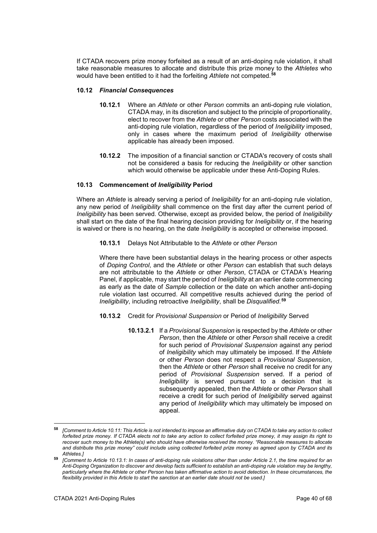If CTADA recovers prize money forfeited as a result of an anti-doping rule violation, it shall take reasonable measures to allocate and distribute this prize money to the *Athletes* who would have been entitled to it had the forfeiting *Athlete* not competed.**[58](#page-39-0)**

# **10.12** *Financial Consequences*

- **10.12.1** Where an *Athlete* or other *Person* commits an anti-doping rule violation, CTADA may, in its discretion and subject to the principle of proportionality, elect to recover from the *Athlete* or other *Person* costs associated with the anti-doping rule violation, regardless of the period of *Ineligibility* imposed, only in cases where the maximum period of *Ineligibility* otherwise applicable has already been imposed.
- **10.12.2** The imposition of a financial sanction or CTADA's recovery of costs shall not be considered a basis for reducing the *Ineligibility* or other sanction which would otherwise be applicable under these Anti-Doping Rules.

# **10.13 Commencement of** *Ineligibility* **Period**

Where an *Athlete* is already serving a period of *Ineligibility* for an anti-doping rule violation, any new period of *Ineligibility* shall commence on the first day after the current period of *Ineligibility* has been served. Otherwise, except as provided below, the period of *Ineligibility* shall start on the date of the final hearing decision providing for *Ineligibility* or, if the hearing is waived or there is no hearing, on the date *Ineligibility* is accepted or otherwise imposed.

**10.13.1** Delays Not Attributable to the *Athlete* or other *Person*

Where there have been substantial delays in the hearing process or other aspects of *Doping Control*, and the *Athlete* or other *Person* can establish that such delays are not attributable to the *Athlete* or other *Person*, CTADA or CTADA's Hearing Panel, if applicable, may start the period of *Ineligibility* at an earlier date commencing as early as the date of *Sample* collection or the date on which another anti-doping rule violation last occurred. All competitive results achieved during the period of *Ineligibility*, including retroactive *Ineligibility*, shall be *Disqualified*. **[59](#page-39-1)**

- **10.13.2** Credit for *Provisional Suspension* or Period of *Ineligibility* Served
	- **10.13.2.1** If a *Provisional Suspension* is respected by the *Athlete* or other *Person*, then the *Athlete* or other *Person* shall receive a credit for such period of *Provisional Suspension* against any period of *Ineligibility* which may ultimately be imposed. If the *Athlete* or other *Person* does not respect a *Provisional Suspension*, then the *Athlete* or other *Person* shall receive no credit for any period of *Provisional Suspension* served. If a period of *Ineligibility* is served pursuant to a decision that is subsequently appealed, then the *Athlete* or other *Person* shall receive a credit for such period of *Ineligibility* served against any period of *Ineligibility* which may ultimately be imposed on appeal.

<span id="page-39-0"></span><sup>58</sup> **<sup>58</sup>** *[Comment to Article 10.11: This Article is not intended to impose an affirmative duty on CTADA to take any action to collect forfeited prize money. If CTADA elects not to take any action to collect forfeited prize money, it may assign its right to recover such money to the Athlete(s) who should have otherwise received the money. "Reasonable measures to allocate and distribute this prize money" could include using collected forfeited prize money as agreed upon by CTADA and its Athletes.]*

<span id="page-39-1"></span>**<sup>59</sup>** *[Comment to Article 10.13.1: In cases of anti-doping rule violations other than under Article 2.1, the time required for an Anti-Doping Organization to discover and develop facts sufficient to establish an anti-doping rule violation may be lengthy, particularly where the Athlete or other Person has taken affirmative action to avoid detection. In these circumstances, the flexibility provided in this Article to start the sanction at an earlier date should not be used.]*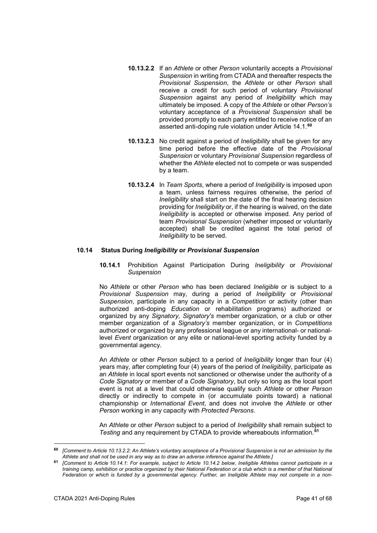- **10.13.2.2** If an *Athlete* or other *Person* voluntarily accepts a *Provisional Suspension* in writing from CTADA and thereafter respects the *Provisional Suspension*, the *Athlete* or other *Person* shall receive a credit for such period of voluntary *Provisional Suspension* against any period of *Ineligibility* which may ultimately be imposed. A copy of the *Athlete* or other *Person's* voluntary acceptance of a *Provisional Suspension* shall be provided promptly to each party entitled to receive notice of an asserted anti-doping rule violation under Article 14.1.**[60](#page-40-0)**
- **10.13.2.3** No credit against a period of *Ineligibility* shall be given for any time period before the effective date of the *Provisional Suspension* or voluntary *Provisional Suspension* regardless of whether the *Athlete* elected not to compete or was suspended by a team.
- **10.13.2.4** In *Team Sports*, where a period of *Ineligibility* is imposed upon a team, unless fairness requires otherwise, the period of *Ineligibility* shall start on the date of the final hearing decision providing for *Ineligibility* or, if the hearing is waived, on the date *Ineligibility* is accepted or otherwise imposed. Any period of team *Provisional Suspension* (whether imposed or voluntarily accepted) shall be credited against the total period of *Ineligibility* to be served.

#### **10.14 Status During** *Ineligibility* **or** *Provisional Suspension*

**10.14.1** Prohibition Against Participation During *Ineligibility* or *Provisional Suspension*

No *Athlete* or other *Person* who has been declared *Ineligible* or is subject to a *Provisional Suspension* may, during a period of *Ineligibility* or *Provisional Suspension*, participate in any capacity in a *Competition* or activity (other than authorized anti-doping *Education* or rehabilitation programs) authorized or organized by any *Signatory, Signatory's* member organization, or a club or other member organization of a *Signatory's* member organization, or in *Competitions* authorized or organized by any professional league or any international- or nationallevel *Event* organization or any elite or national-level sporting activity funded by a governmental agency.

An *Athlete* or other *Person* subject to a period of *Ineligibility* longer than four (4) years may, after completing four (4) years of the period of *Ineligibility*, participate as an *Athlete* in local sport events not sanctioned or otherwise under the authority of a *Code Signatory* or member of a *Code Signatory*, but only so long as the local sport event is not at a level that could otherwise qualify such *Athlete* or other *Person* directly or indirectly to compete in (or accumulate points toward) a national championship or *International Event*, and does not involve the *Athlete* or other *Person* working in any capacity with *Protected Persons*.

An *Athlete* or other *Person* subject to a period of *Ineligibility* shall remain subject to *Testing* and any requirement by CTADA to provide whereabouts information. **[61](#page-40-1)**

<span id="page-40-0"></span>**<sup>60</sup>** *[Comment to Article 10.13.2.2: An Athlete's voluntary acceptance of a Provisional Suspension is not an admission by the Athlete and shall not be used in any way as to draw an adverse inference against the Athlete.]*

<span id="page-40-1"></span>**<sup>61</sup>** *[Comment to Article 10.14.1: For example, subject to Article 10.14.2 below, Ineligible Athletes cannot participate in a training camp, exhibition or practice organized by their National Federation or a club which is a member of that National Federation or which is funded by a governmental agency. Further, an Ineligible Athlete may not compete in a non-*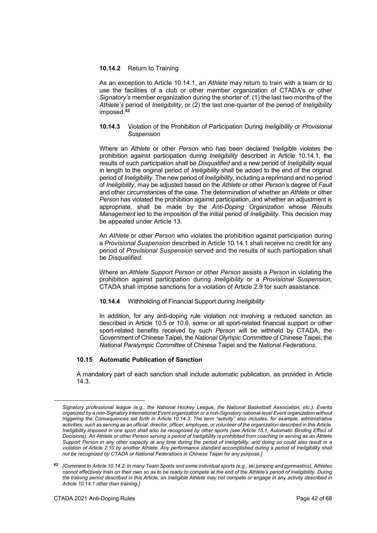## **10.14.2** Return to Training

As an exception to Article 10.14.1, an *Athlete* may return to train with a team or to use the facilities of a club or other member organization of CTADA's or other *Signatory's* member organization during the shorter of: (1) the last two months of the *Athlete's* period of *Ineligibility*, or (2) the last one-quarter of the period of *Ineligibility* imposed.**[62](#page-41-0)**

## **10.14.3** Violation of the Prohibition of Participation During *Ineligibility* or *Provisional Suspension*

Where an *Athlete* or other *Person* who has been declared *Ineligible* violates the prohibition against participation during *Ineligibility* described in Article 10.14.1, the results of such participation shall be *Disqualified* and a new period of *Ineligibility* equal in length to the original period of *Ineligibility* shall be added to the end of the original period of *Ineligibility*. The new period of *Ineligibility*, including a reprimand and no period of *Ineligibility*, may be adjusted based on the *Athlete* or other *Person's* degree of *Fault* and other circumstances of the case. The determination of whether an *Athlete* or other *Person* has violated the prohibition against participation, and whether an adjustment is appropriate, shall be made by the *Anti-Doping Organization* whose *Results Management* led to the imposition of the initial period of *Ineligibility*. This decision may be appealed under Article 13.

An *Athlete* or other *Person* who violates the prohibition against participation during a *Provisional Suspension* described in Article 10.14.1 shall receive no credit for any period of *Provisional Suspension* served and the results of such participation shall be *Disqualified*.

Where an *Athlete Support Person* or other *Person* assists a *Person* in violating the prohibition against participation during *Ineligibility* or a *Provisional Suspension*, CTADA shall impose sanctions for a violation of Article 2.9 for such assistance.

#### **10.14.4** Withholding of Financial Support during *Ineligibility*

In addition, for any anti-doping rule violation not involving a reduced sanction as described in Article 10.5 or 10.6, some or all sport-related financial support or other sport-related benefits received by such *Person* will be withheld by CTADA, the Government of Chinese Taipei, the *National Olympic Committee* of Chinese Taipei, the *National Paralympic Committee* of Chinese Taipei and the *National Federations*.

# **10.15 Automatic Publication of Sanction**

A mandatory part of each sanction shall include automatic publication, as provided in Article 14.3.

*Signatory professional league (e.g., the National Hockey League, the National Basketball Association, etc.), Events organized by a non-Signatory International Event organization or a non-Signatory national-level Event organization without triggering the Consequences set forth in Article 10.14.3. The term "activity" also includes, for example, administrative activities, such as serving as an official, director, officer, employee, or volunteer of the organization described in this Article. Ineligibility imposed in one sport shall also be recognized by other sports (see Article 15.1, Automatic Binding Effect of Decisions). An Athlete or other Person serving a period of Ineligibility is prohibited from coaching or serving as an Athlete Support Person in any other capacity at any time during the period of Ineligibility, and doing so could also result in a violation of Article 2.10 by another Athlete. Any performance standard accomplished during a period of Ineligibility shall not be recognized by CTADA or National Federations in Chinese Taipei for any purpose.]*

<span id="page-41-0"></span>**<sup>62</sup>** *[Comment to Article 10.14.2: In many Team Sports and some individual sports (e.g., ski jumping and gymnastics), Athletes cannot effectively train on their own so as to be ready to compete at the end of the Athlete's period of Ineligibility. During the training period described in this Article, an Ineligible Athlete may not compete or engage in any activity described in Article 10.14.1 other than training.]*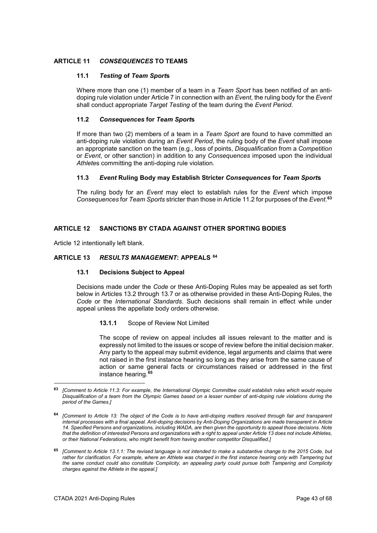# <span id="page-42-0"></span>**ARTICLE 11** *CONSEQUENCES* **TO TEAMS**

# **11.1** *Testing* **of** *Team Sport***s**

Where more than one (1) member of a team in a *Team Sport* has been notified of an antidoping rule violation under Article 7 in connection with an *Event*, the ruling body for the *Event* shall conduct appropriate *Target Testing* of the team during the *Event Period*.

# **11.2** *Consequences* **for** *Team Sport***s**

If more than two (2) members of a team in a *Team Sport* are found to have committed an anti-doping rule violation during an *Event Period*, the ruling body of the *Event* shall impose an appropriate sanction on the team (e.g., loss of points, *Disqualification* from a *Competition* or *Event*, or other sanction) in addition to any *Consequences* imposed upon the individual *Athlete*s committing the anti-doping rule violation.

#### **11.3** *Event* **Ruling Body may Establish Stricter** *Consequences* **for** *Team Sport***s**

The ruling body for an *Event* may elect to establish rules for the *Event* which impose *Consequences* for *Team Sports* stricter than those in Article 11.2 for purposes of the *Event*. **[63](#page-42-2)**

# **ARTICLE 12 SANCTIONS BY CTADA AGAINST OTHER SPORTING BODIES**

Article 12 intentionally left blank.

# <span id="page-42-1"></span>**ARTICLE 13** *RESULTS MANAGEMENT***: APPEALS [64](#page-42-3)**

#### **13.1 Decisions Subject to Appeal**

Decisions made under the *Code* or these Anti-Doping Rules may be appealed as set forth below in Articles 13.2 through 13.7 or as otherwise provided in these Anti-Doping Rules, the *Code* or the *International Standards*. Such decisions shall remain in effect while under appeal unless the appellate body orders otherwise.

#### **13.1.1** Scope of Review Not Limited

The scope of review on appeal includes all issues relevant to the matter and is expressly not limited to the issues or scope of review before the initial decision maker. Any party to the appeal may submit evidence, legal arguments and claims that were not raised in the first instance hearing so long as they arise from the same cause of action or same general facts or circumstances raised or addressed in the first instance hearing.**[65](#page-42-4)**

<span id="page-42-2"></span><sup>-</sup>**<sup>63</sup>** *[Comment to Article 11.3: For example, the International Olympic Committee could establish rules which would require Disqualification of a team from the Olympic Games based on a lesser number of anti-doping rule violations during the period of the Games.]*

<span id="page-42-3"></span>**<sup>64</sup>** *[Comment to Article 13: The object of the Code is to have anti-doping matters resolved through fair and transparent internal processes with a final appeal. Anti-doping decisions by Anti-Doping Organizations are made transparent in Article 14. Specified Persons and organizations, including WADA, are then given the opportunity to appeal those decisions. Note that the definition of interested Persons and organizations with a right to appeal under Article 13 does not include Athletes, or their National Federations, who might benefit from having another competitor Disqualified.]*

<span id="page-42-4"></span>**<sup>65</sup>** *[Comment to Article 13.1.1: The revised language is not intended to make a substantive change to the 2015 Code, but rather for clarification. For example, where an Athlete was charged in the first instance hearing only with Tampering but the same conduct could also constitute Complicity, an appealing party could pursue both Tampering and Complicity charges against the Athlete in the appeal.]*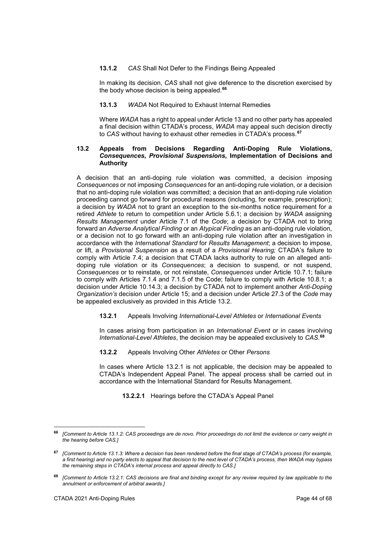# **13.1.2** *CAS* Shall Not Defer to the Findings Being Appealed

In making its decision, *CAS* shall not give deference to the discretion exercised by the body whose decision is being appealed.**[66](#page-43-0)**

## **13.1.3** *WADA* Not Required to Exhaust Internal Remedies

Where *WADA* has a right to appeal under Article 13 and no other party has appealed a final decision within CTADA's process, *WADA* may appeal such decision directly to *CAS* without having to exhaust other remedies in CTADA's process.**[67](#page-43-1)**

## **13.2 Appeals from Decisions Regarding Anti-Doping Rule Violations,**  *Consequences***,** *Provisional Suspensions,* **Implementation of Decisions and Authority**

A decision that an anti-doping rule violation was committed, a decision imposing *Consequences* or not imposing *Consequences* for an anti-doping rule violation, or a decision that no anti-doping rule violation was committed; a decision that an anti-doping rule violation proceeding cannot go forward for procedural reasons (including, for example, prescription); a decision by *WADA* not to grant an exception to the six-months notice requirement for a retired *Athlete* to return to competition under Article 5.6.1; a decision by *WADA* assigning *Results Management* under Article 7.1 of the *Code*; a decision by CTADA not to bring forward an *Adverse Analytical Finding* or an *Atypical Finding* as an anti-doping rule violation, or a decision not to go forward with an anti-doping rule violation after an investigation in accordance with the *International Standard* for *Results Management*; a decision to impose, or lift, a *Provisional Suspension* as a result of a *Provisional Hearing;* CTADA's failure to comply with Article 7.4; a decision that CTADA lacks authority to rule on an alleged antidoping rule violation or its *Consequences*; a decision to suspend, or not suspend, *Consequences* or to reinstate, or not reinstate, *Consequences* under Article 10.7.1; failure to comply with Articles 7.1.4 and 7.1.5 of the Code; failure to comply with Article 10.8.1; a decision under Article 10.14.3; a decision by CTADA not to implement another *Anti-Doping Organization's* decision under Article 15; and a decision under Article 27.3 of the *Code* may be appealed exclusively as provided in this Article 13.2.

## **13.2.1** Appeals Involving *International-Level Athletes* or *International Events*

In cases arising from participation in an *International Event* or in cases involving *International-Level Athletes*, the decision may be appealed exclusively to *CAS*. **[68](#page-43-2)**

# **13.2.2** Appeals Involving Other *Athletes* or Other *Persons*

In cases where Article 13.2.1 is not applicable, the decision may be appealed to CTADA's Independent Appeal Panel. The appeal process shall be carried out in accordance with the International Standard for Results Management.

**13.2.2.1** Hearings before the CTADA's Appeal Panel

<span id="page-43-0"></span><sup>66</sup> **<sup>66</sup>** *[Comment to Article 13.1.2: CAS proceedings are de novo. Prior proceedings do not limit the evidence or carry weight in the hearing before CAS.]*

<span id="page-43-1"></span>**<sup>67</sup>** *[Comment to Article 13.1.3: Where a decision has been rendered before the final stage of CTADA's process (for example, a first hearing) and no party elects to appeal that decision to the next level of CTADA's process, then WADA may bypass the remaining steps in CTADA's internal process and appeal directly to CAS.]*

<span id="page-43-2"></span>**<sup>68</sup>** *[Comment to Article 13.2.1: CAS decisions are final and binding except for any review required by law applicable to the annulment or enforcement of arbitral awards.]*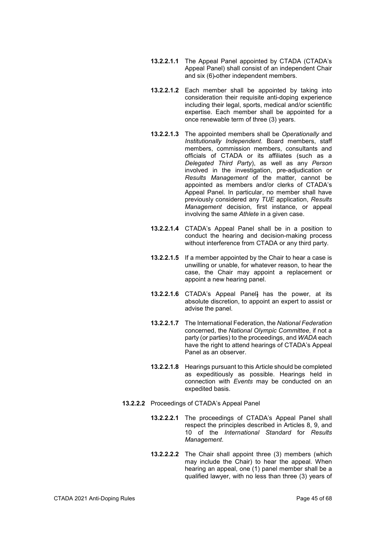- **13.2.2.1.1** The Appeal Panel appointed by CTADA (CTADA's Appeal Panel) shall consist of an independent Chair and six (6) other independent members.
- **13.2.2.1.2** Each member shall be appointed by taking into consideration their requisite anti-doping experience including their legal, sports, medical and/or scientific expertise. Each member shall be appointed for a once renewable term of three (3) years.
- **13.2.2.1.3** The appointed members shall be *Operationally* and *Institutionally Independent*. Board members, staff members, commission members, consultants and officials of CTADA or its affiliates (such as a *Delegated Third Party*), as well as any *Person* involved in the investigation, pre-adjudication or *Results Management* of the matter, cannot be appointed as members and/or clerks of CTADA's Appeal Panel. In particular, no member shall have previously considered any *TUE* application, *Results Management* decision, first instance, or appeal involving the same *Athlete* in a given case.
- **13.2.2.1.4** CTADA's Appeal Panel shall be in a position to conduct the hearing and decision-making process without interference from CTADA or any third party.
- **13.2.2.1.5** If a member appointed by the Chair to hear a case is unwilling or unable, for whatever reason, to hear the case, the Chair may appoint a replacement or appoint a new hearing panel.
- **13.2.2.1.6** CTADA's Appeal Panel] has the power, at its absolute discretion, to appoint an expert to assist or advise the panel.
- **13.2.2.1.7** The International Federation, the *National Federation* concerned, the *National Olympic Committee*, if not a party (or parties) to the proceedings, and *WADA* each have the right to attend hearings of CTADA's Appeal Panel as an observer.
- **13.2.2.1.8** Hearings pursuant to this Article should be completed as expeditiously as possible. Hearings held in connection with *Events* may be conducted on an expedited basis.
- **13.2.2.2** Proceedings of CTADA's Appeal Panel
	- **13.2.2.2.1** The proceedings of CTADA's Appeal Panel shall respect the principles described in Articles 8, 9, and 10 of the *International Standard* for *Results Management*.
	- **13.2.2.2.2** The Chair shall appoint three (3) members (which may include the Chair) to hear the appeal. When hearing an appeal, one (1) panel member shall be a qualified lawyer, with no less than three (3) years of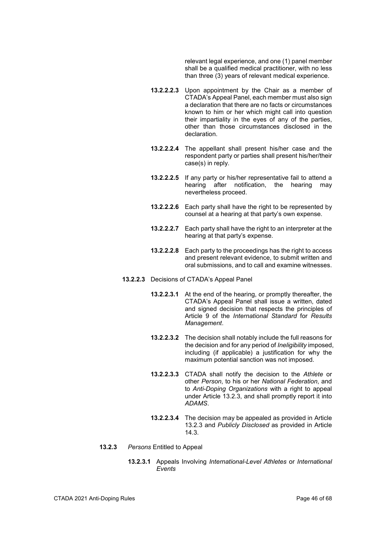relevant legal experience, and one (1) panel member shall be a qualified medical practitioner, with no less than three (3) years of relevant medical experience.

- **13.2.2.2.3** Upon appointment by the Chair as a member of CTADA's Appeal Panel, each member must also sign a declaration that there are no facts or circumstances known to him or her which might call into question their impartiality in the eyes of any of the parties, other than those circumstances disclosed in the declaration.
- **13.2.2.2.4** The appellant shall present his/her case and the respondent party or parties shall present his/her/their case(s) in reply.
- **13.2.2.2.5** If any party or his/her representative fail to attend a hearing after notification. the hearing may after notification, the hearing may nevertheless proceed.
- **13.2.2.2.6** Each party shall have the right to be represented by counsel at a hearing at that party's own expense.
- **13.2.2.2.7** Each party shall have the right to an interpreter at the hearing at that party's expense.
- **13.2.2.2.8** Each party to the proceedings has the right to access and present relevant evidence, to submit written and oral submissions, and to call and examine witnesses.
- **13.2.2.3** Decisions of CTADA's Appeal Panel
	- **13.2.2.3.1** At the end of the hearing, or promptly thereafter, the CTADA's Appeal Panel shall issue a written, dated and signed decision that respects the principles of Article 9 of the *International Standard* for *Results Management*.
	- **13.2.2.3.2** The decision shall notably include the full reasons for the decision and for any period of *Ineligibility* imposed, including (if applicable) a justification for why the maximum potential sanction was not imposed.
	- **13.2.2.3.3** CTADA shall notify the decision to the *Athlete* or other *Person*, to his or her *National Federation*, and to *Anti-Doping Organizations* with a right to appeal under Article 13.2.3, and shall promptly report it into *ADAMS*.
	- **13.2.2.3.4** The decision may be appealed as provided in Article 13.2.3 and *Publicly Disclosed* as provided in Article 14.3.
- **13.2.3** *Persons* Entitled to Appeal
	- **13.2.3.1** Appeals Involving *International-Level Athletes* or *International Events*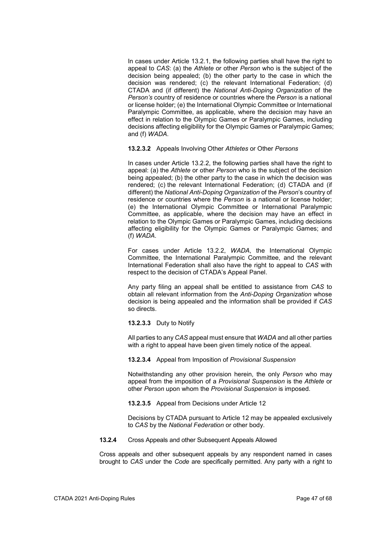In cases under Article 13.2.1, the following parties shall have the right to appeal to *CAS*: (a) the *Athlete* or other *Person* who is the subject of the decision being appealed; (b) the other party to the case in which the decision was rendered; (c) the relevant International Federation; (d) CTADA and (if different) the *National Anti-Doping Organization* of the *Person's* country of residence or countries where the *Person* is a national or license holder; (e) the International Olympic Committee or International Paralympic Committee, as applicable, where the decision may have an effect in relation to the Olympic Games or Paralympic Games, including decisions affecting eligibility for the Olympic Games or Paralympic Games; and (f) *WADA*.

**13.2.3.2** Appeals Involving Other *Athletes* or Other *Persons*

In cases under Article 13.2.2, the following parties shall have the right to appeal: (a) the *Athlete* or other *Person* who is the subject of the decision being appealed; (b) the other party to the case in which the decision was rendered; (c) the relevant International Federation; (d) CTADA and (if different) the *National Anti-Doping Organization* of the *Person*'s country of residence or countries where the *Person* is a national or license holder; (e) the International Olympic Committee or International Paralympic Committee, as applicable, where the decision may have an effect in relation to the Olympic Games or Paralympic Games, including decisions affecting eligibility for the Olympic Games or Paralympic Games; and (f) *WADA*.

For cases under Article 13.2.2, *WADA*, the International Olympic Committee, the International Paralympic Committee, and the relevant International Federation shall also have the right to appeal to *CAS* with respect to the decision of CTADA's Appeal Panel.

Any party filing an appeal shall be entitled to assistance from *CAS* to obtain all relevant information from the *Anti-Doping Organization* whose decision is being appealed and the information shall be provided if *CAS*  so directs.

# **13.2.3.3** Duty to Notify

All parties to any *CAS* appeal must ensure that *WADA* and all other parties with a right to appeal have been given timely notice of the appeal.

#### **13.2.3.4** Appeal from Imposition of *Provisional Suspension*

Notwithstanding any other provision herein, the only *Person* who may appeal from the imposition of a *Provisional Suspension* is the *Athlete* or other *Person* upon whom the *Provisional Suspension* is imposed.

**13.2.3.5** Appeal from Decisions under Article 12

Decisions by CTADA pursuant to Article 12 may be appealed exclusively to *CAS* by the *National Federation* or other body.

**13.2.4** Cross Appeals and other Subsequent Appeals Allowed

Cross appeals and other subsequent appeals by any respondent named in cases brought to *CAS* under the *Code* are specifically permitted. Any party with a right to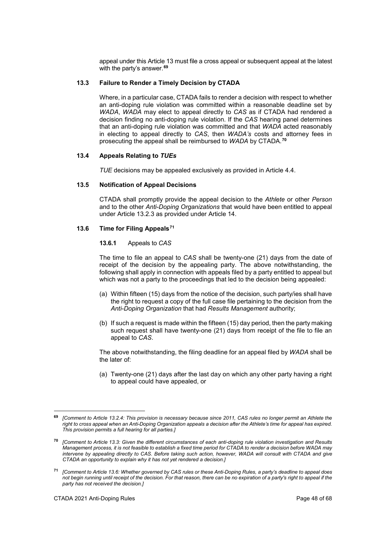appeal under this Article 13 must file a cross appeal or subsequent appeal at the latest with the party's answer.**[69](#page-47-0)**

# **13.3 Failure to Render a Timely Decision by CTADA**

Where, in a particular case, CTADA fails to render a decision with respect to whether an anti-doping rule violation was committed within a reasonable deadline set by *WADA*, *WADA* may elect to appeal directly to *CAS* as if CTADA had rendered a decision finding no anti-doping rule violation. If the *CAS* hearing panel determines that an anti-doping rule violation was committed and that *WADA* acted reasonably in electing to appeal directly to *CAS*, then *WADA's* costs and attorney fees in prosecuting the appeal shall be reimbursed to *WADA* by CTADA. **[70](#page-47-1)**

# **13.4 Appeals Relating to** *TUEs*

*TUE* decisions may be appealed exclusively as provided in Article 4.4.

#### **13.5 Notification of Appeal Decisions**

CTADA shall promptly provide the appeal decision to the *Athlete* or other *Person* and to the other *Anti-Doping Organizations* that would have been entitled to appeal under Article 13.2.3 as provided under Article 14.

#### **13.6 Time for Filing Appeals[71](#page-47-2)**

#### **13.6.1** Appeals to *CAS*

The time to file an appeal to *CAS* shall be twenty-one (21) days from the date of receipt of the decision by the appealing party. The above notwithstanding, the following shall apply in connection with appeals filed by a party entitled to appeal but which was not a party to the proceedings that led to the decision being appealed:

- (a) Within fifteen (15) days from the notice of the decision, such party/ies shall have the right to request a copy of the full case file pertaining to the decision from the *Anti-Doping Organization* that had *Results Management* authority;
- (b) If such a request is made within the fifteen (15) day period, then the party making such request shall have twenty-one (21) days from receipt of the file to file an appeal to *CAS*.

The above notwithstanding, the filing deadline for an appeal filed by *WADA* shall be the later of:

(a) Twenty-one (21) days after the last day on which any other party having a right to appeal could have appealed, or

<span id="page-47-0"></span>**<sup>69</sup>** *[Comment to Article 13.2.4: This provision is necessary because since 2011, CAS rules no longer permit an Athlete the right to cross appeal when an Anti-Doping Organization appeals a decision after the Athlete's time for appeal has expired. This provision permits a full hearing for all parties.]*

<span id="page-47-1"></span>**<sup>70</sup>** *[Comment to Article 13.3: Given the different circumstances of each anti-doping rule violation investigation and Results Management process, it is not feasible to establish a fixed time period for CTADA to render a decision before WADA may intervene by appealing directly to CAS. Before taking such action, however, WADA will consult with CTADA and give CTADA an opportunity to explain why it has not yet rendered a decision.]*

<span id="page-47-2"></span>**<sup>71</sup>** *[Comment to Article 13.6: Whether governed by CAS rules or these Anti-Doping Rules, a party's deadline to appeal does not begin running until receipt of the decision. For that reason, there can be no expiration of a party's right to appeal if the party has not received the decision.]*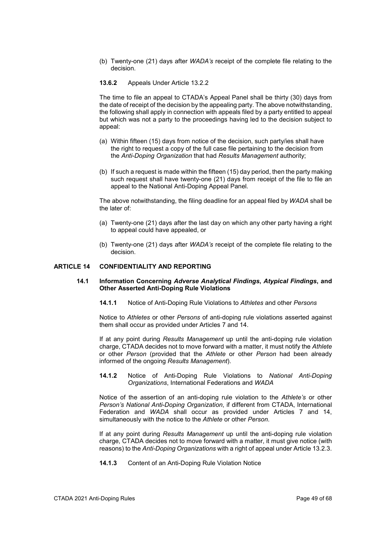- (b) Twenty-one (21) days after *WADA's* receipt of the complete file relating to the decision.
- **13.6.2** Appeals Under Article 13.2.2

The time to file an appeal to CTADA's Appeal Panel shall be thirty (30) days from the date of receipt of the decision by the appealing party. The above notwithstanding, the following shall apply in connection with appeals filed by a party entitled to appeal but which was not a party to the proceedings having led to the decision subject to appeal:

- (a) Within fifteen (15) days from notice of the decision, such party/ies shall have the right to request a copy of the full case file pertaining to the decision from the *Anti-Doping Organization* that had *Results Management* authority;
- (b) If such a request is made within the fifteen (15) day period, then the party making such request shall have twenty-one (21) days from receipt of the file to file an appeal to the National Anti-Doping Appeal Panel.

The above notwithstanding, the filing deadline for an appeal filed by *WADA* shall be the later of:

- (a) Twenty-one (21) days after the last day on which any other party having a right to appeal could have appealed, or
- (b) Twenty-one (21) days after *WADA's* receipt of the complete file relating to the decision.

# <span id="page-48-0"></span>**ARTICLE 14 CONFIDENTIALITY AND REPORTING**

#### **14.1 Information Concerning** *Adverse Analytical Findings***,** *Atypical Findings***, and Other Asserted Anti-Doping Rule Violations**

**14.1.1** Notice of Anti-Doping Rule Violations to *Athletes* and other *Persons*

Notice to *Athletes* or other *Persons* of anti-doping rule violations asserted against them shall occur as provided under Articles 7 and 14.

If at any point during *Results Management* up until the anti-doping rule violation charge, CTADA decides not to move forward with a matter, it must notify the *Athlete* or other *Person* (provided that the *Athlete* or other *Person* had been already informed of the ongoing *Results Management*).

**14.1.2** Notice of Anti-Doping Rule Violations to *National Anti-Doping Organizations*, International Federations and *WADA*

Notice of the assertion of an anti-doping rule violation to the *Athlete's* or other *Person's National Anti-Doping Organization*, if different from CTADA, International Federation and *WADA* shall occur as provided under Articles 7 and 14, simultaneously with the notice to the *Athlete* or other *Person*.

If at any point during *Results Management* up until the anti-doping rule violation charge, CTADA decides not to move forward with a matter, it must give notice (with reasons) to the *Anti-Doping Organizations* with a right of appeal under Article 13.2.3.

**14.1.3** Content of an Anti-Doping Rule Violation Notice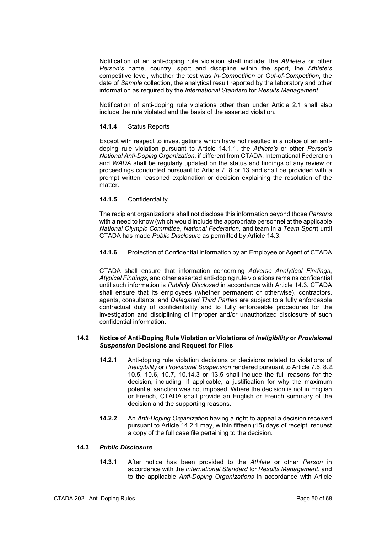Notification of an anti-doping rule violation shall include: the *Athlete's* or other *Person's* name, country, sport and discipline within the sport, the *Athlete's*  competitive level, whether the test was *In-Competition* or *Out-of-Competition*, the date of *Sample* collection, the analytical result reported by the laboratory and other information as required by the *International Standard* for *Results Management.*

Notification of anti-doping rule violations other than under Article 2.1 shall also include the rule violated and the basis of the asserted violation.

# **14.1.4** Status Reports

Except with respect to investigations which have not resulted in a notice of an antidoping rule violation pursuant to Article 14.1.1, the *Athlete's* or other *Person's National Anti-Doping Organization*, if different from CTADA, International Federation and *WADA* shall be regularly updated on the status and findings of any review or proceedings conducted pursuant to Article 7, 8 or 13 and shall be provided with a prompt written reasoned explanation or decision explaining the resolution of the matter

# **14.1.5** Confidentiality

The recipient organizations shall not disclose this information beyond those *Persons* with a need to know (which would include the appropriate personnel at the applicable *National Olympic Committee*, *National Federation*, and team in a *Team Sport*) until CTADA has made *Public Disclosure* as permitted by Article 14.3.

**14.1.6** Protection of Confidential Information by an Employee or Agent of CTADA

CTADA shall ensure that information concerning *Adverse Analytical Findings*, *Atypical Findings*, and other asserted anti-doping rule violations remains confidential until such information is *Publicly Disclosed* in accordance with Article 14.3. CTADA shall ensure that its employees (whether permanent or otherwise), contractors, agents, consultants, and *Delegated Third Parties* are subject to a fully enforceable contractual duty of confidentiality and to fully enforceable procedures for the investigation and disciplining of improper and/or unauthorized disclosure of such confidential information.

#### **14.2 Notice of Anti-Doping Rule Violation or Violations of** *Ineligibility* **or** *Provisional Suspension* **Decisions and Request for Files**

- **14.2.1** Anti-doping rule violation decisions or decisions related to violations of *Ineligibility* or *Provisional Suspension* rendered pursuant to Article 7.6, 8.2, 10.5, 10.6, 10.7, 10.14.3 or 13.5 shall include the full reasons for the decision, including, if applicable, a justification for why the maximum potential sanction was not imposed. Where the decision is not in English or French, CTADA shall provide an English or French summary of the decision and the supporting reasons.
- **14.2.2** An *Anti-Doping Organization* having a right to appeal a decision received pursuant to Article 14.2.1 may, within fifteen (15) days of receipt, request a copy of the full case file pertaining to the decision.

# **14.3** *Public Disclosure*

**14.3.1** After notice has been provided to the *Athlete* or other *Person* in accordance with the *International Standard* for *Results Management*, and to the applicable *Anti-Doping Organizations* in accordance with Article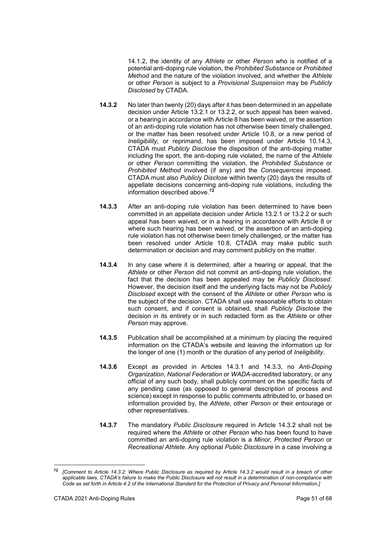14.1.2, the identity of any *Athlete* or other *Person* who is notified of a potential anti-doping rule violation, the *Prohibited Substance* or *Prohibited Method* and the nature of the violation involved, and whether the *Athlete* or other *Person* is subject to a *Provisional Suspension* may be *Publicly Disclosed* by CTADA.

- **14.3.2** No later than twenty (20) days after it has been determined in an appellate decision under Article 13.2.1 or 13.2.2, or such appeal has been waived, or a hearing in accordance with Article 8 has been waived, or the assertion of an anti-doping rule violation has not otherwise been timely challenged, or the matter has been resolved under Article 10.8, or a new period of *Ineligibility*, or reprimand, has been imposed under Article 10.14.3, CTADA must *Publicly Disclose* the disposition of the anti-doping matter including the sport, the anti-doping rule violated, the name of the *Athlete*  or other *Person* committing the violation, the *Prohibited Substance* or *Prohibited Method* involved (if any) and the *Consequences* imposed. CTADA must also *Publicly Disclose* within twenty (20) days the results of appellate decisions concerning anti-doping rule violations, including the information described above.**[72](#page-50-0)**
- **14.3.3** After an anti-doping rule violation has been determined to have been committed in an appellate decision under Article 13.2.1 or 13.2.2 or such appeal has been waived, or in a hearing in accordance with Article 8 or where such hearing has been waived, or the assertion of an anti-doping rule violation has not otherwise been timely challenged, or the matter has been resolved under Article 10.8, CTADA may make public such determination or decision and may comment publicly on the matter.
- **14.3.4** In any case where it is determined, after a hearing or appeal, that the *Athlete* or other *Person* did not commit an anti-doping rule violation, the fact that the decision has been appealed may be *Publicly Disclosed*. However, the decision itself and the underlying facts may not be *Publicly Disclosed* except with the consent of the *Athlete* or other *Person* who is the subject of the decision. CTADA shall use reasonable efforts to obtain such consent, and if consent is obtained, shall *Publicly Disclose* the decision in its entirety or in such redacted form as the *Athlete* or other *Person* may approve.
- **14.3.5** Publication shall be accomplished at a minimum by placing the required information on the CTADA's website and leaving the information up for the longer of one (1) month or the duration of any period of *Ineligibility*.
- **14.3.6** Except as provided in Articles 14.3.1 and 14.3.3, no *Anti-Doping Organization*, *National Federation* or *WADA*-accredited laboratory, or any official of any such body, shall publicly comment on the specific facts of any pending case (as opposed to general description of process and science) except in response to public comments attributed to, or based on information provided by, the *Athlete*, other *Person* or their entourage or other representatives.
- **14.3.7** The mandatory *Public Disclosure* required in Article 14.3.2 shall not be required where the *Athlete* or other *Person* who has been found to have committed an anti-doping rule violation is a *Minor, Protected Person* or *Recreational Athlete*. Any optional *Public Disclosure* in a case involving a

<span id="page-50-0"></span>**<sup>72</sup>** *[Comment to Article 14.3.2: Where Public Disclosure as required by Article 14.3.2 would result in a breach of other applicable laws, CTADA's failure to make the Public Disclosure will not result in a determination of non-compliance with Code as set forth in Article 4.2 of the International Standard for the Protection of Privacy and Personal Information.]*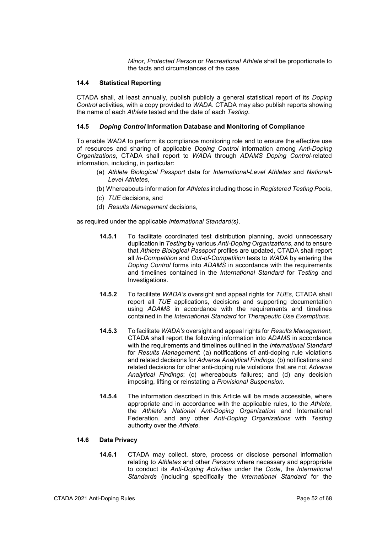*Minor, Protected Person* or *Recreational Athlete* shall be proportionate to the facts and circumstances of the case.

# **14.4 Statistical Reporting**

CTADA shall, at least annually, publish publicly a general statistical report of its *Doping Control* activities, with a copy provided to *WADA*. CTADA may also publish reports showing the name of each *Athlete* tested and the date of each *Testing*.

# **14.5** *Doping Control* **Information Database and Monitoring of Compliance**

To enable *WADA* to perform its compliance monitoring role and to ensure the effective use of resources and sharing of applicable *Doping Control* information among *Anti-Doping Organizations*, CTADA shall report to *WADA* through *ADAMS Doping Control*-related information, including, in particular:

- (a) *Athlete Biological Passport* data for *International-Level Athletes* and *National-Level Athletes*,
- (b) Whereabouts information for *Athletes* including those in *Registered Testing Pools*,
- (c) *TUE* decisions, and
- (d) *Results Management* decisions,

as required under the applicable *International Standard(s)*.

- **14.5.1** To facilitate coordinated test distribution planning, avoid unnecessary duplication in *Testing* by various *Anti-Doping Organizations*, and to ensure that *Athlete Biological Passport* profiles are updated, CTADA shall report all *In-Competition* and *Out-of-Competition* tests to *WADA* by entering the *Doping Control* forms into *ADAMS* in accordance with the requirements and timelines contained in the *International Standard* for *Testing* and Investigations.
- **14.5.2** To facilitate *WADA's* oversight and appeal rights for *TUEs*, CTADA shall report all *TUE* applications, decisions and supporting documentation using *ADAMS* in accordance with the requirements and timelines contained in the *International Standard* for *Therapeutic Use Exemptions*.
- **14.5.3** To facilitate *WADA's* oversight and appeal rights for *Results Management*, CTADA shall report the following information into *ADAMS* in accordance with the requirements and timelines outlined in the *International Standard* for *Results Management*: (a) notifications of anti-doping rule violations and related decisions for *Adverse Analytical Findings*; (b) notifications and related decisions for other anti-doping rule violations that are not *Adverse Analytical Findings*; (c) whereabouts failures; and (d) any decision imposing, lifting or reinstating a *Provisional Suspension*.
- **14.5.4** The information described in this Article will be made accessible, where appropriate and in accordance with the applicable rules, to the *Athlete*, the *Athlete*'s *National Anti-Doping Organization* and International Federation, and any other *Anti-Doping Organizations* with *Testing* authority over the *Athlete*.

# **14.6 Data Privacy**

**14.6.1** CTADA may collect, store, process or disclose personal information relating to *Athletes* and other *Persons* where necessary and appropriate to conduct its *Anti-Doping Activities* under the *Code*, the *International Standards* (including specifically the *International Standard* for the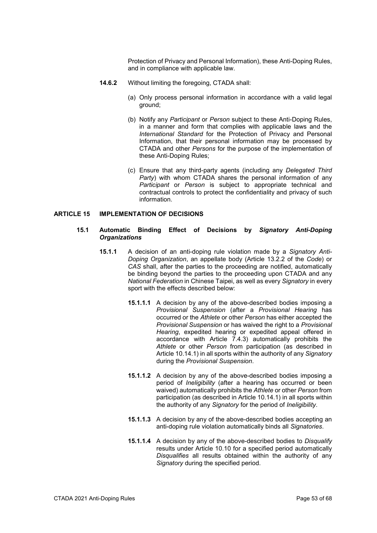Protection of Privacy and Personal Information), these Anti-Doping Rules, and in compliance with applicable law.

- **14.6.2** Without limiting the foregoing, CTADA shall:
	- (a) Only process personal information in accordance with a valid legal ground;
	- (b) Notify any *Participant* or *Person* subject to these Anti-Doping Rules, in a manner and form that complies with applicable laws and the *International Standard* for the Protection of Privacy and Personal Information, that their personal information may be processed by CTADA and other *Persons* for the purpose of the implementation of these Anti-Doping Rules;
	- (c) Ensure that any third-party agents (including any *Delegated Third Party*) with whom CTADA shares the personal information of any *Participant* or *Person* is subject to appropriate technical and contractual controls to protect the confidentiality and privacy of such information.

# <span id="page-52-0"></span>**ARTICLE 15 IMPLEMENTATION OF DECISIONS**

#### **15.1 Automatic Binding Effect of Decisions by** *Signatory Anti-Doping Organizations*

- **15.1.1** A decision of an anti-doping rule violation made by a *Signatory Anti-Doping Organization*, an appellate body (Article 13.2.2 of the *Code*) or *CAS* shall, after the parties to the proceeding are notified, automatically be binding beyond the parties to the proceeding upon CTADA and any *National Federation* in Chinese Taipei, as well as every *Signatory* in every sport with the effects described below:
	- **15.1.1.1** A decision by any of the above-described bodies imposing a *Provisional Suspension* (after a *Provisional Hearing* has occurred or the *Athlete* or other *Person* has either accepted the *Provisional Suspension* or has waived the right to a *Provisional Hearing*, expedited hearing or expedited appeal offered in accordance with Article 7.4.3) automatically prohibits the *Athlete* or other *Person* from participation (as described in Article 10.14.1) in all sports within the authority of any *Signatory* during the *Provisional Suspension*.
	- **15.1.1.2** A decision by any of the above-described bodies imposing a period of *Ineligibility* (after a hearing has occurred or been waived) automatically prohibits the *Athlete* or other *Person* from participation (as described in Article 10.14.1) in all sports within the authority of any *Signatory* for the period of *Ineligibility*.
	- **15.1.1.3** A decision by any of the above-described bodies accepting an anti-doping rule violation automatically binds all *Signatories*.
	- **15.1.1.4** A decision by any of the above-described bodies to *Disqualify* results under Article 10.10 for a specified period automatically *Disqualifies* all results obtained within the authority of any *Signatory* during the specified period.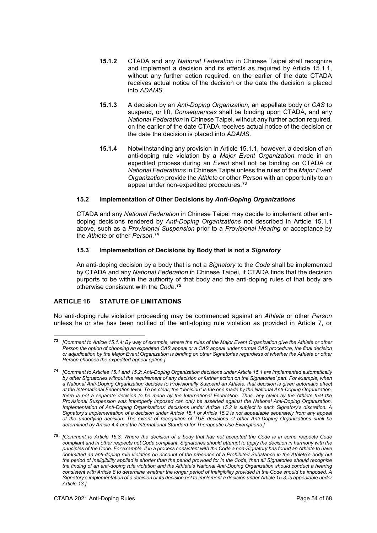- **15.1.2** CTADA and any *National Federation* in Chinese Taipei shall recognize and implement a decision and its effects as required by Article 15.1.1, without any further action required, on the earlier of the date CTADA receives actual notice of the decision or the date the decision is placed into *ADAMS*.
- **15.1.3** A decision by an *Anti-Doping Organization*, an appellate body or *CAS* to suspend, or lift, *Consequences* shall be binding upon CTADA, and any *National Federation* in Chinese Taipei, without any further action required, on the earlier of the date CTADA receives actual notice of the decision or the date the decision is placed into *ADAMS*.
- **15.1.4** Notwithstanding any provision in Article 15.1.1, however, a decision of an anti-doping rule violation by a *Major Event Organization* made in an expedited process during an *Event* shall not be binding on CTADA or *National Federations* in Chinese Taipei unless the rules of the *Major Event Organization* provide the *Athlete* or other *Person* with an opportunity to an appeal under non-expedited procedures.**[73](#page-53-1)**

# **15.2 Implementation of Other Decisions by** *Anti-Doping Organizations*

CTADA and any *National Federation* in Chinese Taipei may decide to implement other antidoping decisions rendered by *Anti-Doping Organizations* not described in Article 15.1.1 above, such as a *Provisional Suspension* prior to a *Provisional Hearing* or acceptance by the *Athlete* or other *Person*. **[74](#page-53-2)**

# **15.3 Implementation of Decisions by Body that is not a** *Signatory*

An anti-doping decision by a body that is not a *Signatory* to the *Code* shall be implemented by CTADA and any *National Federation* in Chinese Taipei, if CTADA finds that the decision purports to be within the authority of that body and the anti-doping rules of that body are otherwise consistent with the *Code*. **[75](#page-53-3)**

# <span id="page-53-0"></span>**ARTICLE 16 STATUTE OF LIMITATIONS**

<u>.</u>

No anti-doping rule violation proceeding may be commenced against an *Athlete* or other *Person* unless he or she has been notified of the anti-doping rule violation as provided in Article 7, or

<span id="page-53-1"></span>**<sup>73</sup>** *[Comment to Article 15.1.4: By way of example, where the rules of the Major Event Organization give the Athlete or other Person the option of choosing an expedited CAS appeal or a CAS appeal under normal CAS procedure, the final decision or adjudication by the Major Event Organization is binding on other Signatories regardless of whether the Athlete or other Person chooses the expedited appeal option.]*

<span id="page-53-2"></span>**<sup>74</sup>** *[Comment to Articles 15.1 and 15.2: Anti-Doping Organization decisions under Article 15.1 are implemented automatically by other Signatories without the requirement of any decision or further action on the Signatories' part. For example, when a National Anti-Doping Organization decides to Provisionally Suspend an Athlete, that decision is given automatic effect at the International Federation level. To be clear, the "decision" is the one made by the National Anti-Doping Organization, there is not a separate decision to be made by the International Federation. Thus, any claim by the Athlete that the Provisional Suspension was improperly imposed can only be asserted against the National Anti-Doping Organization. Implementation of Anti-Doping Organizations' decisions under Article 15.2 is subject to each Signatory's discretion. A Signatory's implementation of a decision under Article 15.1 or Article 15.2 is not appealable separately from any appeal of the underlying decision. The extent of recognition of TUE decisions of other Anti-Doping Organizations shall be determined by Article 4.4 and the International Standard for Therapeutic Use Exemptions.]*

<span id="page-53-3"></span>**<sup>75</sup>** *[Comment to Article 15.3: Where the decision of a body that has not accepted the Code is in some respects Code compliant and in other respects not Code compliant, Signatories should attempt to apply the decision in harmony with the principles of the Code. For example, if in a process consistent with the Code a non-Signatory has found an Athlete to have committed an anti-doping rule violation on account of the presence of a Prohibited Substance in the Athlete's body but the period of Ineligibility applied is shorter than the period provided for in the Code, then all Signatories should recognize the finding of an anti-doping rule violation and the Athlete's National Anti-Doping Organization should conduct a hearing consistent with Article 8 to determine whether the longer period of Ineligibility provided in the Code should be imposed. A Signatory's implementation of a decision or its decision not to implement a decision under Article 15.3, is appealable under Article 13.]*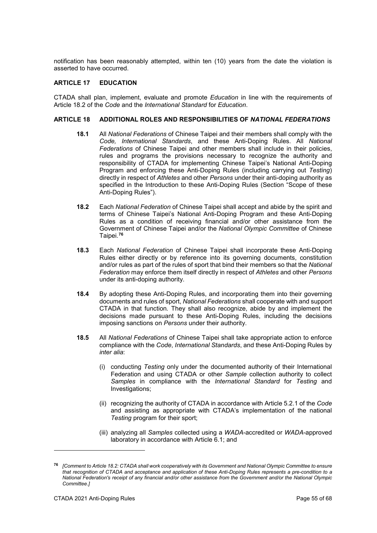notification has been reasonably attempted, within ten (10) years from the date the violation is asserted to have occurred.

# <span id="page-54-0"></span>**ARTICLE 17 EDUCATION**

CTADA shall plan, implement, evaluate and promote *Education* in line with the requirements of Article 18.2 of the *Code* and the *International Standard* for *Education*.

## <span id="page-54-1"></span>**ARTICLE 18 ADDITIONAL ROLES AND RESPONSIBILITIES OF** *NATIONAL FEDERATIONS*

- **18.1** All *National Federations* of Chinese Taipei and their members shall comply with the *Code, International Standards*, and these Anti-Doping Rules. All *National Federations* of Chinese Taipei and other members shall include in their policies, rules and programs the provisions necessary to recognize the authority and responsibility of CTADA for implementing Chinese Taipei's National Anti-Doping Program and enforcing these Anti-Doping Rules (including carrying out *Testing*) directly in respect of *Athletes* and other *Persons* under their anti-doping authority as specified in the Introduction to these Anti-Doping Rules (Section "Scope of these Anti-Doping Rules").
- **18.2** Each *National Federation* of Chinese Taipei shall accept and abide by the spirit and terms of Chinese Taipei's National Anti-Doping Program and these Anti-Doping Rules as a condition of receiving financial and/or other assistance from the Government of Chinese Taipei and/or the *National Olympic Committee* of Chinese Taipei. **[76](#page-54-2)**
- **18.3** Each *National Federation* of Chinese Taipei shall incorporate these Anti-Doping Rules either directly or by reference into its governing documents, constitution and/or rules as part of the rules of sport that bind their members so that the *National Federation* may enforce them itself directly in respect of *Athletes* and other *Persons* under its anti-doping authority.
- **18.4** By adopting these Anti-Doping Rules, and incorporating them into their governing documents and rules of sport, *National Federations* shall cooperate with and support CTADA in that function*.* They shall also recognize, abide by and implement the decisions made pursuant to these Anti-Doping Rules, including the decisions imposing sanctions on *Persons* under their authority.
- **18.5** All *National Federations* of Chinese Taipei shall take appropriate action to enforce compliance with the *Code*, *International Standards*, and these Anti-Doping Rules by *inter alia*:
	- (i) conducting *Testing* only under the documented authority of their International Federation and using CTADA or other *Sample* collection authority to collect *Samples* in compliance with the *International Standard* for *Testing* and Investigations;
	- (ii) recognizing the authority of CTADA in accordance with Article 5.2.1 of the *Code*  and assisting as appropriate with CTADA's implementation of the national *Testing* program for their sport;
	- (iii) analyzing all *Samples* collected using a *WADA*-accredited or *WADA*-approved laboratory in accordance with Article 6.1; and

<span id="page-54-2"></span>**<sup>76</sup>** *[Comment to Article 18.2: CTADA shall work cooperatively with its Government and National Olympic Committee to ensure that recognition of CTADA and acceptance and application of these Anti-Doping Rules represents a pre-condition to a National Federation's receipt of any financial and/or other assistance from the Government and/or the National Olympic Committee.]*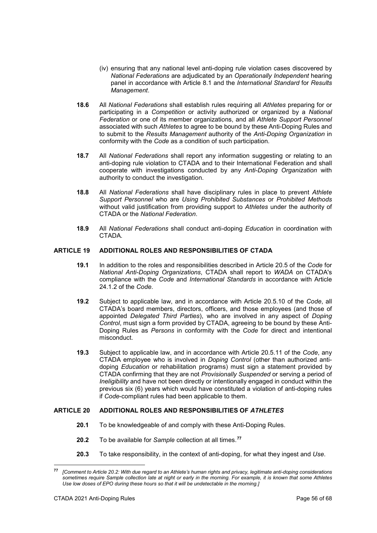- (iv) ensuring that any national level anti-doping rule violation cases discovered by *National Federations* are adjudicated by an *Operationally Independent* hearing panel in accordance with Article 8.1 and the *International Standard* for *Results Management*.
- **18.6** All *National Federations* shall establish rules requiring all *Athletes* preparing for or participating in a *Competition* or activity authorized or organized by a *National Federation* or one of its member organizations, and all *Athlete Support Personnel* associated with such *Athletes* to agree to be bound by these Anti-Doping Rules and to submit to the *Results Management* authority of the *Anti-Doping Organization* in conformity with the *Code* as a condition of such participation.
- **18.7** All *National Federations* shall report any information suggesting or relating to an anti-doping rule violation to CTADA and to their International Federation and shall cooperate with investigations conducted by any *Anti-Doping Organization* with authority to conduct the investigation.
- **18.8** All *National Federations* shall have disciplinary rules in place to prevent *Athlete Support Personnel* who are *Using Prohibited Substances* or *Prohibited Methods* without valid justification from providing support to *Athletes* under the authority of CTADA or the *National Federation*.
- **18.9** All *National Federations* shall conduct anti-doping *Education* in coordination with CTADA*.*

# <span id="page-55-0"></span>**ARTICLE 19 ADDITIONAL ROLES AND RESPONSIBILITIES OF CTADA**

- **19.1** In addition to the roles and responsibilities described in Article 20.5 of the *Code* for *National Anti-Doping Organizations*, CTADA shall report to *WADA* on CTADA's compliance with the *Code* and *International Standards* in accordance with Article 24.1.2 of the *Code*.
- **19.2** Subject to applicable law, and in accordance with Article 20.5.10 of the *Code*, all CTADA's board members, directors, officers, and those employees (and those of appointed *Delegated Third Parties*), who are involved in any aspect of *Doping Control*, must sign a form provided by CTADA, agreeing to be bound by these Anti-Doping Rules as *Persons* in conformity with the *Code* for direct and intentional misconduct.
- **19.3** Subject to applicable law, and in accordance with Article 20.5.11 of the *Code*, any CTADA employee who is involved in *Doping Control* (other than authorized antidoping *Education* or rehabilitation programs) must sign a statement provided by CTADA confirming that they are not *Provisionally Suspended* or serving a period of *Ineligibility* and have not been directly or intentionally engaged in conduct within the previous six (6) years which would have constituted a violation of anti-doping rules if *Code*-compliant rules had been applicable to them.

#### <span id="page-55-1"></span>**ARTICLE 20 ADDITIONAL ROLES AND RESPONSIBILITIES OF** *ATHLETES*

- **20.1** To be knowledgeable of and comply with these Anti-Doping Rules.
- **20.2** To be available for *Sample* collection at all times.**[77](#page-55-2)**
- **20.3** To take responsibility, in the context of anti-doping, for what they ingest and *Use*.

<span id="page-55-2"></span>**<sup>77</sup>** *[Comment to Article 20.2: With due regard to an Athlete's human rights and privacy, legitimate anti-doping considerations sometimes require Sample collection late at night or early in the morning. For example, it is known that some Athletes Use low doses of EPO during these hours so that it will be undetectable in the morning.]*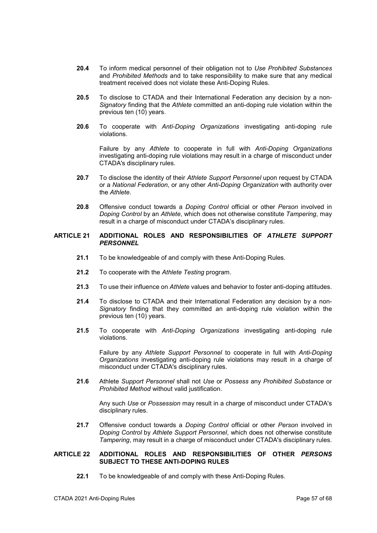- **20.4** To inform medical personnel of their obligation not to *Use Prohibited Substances* and *Prohibited Methods* and to take responsibility to make sure that any medical treatment received does not violate these Anti-Doping Rules.
- **20.5** To disclose to CTADA and their International Federation any decision by a non-*Signatory* finding that the *Athlete* committed an anti-doping rule violation within the previous ten (10) years.
- **20.6** To cooperate with *Anti-Doping Organizations* investigating anti-doping rule violations.

Failure by any *Athlete* to cooperate in full with *Anti-Doping Organizations* investigating anti-doping rule violations may result in a charge of misconduct under CTADA's disciplinary rules.

- **20.7** To disclose the identity of their *Athlete Support Personnel* upon request by CTADA or a *National Federation*, or any other *Anti-Doping Organization* with authority over the *Athlete*.
- **20.8** Offensive conduct towards a *Doping Control* official or other *Person* involved in *Doping Control* by an *Athlete*, which does not otherwise constitute *Tampering*, may result in a charge of misconduct under CTADA's disciplinary rules.

## <span id="page-56-0"></span>**ARTICLE 21 ADDITIONAL ROLES AND RESPONSIBILITIES OF** *ATHLETE SUPPORT PERSONNEL*

- **21.1** To be knowledgeable of and comply with these Anti-Doping Rules.
- **21.2** To cooperate with the *Athlete Testing* program.
- **21.3** To use their influence on *Athlete* values and behavior to foster anti-doping attitudes.
- **21.4** To disclose to CTADA and their International Federation any decision by a non-*Signatory* finding that they committed an anti-doping rule violation within the previous ten (10) years.
- **21.5** To cooperate with *Anti-Doping Organizations* investigating anti-doping rule violations.

Failure by any *Athlete Support Personnel* to cooperate in full with *Anti-Doping Organizations* investigating anti-doping rule violations may result in a charge of misconduct under CTADA's disciplinary rules.

**21.6** Athlete *Support Personnel* shall not *Use* or *Possess* any *Prohibited Substance* or *Prohibited Method* without valid justification.

Any such *Use* or *Possession* may result in a charge of misconduct under CTADA's disciplinary rules.

**21.7** Offensive conduct towards a *Doping Control* official or other *Person* involved in *Doping Control* by *Athlete Support Personnel*, which does not otherwise constitute *Tampering*, may result in a charge of misconduct under CTADA's disciplinary rules.

# <span id="page-56-1"></span>**ARTICLE 22 ADDITIONAL ROLES AND RESPONSIBILITIES OF OTHER** *PERSONS* **SUBJECT TO THESE ANTI-DOPING RULES**

**22.1** To be knowledgeable of and comply with these Anti-Doping Rules.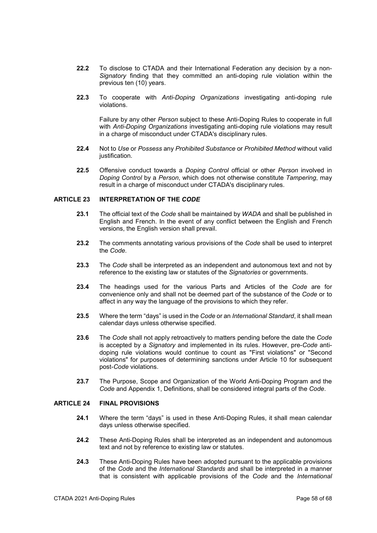- **22.2** To disclose to CTADA and their International Federation any decision by a non-*Signatory* finding that they committed an anti-doping rule violation within the previous ten (10) years.
- **22.3** To cooperate with *Anti-Doping Organizations* investigating anti-doping rule violations.

Failure by any other *Person* subject to these Anti-Doping Rules to cooperate in full with *Anti-Doping Organizations* investigating anti-doping rule violations may result in a charge of misconduct under CTADA's disciplinary rules.

- **22.4** Not to *Use* or *Possess* any *Prohibited Substance* or *Prohibited Method* without valid justification.
- **22.5** Offensive conduct towards a *Doping Control* official or other *Person* involved in *Doping Control* by a *Person*, which does not otherwise constitute *Tampering*, may result in a charge of misconduct under CTADA's disciplinary rules.

## <span id="page-57-0"></span>**ARTICLE 23 INTERPRETATION OF THE** *CODE*

- **23.1** The official text of the *Code* shall be maintained by *WADA* and shall be published in English and French. In the event of any conflict between the English and French versions, the English version shall prevail.
- **23.2** The comments annotating various provisions of the *Code* shall be used to interpret the *Code*.
- **23.3** The *Code* shall be interpreted as an independent and autonomous text and not by reference to the existing law or statutes of the *Signatories* or governments.
- **23.4** The headings used for the various Parts and Articles of the *Code* are for convenience only and shall not be deemed part of the substance of the *Code* or to affect in any way the language of the provisions to which they refer.
- **23.5** Where the term "days" is used in the *Code* or an *International Standard*, it shall mean calendar days unless otherwise specified.
- **23.6** The *Code* shall not apply retroactively to matters pending before the date the *Code* is accepted by a *Signatory* and implemented in its rules. However, pre-*Code* antidoping rule violations would continue to count as "First violations" or "Second violations" for purposes of determining sanctions under Article 10 for subsequent post-*Code* violations.
- **23.7** The Purpose, Scope and Organization of the World Anti-Doping Program and the *Code* and Appendix 1, Definitions, shall be considered integral parts of the *Code*.

#### <span id="page-57-1"></span>**ARTICLE 24 FINAL PROVISIONS**

- **24.1** Where the term "days" is used in these Anti-Doping Rules, it shall mean calendar days unless otherwise specified.
- **24.2** These Anti-Doping Rules shall be interpreted as an independent and autonomous text and not by reference to existing law or statutes.
- **24.3** These Anti-Doping Rules have been adopted pursuant to the applicable provisions of the *Code* and the *International Standards* and shall be interpreted in a manner that is consistent with applicable provisions of the *Code* and the *International*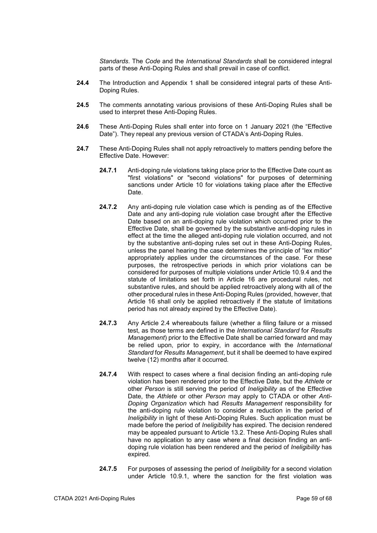*Standards*. The *Code* and the *International Standards* shall be considered integral parts of these Anti-Doping Rules and shall prevail in case of conflict.

- **24.4** The Introduction and Appendix 1 shall be considered integral parts of these Anti-Doping Rules.
- **24.5** The comments annotating various provisions of these Anti-Doping Rules shall be used to interpret these Anti-Doping Rules.
- **24.6** These Anti-Doping Rules shall enter into force on 1 January 2021 (the "Effective Date"). They repeal any previous version of CTADA's Anti-Doping Rules.
- **24.7** These Anti-Doping Rules shall not apply retroactively to matters pending before the Effective Date. However:
	- **24.7.1** Anti-doping rule violations taking place prior to the Effective Date count as "first violations" or "second violations" for purposes of determining sanctions under Article 10 for violations taking place after the Effective Date.
	- **24.7.2** Any anti-doping rule violation case which is pending as of the Effective Date and any anti-doping rule violation case brought after the Effective Date based on an anti-doping rule violation which occurred prior to the Effective Date, shall be governed by the substantive anti-doping rules in effect at the time the alleged anti-doping rule violation occurred, and not by the substantive anti-doping rules set out in these Anti-Doping Rules, unless the panel hearing the case determines the principle of "lex mitior" appropriately applies under the circumstances of the case. For these purposes, the retrospective periods in which prior violations can be considered for purposes of multiple violations under Article 10.9.4 and the statute of limitations set forth in Article 16 are procedural rules, not substantive rules, and should be applied retroactively along with all of the other procedural rules in these Anti-Doping Rules (provided, however, that Article 16 shall only be applied retroactively if the statute of limitations period has not already expired by the Effective Date).
	- **24.7.3** Any Article 2.4 whereabouts failure (whether a filing failure or a missed test, as those terms are defined in the *International Standard* for *Results Management*) prior to the Effective Date shall be carried forward and may be relied upon, prior to expiry, in accordance with the *International Standard* for *Results Management*, but it shall be deemed to have expired twelve (12) months after it occurred*.*
	- **24.7.4** With respect to cases where a final decision finding an anti-doping rule violation has been rendered prior to the Effective Date, but the *Athlete* or other *Person* is still serving the period of *Ineligibility* as of the Effective Date, the *Athlete* or other *Person* may apply to CTADA or other *Anti-Doping Organization* which had *Results Management* responsibility for the anti-doping rule violation to consider a reduction in the period of *Ineligibility* in light of these Anti-Doping Rules. Such application must be made before the period of *Ineligibility* has expired. The decision rendered may be appealed pursuant to Article 13.2. These Anti-Doping Rules shall have no application to any case where a final decision finding an antidoping rule violation has been rendered and the period of *Ineligibility* has expired.
	- **24.7.5** For purposes of assessing the period of *Ineligibility* for a second violation under Article 10.9.1, where the sanction for the first violation was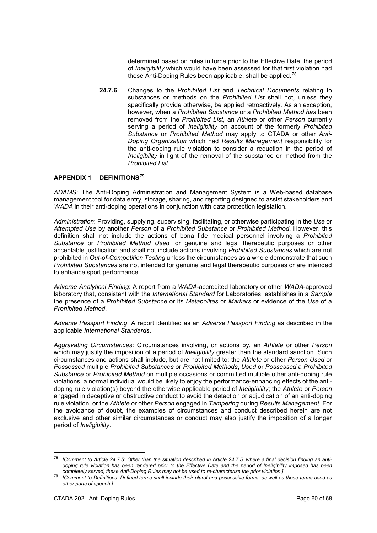determined based on rules in force prior to the Effective Date, the period of *Ineligibility* which would have been assessed for that first violation had these Anti-Doping Rules been applicable, shall be applied.**[78](#page-59-1)**

**24.7.6** Changes to the *Prohibited List* and *Technical Documents* relating to substances or methods on the *Prohibited List* shall not, unless they specifically provide otherwise, be applied retroactively. As an exception, however, when a *Prohibited Substance* or a *Prohibited Method has* been removed from the *Prohibited List*, an *Athlete* or other *Person* currently serving a period of *Ineligibility* on account of the formerly *Prohibited Substance* or *Prohibited Method* may apply to CTADA or other *Anti-Doping Organization* which had *Results Management* responsibility for the anti-doping rule violation to consider a reduction in the period of *Ineligibility* in light of the removal of the substance or method from the *Prohibited List*.

# <span id="page-59-0"></span>**APPENDIX 1 DEFINITIONS[79](#page-59-2)**

*ADAMS*: The Anti-Doping Administration and Management System is a Web-based database management tool for data entry, storage, sharing, and reporting designed to assist stakeholders and *WADA* in their anti-doping operations in conjunction with data protection legislation.

*Administration*: Providing, supplying, supervising, facilitating, or otherwise participating in the *Use* or *Attempted Use* by another *Person* of a *Prohibited Substance* or *Prohibited Method*. However, this definition shall not include the actions of bona fide medical personnel involving a *Prohibited Substance* or *Prohibited Method Used* for genuine and legal therapeutic purposes or other acceptable justification and shall not include actions involving *Prohibited Substances* which are not prohibited in *Out-of-Competition Testing* unless the circumstances as a whole demonstrate that such *Prohibited Substances* are not intended for genuine and legal therapeutic purposes or are intended to enhance sport performance.

*Adverse Analytical Finding*: A report from a *WADA*-accredited laboratory or other *WADA*-approved laboratory that, consistent with the *International Standard* for Laboratories, establishes in a *Sample*  the presence of a *Prohibited Substance* or its *Metabolites* or *Markers* or evidence of the *Use* of a *Prohibited Method*.

*Adverse Passport Finding*: A report identified as an *Adverse Passport Finding* as described in the applicable *International Standards*.

*Aggravating Circumstances*: Circumstances involving, or actions by, an *Athlete* or other *Person* which may justify the imposition of a period of *Ineligibility* greater than the standard sanction. Such circumstances and actions shall include, but are not limited to: the *Athlete* or other *Person Used* or *Possessed* multiple *Prohibited Substances* or *Prohibited Methods*, *Used* or *Possessed* a *Prohibited Substance* or *Prohibited Method* on multiple occasions or committed multiple other anti-doping rule violations; a normal individual would be likely to enjoy the performance-enhancing effects of the antidoping rule violation(s) beyond the otherwise applicable period of *Ineligibility*; the *Athlete* or *Person* engaged in deceptive or obstructive conduct to avoid the detection or adjudication of an anti-doping rule violation; or the *Athlete* or other *Person* engaged in *Tampering* during *Results Management*. For the avoidance of doubt, the examples of circumstances and conduct described herein are not exclusive and other similar circumstances or conduct may also justify the imposition of a longer period of *Ineligibility*.

<span id="page-59-1"></span>**<sup>78</sup>** *[Comment to Article 24.7.5: Other than the situation described in Article 24.7.5, where a final decision finding an antidoping rule violation has been rendered prior to the Effective Date and the period of Ineligibility imposed has been completely served, these Anti-Doping Rules may not be used to re-characterize the prior violation.]*

<span id="page-59-2"></span>**<sup>79</sup>** *[Comment to Definitions: Defined terms shall include their plural and possessive forms, as well as those terms used as other parts of speech.]*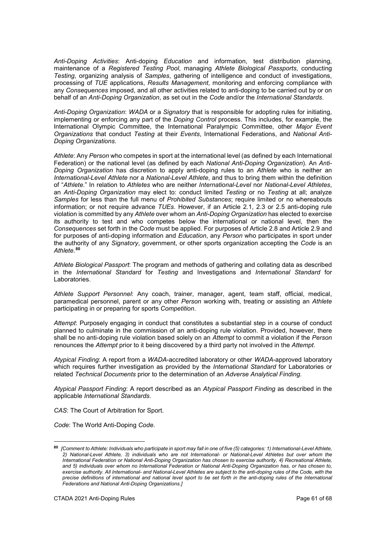*Anti-Doping Activities*: Anti-doping *Education* and information, test distribution planning, maintenance of a *Registered Testing Pool*, managing *Athlete Biological Passports*, conducting *Testing*, organizing analysis of *Samples*, gathering of intelligence and conduct of investigations, processing of *TUE* applications, *Results Management*, monitoring and enforcing compliance with any *Consequences* imposed, and all other activities related to anti-doping to be carried out by or on behalf of an *Anti-Doping Organization*, as set out in the *Code* and/or the *International Standards*.

*Anti-Doping Organization*: *WADA* or a *Signatory* that is responsible for adopting rules for initiating, implementing or enforcing any part of the *Doping Control* process. This includes, for example, the International Olympic Committee, the International Paralympic Committee, other *Major Event Organizations* that conduct *Testing* at their *Events*, International Federations, and *National Anti-Doping Organizations.*

*Athlete*: Any *Person* who competes in sport at the international level (as defined by each International Federation) or the national level (as defined by each *National Anti-Doping Organization*). An *Anti-Doping Organization* has discretion to apply anti-doping rules to an *Athlete* who is neither an *International-Level Athlete* nor a *National-Level Athlete*, and thus to bring them within the definition of "*Athlete.*" In relation to *Athletes* who are neither *International-Level* nor *National-Level Athletes*, an *Anti-Doping Organization* may elect to: conduct limited *Testing* or no *Testing* at all; analyze *Samples* for less than the full menu of *Prohibited Substances*; require limited or no whereabouts information; or not require advance *TUEs*. However, if an Article 2.1, 2.3 or 2.5 anti-doping rule violation is committed by any *Athlete* over whom an *Anti-Doping Organization* has elected to exercise its authority to test and who competes below the international or national level, then the *Consequences* set forth in the *Code* must be applied. For purposes of Article 2.8 and Article 2.9 and for purposes of anti-doping information and *Education*, any *Person* who participates in sport under the authority of any *Signatory*, government, or other sports organization accepting the *Code* is an *Athlete*. **[80](#page-60-0)**

*Athlete Biological Passport*: The program and methods of gathering and collating data as described in the *International Standard* for *Testing* and Investigations and *International Standard* for Laboratories.

*Athlete Support Personnel*: Any coach, trainer, manager, agent, team staff, official, medical, paramedical personnel, parent or any other *Person* working with, treating or assisting an *Athlete* participating in or preparing for sports *Competition*.

*Attempt*: Purposely engaging in conduct that constitutes a substantial step in a course of conduct planned to culminate in the commission of an anti-doping rule violation. Provided, however, there shall be no anti-doping rule violation based solely on an *Attempt* to commit a violation if the *Person* renounces the *Attempt* prior to it being discovered by a third party not involved in the *Attempt*.

*Atypical Finding*: A report from a *WADA*-accredited laboratory or other *WADA*-approved laboratory which requires further investigation as provided by the *International Standard* for Laboratories or related *Technical Documents* prior to the determination of an *Adverse Analytical Finding*.

*Atypical Passport Finding*: A report described as an *Atypical Passport Finding* as described in the applicable *International Standards*.

*CAS*: The Court of Arbitration for Sport.

*Code*: The World Anti-Doping *Code*.

<span id="page-60-0"></span>**<sup>80</sup>** *[Comment to Athlete: Individuals who participate in sport may fall in one of five (5) categories: 1) International-Level Athlete, 2) National-Level Athlete, 3) individuals who are not International- or National-Level Athletes but over whom the International Federation or National Anti-Doping Organization has chosen to exercise authority, 4) Recreational Athlete, and 5) individuals over whom no International Federation or National Anti-Doping Organization has, or has chosen to, exercise authority. All International- and National-Level Athletes are subject to the anti-doping rules of the Code, with the precise definitions of international and national level sport to be set forth in the anti-doping rules of the International Federations and National Anti-Doping Organizations.]*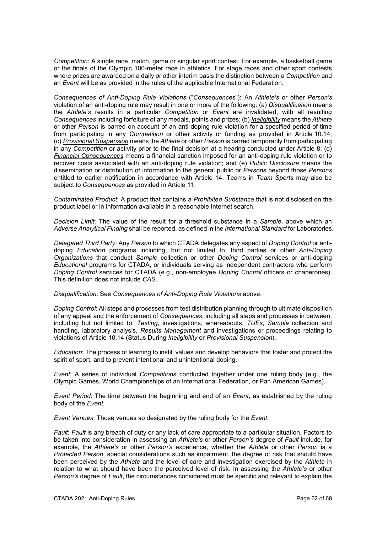*Competition*: A single race, match, game or singular sport contest. For example, a basketball game or the finals of the Olympic 100-meter race in athletics. For stage races and other sport contests where prizes are awarded on a daily or other interim basis the distinction between a *Competition* and an *Event* will be as provided in the rules of the applicable International Federation.

*Consequences of Anti-Doping Rule Violations* ("*Consequences*"): An *Athlete's* or other *Person's* violation of an anti-doping rule may result in one or more of the following: (a) *Disqualification* means the *Athlete's* results in a particular *Competition* or *Event* are invalidated, with all resulting *Consequences* including forfeiture of any medals, points and prizes; (b) *Ineligibility* means the *Athlete* or other *Person* is barred on account of an anti-doping rule violation for a specified period of time from participating in any *Competition* or other activity or funding as provided in Article 10.14; (c) *Provisional Suspension* means the *Athlete* or other *Person* is barred temporarily from participating in any *Competition* or activity prior to the final decision at a hearing conducted under Article 8; (d) *Financial Consequences* means a financial sanction imposed for an anti-doping rule violation or to recover costs associated with an anti-doping rule violation; and (e) *Public Disclosure* means the dissemination or distribution of information to the general public or *Persons* beyond those *Persons*  entitled to earlier notification in accordance with Article 14. Teams in *Team Sports* may also be subject to *Consequences* as provided in Article 11.

*Contaminated Product*: A product that contains a *Prohibited Substance* that is not disclosed on the product label or in information available in a reasonable Internet search.

*Decision Limit*: The value of the result for a threshold substance in a *Sample*, above which an *Adverse Analytical Finding* shall be reported, as defined in the *International Standard* for Laboratories.

*Delegated Third Party*: Any *Person* to which CTADA delegates any aspect of *Doping Control* or antidoping *Education* programs including, but not limited to, third parties or other *Anti-Doping Organizations* that conduct *Sample* collection or other *Doping Control* services or anti-doping *Educational* programs for CTADA, or individuals serving as independent contractors who perform *Doping Control* services for CTADA (e.g., non-employee *Doping Control* officers or chaperones). This definition does not include *CAS*.

*Disqualification*: See *Consequences of Anti-Doping Rule Violations* above.

*Doping Control*: All steps and processes from test distribution planning through to ultimate disposition of any appeal and the enforcement of *Consequences*, including all steps and processes in between, including but not limited to, *Testing*, investigations, whereabouts, *TUEs*, *Sample* collection and handling, laboratory analysis, *Results Management* and investigations or proceedings relating to violations of Article 10.14 (Status During *Ineligibility* or *Provisional Suspension*).

*Education*: The process of learning to instill values and develop behaviors that foster and protect the spirit of sport, and to prevent intentional and unintentional doping.

*Event*: A series of individual *Competitions* conducted together under one ruling body (e.g., the Olympic Games, World Championships of an International Federation, or Pan American Games).

*Event Period*: The time between the beginning and end of an *Event*, as established by the ruling body of the *Event*.

*Event Venues*: Those venues so designated by the ruling body for the *Event.*

*Fault*: *Fault* is any breach of duty or any lack of care appropriate to a particular situation. Factors to be taken into consideration in assessing an *Athlete's* or other *Person's* degree of *Fault* include, for example, the *Athlete's* or other *Person's* experience, whether the *Athlete* or other *Person* is a *Protected Person*, special considerations such as impairment, the degree of risk that should have been perceived by the *Athlete* and the level of care and investigation exercised by the *Athlete* in relation to what should have been the perceived level of risk. In assessing the *Athlete's* or other *Person's* degree of *Fault*, the circumstances considered must be specific and relevant to explain the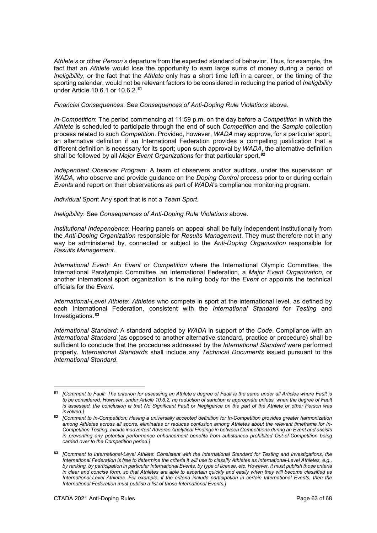*Athlete's* or other *Person's* departure from the expected standard of behavior. Thus, for example, the fact that an *Athlete* would lose the opportunity to earn large sums of money during a period of *Ineligibility*, or the fact that the *Athlete* only has a short time left in a career, or the timing of the sporting calendar, would not be relevant factors to be considered in reducing the period of *Ineligibility* under Article 10.6.1 or 10.6.2.**[81](#page-62-0)**

*Financial Consequences*: See *Consequences of Anti-Doping Rule Violations* above.

*In-Competition*: The period commencing at 11:59 p.m. on the day before a *Competition* in which the *Athlete* is scheduled to participate through the end of such *Competition* and the *Sample* collection process related to such *Competition*. Provided, however, *WADA* may approve, for a particular sport, an alternative definition if an International Federation provides a compelling justification that a different definition is necessary for its sport; upon such approval by *WADA*, the alternative definition shall be followed by all *Major Event Organizations* for that particular sport.**[82](#page-62-1)**

*Independent Observer Program*: A team of observers and/or auditors, under the supervision of *WADA*, who observe and provide guidance on the *Doping Control* process prior to or during certain *Events* and report on their observations as part of *WADA*'s compliance monitoring program.

*Individual Sport*: Any sport that is not a *Team Sport.*

*Ineligibility*: See *Consequences of Anti-Doping Rule Violations* above.

*Institutional Independence*: Hearing panels on appeal shall be fully independent institutionally from the *Anti-Doping Organization* responsible for *Results Management*. They must therefore not in any way be administered by, connected or subject to the *Anti-Doping Organization* responsible for *Results Management*.

*International Event*: An *Event* or *Competition* where the International Olympic Committee, the International Paralympic Committee, an International Federation, a *Major Event Organization,* or another international sport organization is the ruling body for the *Event* or appoints the technical officials for the *Event.*

*International-Level Athlete*: *Athletes* who compete in sport at the international level, as defined by each International Federation, consistent with the *International Standard* for *Testing* and Investigations.**[83](#page-62-2)**

*International Standard*: A standard adopted by *WADA* in support of the *Code*. Compliance with an *International Standard* (as opposed to another alternative standard, practice or procedure) shall be sufficient to conclude that the procedures addressed by the *International Standard* were performed properly. *International Standards* shall include any *Technical Documents* issued pursuant to the *International Standard*.

<span id="page-62-0"></span>**<sup>81</sup>** *[Comment to Fault: The criterion for assessing an Athlete's degree of Fault is the same under all Articles where Fault is to be considered. However, under Article 10.6.2, no reduction of sanction is appropriate unless, when the degree of Fault is assessed, the conclusion is that No Significant Fault* or *Negligence on the part of the Athlete or other Person was involved.]*

<span id="page-62-1"></span>**<sup>82</sup>** *[Comment to In-Competition: Having a universally accepted definition for In-Competition provides greater harmonization among Athletes across all sports, eliminates or reduces confusion among Athletes about the relevant timeframe for In-Competition Testing, avoids inadvertent Adverse Analytical Findings in between Competitions during an Event and assists in preventing any potential performance enhancement benefits from substances prohibited Out-of-Competition being carried over to the Competition period.]* 

<span id="page-62-2"></span>**<sup>83</sup>** *[Comment to International-Level Athlete*: *Consistent with the International Standard for Testing and Investigations, the International Federation is free to determine the criteria it will use to classify Athletes as International-Level Athletes, e.g., by ranking, by participation in particular International Events, by type of license, etc. However, it must publish those criteria in clear and concise form, so that Athletes are able to ascertain quickly and easily when they will become classified as International-Level Athletes. For example, if the criteria include participation in certain International Events, then the International Federation must publish a list of those International Events.]*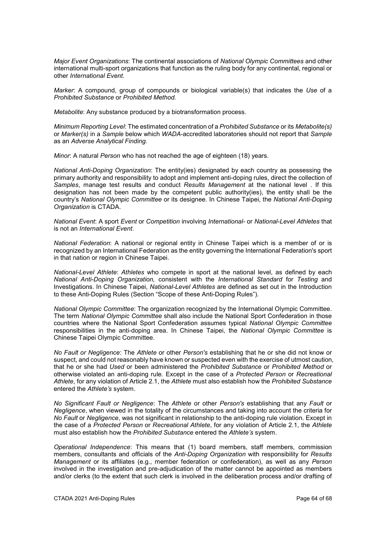*Major Event Organizations*: The continental associations of *National Olympic Committees* and other international multi-sport organizations that function as the ruling body for any continental, regional or other *International Event*.

*Marker*: A compound, group of compounds or biological variable(s) that indicates the *Use* of a *Prohibited Substance* or *Prohibited Method.*

*Metabolite*: Any substance produced by a biotransformation process.

*Minimum Reporting Level*: The estimated concentration of a *Prohibited Substance* or its *Metabolite(s)* or *Marker(s)* in a *Sample* below which *WADA*-accredited laboratories should not report that *Sample* as an *Adverse Analytical Finding.*

*Minor*: A natural *Person* who has not reached the age of eighteen (18) years.

*National Anti-Doping Organization*: The entity(ies) designated by each country as possessing the primary authority and responsibility to adopt and implement anti-doping rules, direct the collection of *Samples*, manage test results and conduct *Results Management* at the national level . If this designation has not been made by the competent public authority(ies), the entity shall be the country's *National Olympic Committee* or its designee. In Chinese Taipei, the *National Anti-Doping Organization* is CTADA.

*National Event*: A sport *Event* or *Competition* involving *International-* or *National-Level Athletes* that is not an *International Event*.

*National Federation*: A national or regional entity in Chinese Taipei which is a member of or is recognized by an International Federation as the entity governing the International Federation's sport in that nation or region in Chinese Taipei.

*National-Level Athlete*: *Athletes* who compete in sport at the national level, as defined by each *National Anti-Doping Organization,* consistent with the *International Standard* for *Testing* and Investigations. In Chinese Taipei, *National-Level Athletes* are defined as set out in the Introduction to these Anti-Doping Rules (Section "Scope of these Anti-Doping Rules").

*National Olympic Committee*: The organization recognized by the International Olympic Committee. The term *National Olympic Committee* shall also include the National Sport Confederation in those countries where the National Sport Confederation assumes typical *National Olympic Committee* responsibilities in the anti-doping area. In Chinese Taipei, the *National Olympic Committee* is Chinese Taipei Olympic Committee.

*No Fault or Negligence*: The *Athlete* or other *Person's* establishing that he or she did not know or suspect, and could not reasonably have known or suspected even with the exercise of utmost caution, that he or she had *Used* or been administered the *Prohibited Substance* or *Prohibited Method* or otherwise violated an anti-doping rule*.* Except in the case of a *Protected Person* or *Recreational Athlete*, for any violation of Article 2.1, the *Athlete* must also establish how the *Prohibited Substance* entered the *Athlete's* system.

*No Significant Fault or Negligence*: The *Athlete* or other *Person's* establishing that any *Fault* or *Negligence*, when viewed in the totality of the circumstances and taking into account the criteria for *No Fault* or *Negligence*, was not significant in relationship to the anti-doping rule violation. Except in the case of a *Protected Person* or *Recreational Athlete*, for any violation of Article 2.1, the *Athlete* must also establish how the *Prohibited Substance* entered the *Athlete's* system.

*Operational Independence*: This means that (1) board members, staff members, commission members, consultants and officials of the *Anti-Doping Organization* with responsibility for *Results Management* or its affiliates (e.g., member federation or confederation), as well as any *Person* involved in the investigation and pre-adjudication of the matter cannot be appointed as members and/or clerks (to the extent that such clerk is involved in the deliberation process and/or drafting of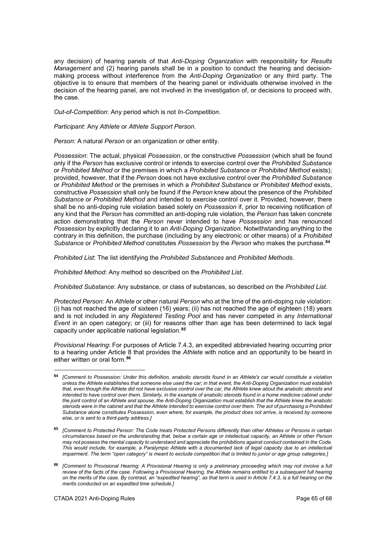any decision) of hearing panels of that *Anti-Doping Organization* with responsibility for *Results Management* and (2) hearing panels shall be in a position to conduct the hearing and decisionmaking process without interference from the *Anti-Doping Organization* or any third party. The objective is to ensure that members of the hearing panel or individuals otherwise involved in the decision of the hearing panel, are not involved in the investigation of, or decisions to proceed with, the case.

*Out-of-Competition*: Any period which is not *In-Competition*.

*Participant*: Any *Athlete* or *Athlete Support Person*.

*Person*: A natural *Person* or an organization or other entity.

*Possession*: The actual, physical *Possession*, or the constructive *Possession* (which shall be found only if the *Person* has exclusive control or intends to exercise control over the *Prohibited Substance* or *Prohibited Method* or the premises in which a *Prohibited Substance* or *Prohibited Method* exists); provided, however, that if the *Person* does not have exclusive control over the *Prohibited Substance*  or *Prohibited Method* or the premises in which a *Prohibited Substance* or *Prohibited Method* exists, constructive *Possession* shall only be found if the *Person* knew about the presence of the *Prohibited Substance* or *Prohibited Method* and intended to exercise control over it. Provided, however, there shall be no anti-doping rule violation based solely on *Possession* if, prior to receiving notification of any kind that the *Person* has committed an anti-doping rule violation, the *Person* has taken concrete action demonstrating that the *Person* never intended to have *Possession* and has renounced *Possession* by explicitly declaring it to an *Anti-Doping Organization*. Notwithstanding anything to the contrary in this definition, the purchase (including by any electronic or other means) of a *Prohibited Substance* or *Prohibited Method* constitutes *Possession* by the *Person* who makes the purchase.**[84](#page-64-0)**

*Prohibited List*: The list identifying the *Prohibited Substances* and *Prohibited Methods*.

*Prohibited Method*: Any method so described on the *Prohibited List*.

*Prohibited Substance*: Any substance, or class of substances, so described on the *Prohibited List*.

*Protected Person*: An *Athlete* or other natural *Person* who at the time of the anti-doping rule violation: (i) has not reached the age of sixteen (16) years; (ii) has not reached the age of eighteen (18) years and is not included in any *Registered Testing Pool* and has never competed in any *International Event* in an open category; or (iii) for reasons other than age has been determined to lack legal capacity under applicable national legislation.**[85](#page-64-1)**

*Provisional Hearing*: For purposes of Article 7.4.3, an expedited abbreviated hearing occurring prior to a hearing under Article 8 that provides the *Athlete* with notice and an opportunity to be heard in either written or oral form.**[86](#page-64-2)**

-

<span id="page-64-0"></span>**<sup>84</sup>** *[Comment to Possession: Under this definition, anabolic steroids found in an Athlete's car would constitute a violation unless the Athlete establishes that someone else used the car; in that event, the Anti-Doping Organization must establish*  that, even though the Athlete did not have exclusive control over the car, the Athlete knew about the anabolic steroids and intended to have control over them. Similarly, in the example of anabolic steroids found in a home medicine cabinet under *the joint control of an Athlete and spouse, the Anti-Doping Organization must establish that the Athlete knew the anabolic steroids were in the cabinet and that the Athlete intended to exercise control over them. The act of purchasing a Prohibited Substance alone constitutes Possession, even where, for example, the product does not arrive, is received by someone else, or is sent to a third-party address.]*

<span id="page-64-1"></span>**<sup>85</sup>** *[Comment to Protected Person: The Code treats Protected Persons differently than other Athletes or Persons in certain circumstances based on the understanding that, below a certain age or intellectual capacity, an Athlete or other Person may not possess the mental capacity to understand and appreciate the prohibitions against conduct contained in the Code. This would include, for example, a Paralympic Athlete with a documented lack of legal capacity due to an intellectual impairment. The term "open category" is meant to exclude competition that is limited to junior or age group categories.]*

<span id="page-64-2"></span>**<sup>86</sup>** *[Comment to Provisional Hearing: A Provisional Hearing is only a preliminary proceeding which may not involve a full review of the facts of the case. Following a Provisional Hearing, the Athlete remains entitled to a subsequent full hearing on the merits of the case. By contrast, an "expedited hearing", as that term is used in Article 7.4.3, is a full hearing on the merits conducted on an expedited time schedule.]*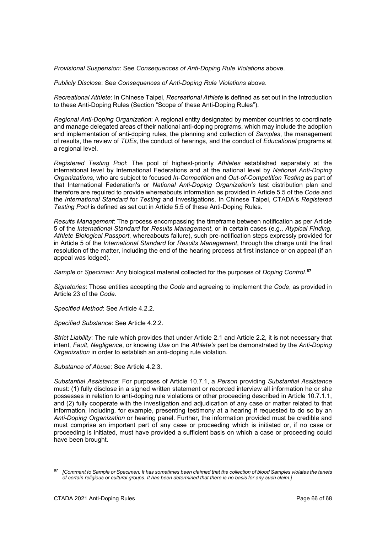*Provisional Suspension*: See *Consequences of Anti-Doping Rule Violations* above.

*Publicly Disclose*: See *Consequences of Anti-Doping Rule Violations* above.

*Recreational Athlete*: In Chinese Taipei, *Recreational Athlete* is defined as set out in the Introduction to these Anti-Doping Rules (Section "Scope of these Anti-Doping Rules").

*Regional Anti-Doping Organization*: A regional entity designated by member countries to coordinate and manage delegated areas of their national anti-doping programs, which may include the adoption and implementation of anti-doping rules, the planning and collection of *Samples*, the management of results, the review of *TUEs*, the conduct of hearings, and the conduct of *Educational* programs at a regional level.

*Registered Testing Pool*: The pool of highest-priority *Athletes* established separately at the international level by International Federations and at the national level by *National Anti-Doping Organizations,* who are subject to focused *In-Competition* and *Out-of-Competition Testing* as part of that International Federation's or *National Anti-Doping Organization's* test distribution plan and therefore are required to provide whereabouts information as provided in Article 5.5 of the *Code* and the *International Standard* for *Testing* and Investigations. In Chinese Taipei, CTADA's *Registered Testing Pool* is defined as set out in Article 5.5 of these Anti-Doping Rules.

*Results Management*: The process encompassing the timeframe between notification as per Article 5 of the *International Standard* for *Results Management*, or in certain cases (e.g., *Atypical Finding*, *Athlete Biological Passport*, whereabouts failure), such pre-notification steps expressly provided for in Article 5 of the *International Standard* for *Results Management*, through the charge until the final resolution of the matter, including the end of the hearing process at first instance or on appeal (if an appeal was lodged).

*Sample* or *Specimen*: Any biological material collected for the purposes of *Doping Control*. **[87](#page-65-0)**

*Signatories*: Those entities accepting the *Code* and agreeing to implement the *Code*, as provided in Article 23 of the *Code*.

*Specified Method*: See Article 4.2.2.

*Specified Substance*: See Article 4.2.2.

*Strict Liability*: The rule which provides that under Article 2.1 and Article 2.2, it is not necessary that intent, *Fault*, *Negligence*, or knowing *Use* on the *Athlete's* part be demonstrated by the *Anti-Doping Organization* in order to establish an anti-doping rule violation.

*Substance of Abuse*: See Article 4.2.3.

*Substantial Assistance*: For purposes of Article 10.7.1, a *Person* providing *Substantial Assistance* must: (1) fully disclose in a signed written statement or recorded interview all information he or she possesses in relation to anti-doping rule violations or other proceeding described in Article 10.7.1.1, and (2) fully cooperate with the investigation and adjudication of any case or matter related to that information, including, for example, presenting testimony at a hearing if requested to do so by an *Anti-Doping Organization* or hearing panel. Further, the information provided must be credible and must comprise an important part of any case or proceeding which is initiated or, if no case or proceeding is initiated, must have provided a sufficient basis on which a case or proceeding could have been brought.

<span id="page-65-0"></span>**<sup>87</sup>** *[Comment to Sample or Specimen: It has sometimes been claimed that the collection of blood Samples violates the tenets of certain religious or cultural groups. It has been determined that there is no basis for any such claim.]*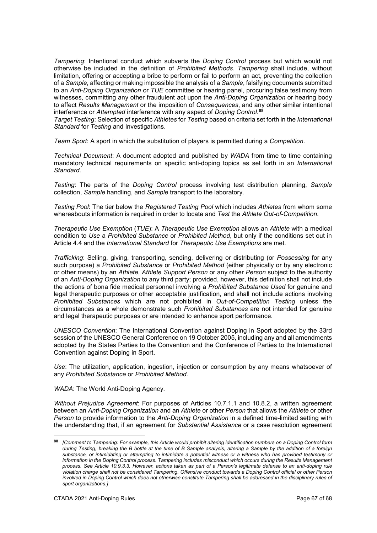*Tampering*: Intentional conduct which subverts the *Doping Control* process but which would not otherwise be included in the definition of *Prohibited Methods*. *Tampering* shall include, without limitation, offering or accepting a bribe to perform or fail to perform an act, preventing the collection of a *Sample*, affecting or making impossible the analysis of a *Sample*, falsifying documents submitted to an *Anti-Doping Organization* or *TUE* committee or hearing panel, procuring false testimony from witnesses, committing any other fraudulent act upon the *Anti-Doping Organization* or hearing body to affect *Results Management* or the imposition of *Consequences*, and any other similar intentional interference or *Attempted* interference with any aspect of *Doping Control*. **[88](#page-66-0)**

*Target Testing*: Selection of specific *Athletes* for *Testing* based on criteria set forth in the *International Standard* for *Testing* and Investigations.

*Team Sport*: A sport in which the substitution of players is permitted during a *Competition*.

*Technical Document*: A document adopted and published by *WADA* from time to time containing mandatory technical requirements on specific anti-doping topics as set forth in an *International Standard*.

*Testing*: The parts of the *Doping Control* process involving test distribution planning, *Sample* collection, *Sample* handling, and *Sample* transport to the laboratory.

*Testing Pool*: The tier below the *Registered Testing Pool* which includes *Athletes* from whom some whereabouts information is required in order to locate and *Test* the *Athlete Out-of-Competition*.

*Therapeutic Use Exemption* (*TUE*): A *Therapeutic Use Exemption* allows an *Athlete* with a medical condition to *Use* a *Prohibited Substance* or *Prohibited Method*, but only if the conditions set out in Article 4.4 and the *International Standard* for *Therapeutic Use Exemptions* are met.

*Trafficking*: Selling, giving, transporting, sending, delivering or distributing (or *Possessing* for any such purpose) a *Prohibited Substance* or *Prohibited Method* (either physically or by any electronic or other means) by an *Athlete*, *Athlete Support Person* or any other *Person* subject to the authority of an *Anti-Doping Organization* to any third party; provided, however, this definition shall not include the actions of bona fide medical personnel involving a *Prohibited Substance Used* for genuine and legal therapeutic purposes or other acceptable justification, and shall not include actions involving *Prohibited Substances* which are not prohibited in *Out-of-Competition Testing* unless the circumstances as a whole demonstrate such *Prohibited Substances* are not intended for genuine and legal therapeutic purposes or are intended to enhance sport performance.

*UNESCO Convention*: The International Convention against Doping in Sport adopted by the 33rd session of the UNESCO General Conference on 19 October 2005, including any and all amendments adopted by the States Parties to the Convention and the Conference of Parties to the International Convention against Doping in Sport.

*Use*: The utilization, application, ingestion, injection or consumption by any means whatsoever of any *Prohibited Substance* or *Prohibited Method*.

*WADA*: The World Anti-Doping Agency.

*Without Prejudice Agreement*: For purposes of Articles 10.7.1.1 and 10.8.2, a written agreement between an *Anti-Doping Organization* and an *Athlete* or other *Person* that allows the *Athlete* or other *Person* to provide information to the *Anti-Doping Organization* in a defined time-limited setting with the understanding that, if an agreement for *Substantial Assistance* or a case resolution agreement

<span id="page-66-0"></span>**<sup>88</sup>** *[Comment to Tampering: For example, this Article would prohibit altering identification numbers on a Doping Control form during Testing, breaking the B bottle at the time of B Sample analysis, altering a Sample by the addition of a foreign substance, or intimidating or attempting to intimidate a potential witness or a witness who has provided testimony or information in the Doping Control process. Tampering includes misconduct which occurs during the Results Management process. See Article 10.9.3.3. However, actions taken as part of a Person's legitimate defense to an anti-doping rule violation charge shall not be considered Tampering. Offensive conduct towards a Doping Control official or other Person involved in Doping Control which does not otherwise constitute Tampering shall be addressed in the disciplinary rules of sport organizations.]*